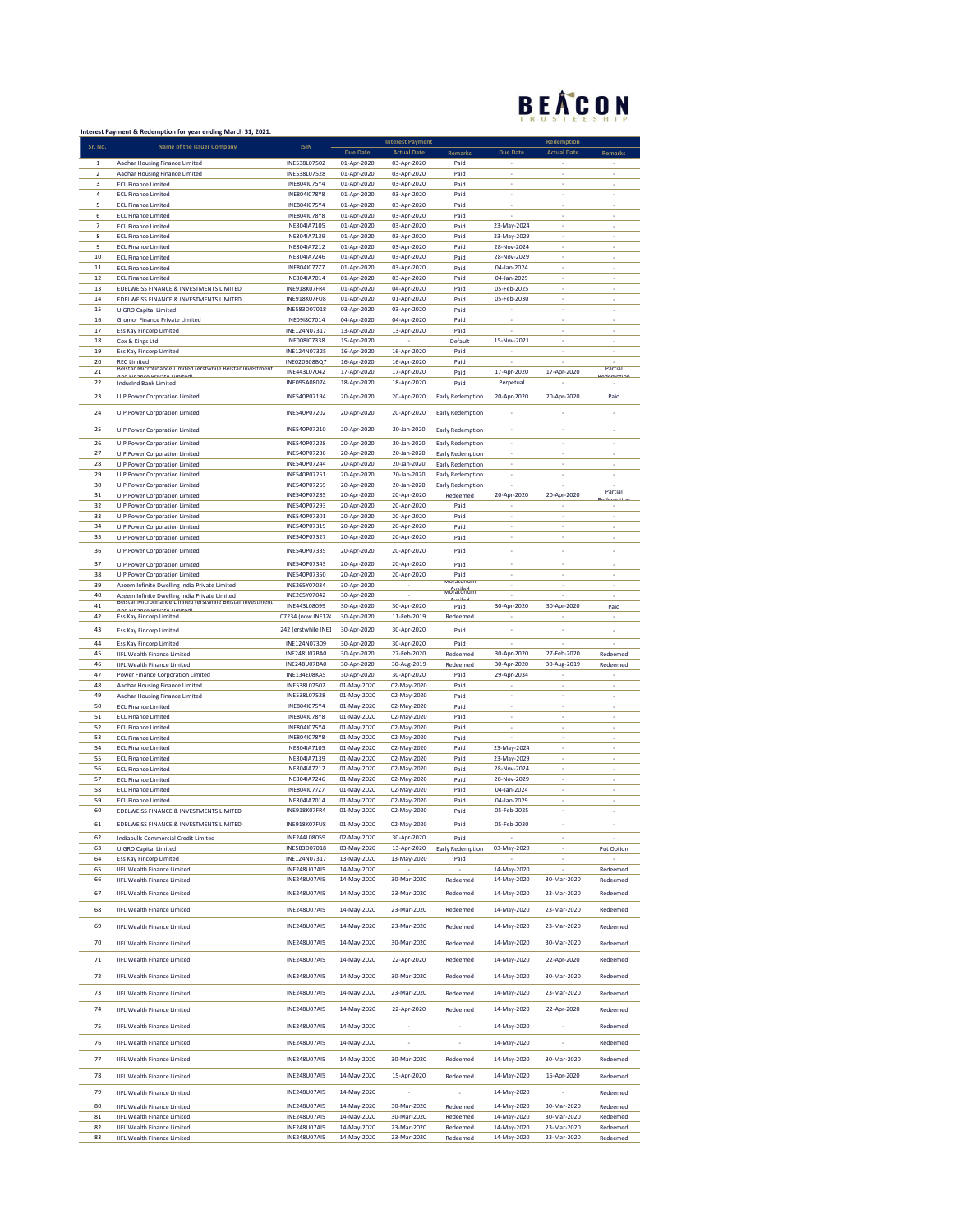## BEACON

|                               | Interest Payment & Redemption for year ending March 31, 2021.                    |                              |                            |                            |                         |                            |                          |            |
|-------------------------------|----------------------------------------------------------------------------------|------------------------------|----------------------------|----------------------------|-------------------------|----------------------------|--------------------------|------------|
| Sr. No.                       | Name of the Issuer Company                                                       | <b>ISIN</b>                  |                            | <b>Interest Payment</b>    |                         |                            | Redemption               |            |
|                               |                                                                                  |                              | <b>Due Date</b>            | <b>Actual Date</b>         | Remarks                 | <b>Due Date</b>            | <b>Actual Date</b>       | Remarks    |
| $\mathbf 1$<br>$\overline{2}$ | Aadhar Housing Finance Limited                                                   | INE538L07502<br>INE538L07528 | 01-Apr-2020<br>01-Apr-2020 | 03-Apr-2020<br>03-Apr-2020 | Paid                    | ÷,                         | ÷,                       | i,         |
| 3                             | Aadhar Housing Finance Limited<br><b>ECL Finance Limited</b>                     | INE804I075Y4                 | 01-Apr-2020                | 03-Apr-2020                | Paid<br>Paid            | ×,                         | ×                        |            |
| 4                             | <b>ECL Finance Limited</b>                                                       | INE804I078Y8                 | 01-Apr-2020                | 03-Apr-2020                | Paid                    |                            |                          |            |
| 5                             | <b>ECL Finance Limited</b>                                                       | INE804I075Y4                 | 01-Apr-2020                | 03-Apr-2020                | Paid                    | i,                         | $\overline{\phantom{a}}$ |            |
| 6                             | <b>ECL Finance Limited</b>                                                       | INE804I078Y8                 | 01-Apr-2020                | 03-Apr-2020                | Paid                    | l,                         | ÷,                       | i,         |
| $\overline{7}$                | <b>ECL Finance Limited</b>                                                       | INE804IA7105                 | 01-Apr-2020                | 03-Apr-2020                | Paid                    | 23-May-2024                | J.                       |            |
| 8                             | <b>ECL Finance Limited</b>                                                       | INE804IA7139                 | 01-Apr-2020                | 03-Apr-2020                | Paid                    | 23-May-2029                |                          |            |
| 9                             | <b>ECL Finance Limited</b>                                                       | INE804IA7212                 | 01-Apr-2020                | 03-Apr-2020                | Paid                    | 28-Nov-2024                | $\overline{\phantom{a}}$ |            |
| 10                            | <b>ECL Finance Limited</b>                                                       | INE804IA7246                 | 01-Apr-2020                | 03-Apr-2020                | Paid                    | 28-Nov-2029                | ÷,                       | ÷,         |
| 11                            |                                                                                  | INE804I077Z7                 |                            |                            | Paid                    |                            |                          | i,         |
| 12                            | <b>ECL Finance Limited</b><br><b>ECL Finance Limited</b>                         | INE804IA7014                 | 01-Apr-2020<br>01-Apr-2020 | 03-Apr-2020<br>03-Apr-2020 | Paid                    | 04-Jan-2024<br>04-Jan-2029 |                          |            |
| 13                            | EDELWEISS FINANCE & INVESTMENTS LIMITED                                          | INE918K07FR4                 |                            |                            | Paid                    | 05-Feb-2025                | $\overline{\phantom{a}}$ | ٠          |
|                               |                                                                                  | INE918K07FU8                 | 01-Apr-2020                | 04-Apr-2020                |                         |                            | ÷,                       | ÷,         |
| 14<br>15                      | EDELWEISS FINANCE & INVESTMENTS LIMITED                                          |                              | 01-Apr-2020                | 01-Apr-2020                | Paid                    | 05-Feb-2030                | l,                       | i,         |
|                               | <b>U GRO Capital Limited</b>                                                     | INE583D07018                 | 03-Apr-2020                | 03-Apr-2020                | Paid                    | ï                          |                          |            |
| 16                            | Gromor Finance Private Limited                                                   | INE091807014                 | 04-Apr-2020                | 04-Apr-2020                | Paid                    |                            |                          |            |
| 17                            | Ess Kay Fincorp Limited                                                          | INE124N07317                 | 13-Apr-2020                | 13-Apr-2020<br>×,          | Paid                    |                            |                          |            |
| 18                            | Cox & Kings Ltd                                                                  | INE008I07338                 | 15-Apr-2020<br>16-Apr-2020 |                            | Default                 | 15-Nov-2021                | ×                        |            |
| 19                            | Ess Kay Fincorp Limited                                                          | INE124N07325                 |                            | 16-Apr-2020                | Paid                    |                            |                          |            |
| 20                            | <b>REC Limited</b><br>Beistar Microfinance Limited (erstwhile Beistar Investment | INE020B08BQ7                 | 16-Apr-2020                | 16-Apr-2020                | Paid                    |                            |                          | rarual     |
| 21                            |                                                                                  | INE443L07042                 | 17-Apr-2020                | 17-Apr-2020                | Paid                    | 17-Apr-2020                | 17-Apr-2020              |            |
| 22                            | <b>IndusInd Bank Limited</b>                                                     | INE095A08074                 | 18-Apr-2020                | 18-Apr-2020                | Paid                    | Perpetual                  |                          |            |
| 23                            | <b>U.P.Power Corporation Limited</b>                                             | INE540P07194                 | 20-Apr-2020                | 20-Apr-2020                | <b>Early Redemption</b> | 20-Apr-2020                | 20-Apr-2020              | Paid       |
|                               |                                                                                  |                              |                            |                            |                         |                            |                          |            |
| 24                            | U.P.Power Corporation Limited                                                    | INE540P07202                 | 20-Apr-2020                | 20-Apr-2020                | Early Redemption        | ł,                         |                          | ×          |
| 25                            | <b>U.P.Power Corporation Limited</b>                                             | INE540P07210                 | 20-Apr-2020                | 20-Jan-2020                | <b>Early Redemption</b> | i,                         | J.                       |            |
|                               |                                                                                  |                              |                            |                            |                         |                            |                          |            |
| 26                            | U.P.Power Corporation Limited                                                    | INE540P07228                 | 20-Apr-2020                | 20-Jan-2020                | <b>Early Redemption</b> | ×                          | $\overline{\phantom{a}}$ | ×          |
| 27                            | U.P.Power Corporation Limited                                                    | INE540P07236                 | 20-Apr-2020                | 20-Jan-2020                | Early Redemption        | i,                         | ÷,                       | J.         |
| 28                            | U.P.Power Corporation Limited                                                    | INE540P07244                 | 20-Apr-2020                | 20-Jan-2020                | Early Redemption        | ï                          |                          |            |
| 29                            | <b>U.P.Power Corporation Limited</b>                                             | INE540P07251                 | 20-Apr-2020                | 20-Jan-2020                | <b>Early Redemption</b> |                            |                          |            |
| 30                            | U.P.Power Corporation Limited                                                    | INE540P07269                 | 20-Apr-2020                | 20-Jan-2020                | <b>Early Redemption</b> |                            |                          | zartial    |
| 31                            | U.P.Power Corporation Limited                                                    | INE540P07285                 | 20-Apr-2020                | 20-Apr-2020                | Redeemed                | 20-Apr-2020                | 20-Apr-2020              |            |
| 32                            | U.P.Power Corporation Limited                                                    | INE540P07293                 | 20-Apr-2020                | 20-Apr-2020                | Paid                    |                            |                          |            |
| 33                            | U.P.Power Corporation Limited                                                    | INE540P07301                 | 20-Apr-2020                | 20-Apr-2020                | Paid                    |                            |                          |            |
| 34                            | U.P. Power Corporation Limited                                                   | INE540P07319                 | 20-Apr-2020                | 20-Apr-2020                | Paid                    | ٠                          | $\overline{\phantom{a}}$ | ×,         |
| 35                            | U.P.Power Corporation Limited                                                    | INE540P07327                 | 20-Apr-2020                | 20-Apr-2020                | Paid                    | ÷                          | ÷,                       | ÷,         |
| 36                            | U.P.Power Corporation Limited                                                    | INE540P07335                 | 20-Apr-2020                | 20-Apr-2020                | Paid                    | i,                         | J.                       | i,         |
|                               |                                                                                  |                              |                            |                            |                         |                            |                          |            |
| 37                            | <b>U.P.Power Corporation Limited</b>                                             | INE540P07343                 | 20-Apr-2020                | 20-Apr-2020                | Paid                    | ×                          | $\overline{\phantom{a}}$ | ï          |
| 38                            | <b>U.P.Power Corporation Limited</b>                                             | INE540P07350                 | 20-Apr-2020                | 20-Apr-2020                | Paid                    | ÷,                         | ÷,                       | J.         |
| 39                            | Azeem Infinite Dwelling India Private Limited                                    | INE265Y07034                 | 30-Apr-2020                |                            | <b>IVIOratoriu</b>      | i,                         |                          | ÷.         |
| 40                            | Azeem Infinite Dwelling India Private Limited                                    | INE265Y07042                 | 30-Apr-2020                |                            | woratorium              |                            |                          |            |
| 41                            | Beistar Microfinance Limited (erstwnile Beistar Investment                       | INE443L08099                 | 30-Apr-2020                | 30-Apr-2020                | Paid                    | 30-Apr-2020                | 30-Apr-2020              | Paid       |
| 42                            | <b>Ess Kay Fincorp Limited</b>                                                   | 07234 (now INE124            | 30-Apr-2020                | 11-Feb-2019                | Redeemed                |                            |                          | J.         |
| 43                            | Ess Kay Fincorp Limited                                                          | 242 (erstwhile INE1          | 30-Apr-2020                | 30-Apr-2020                | Paid                    | ï                          | J.                       | ×          |
|                               |                                                                                  |                              |                            |                            |                         |                            |                          |            |
| 44                            | Ess Kay Fincorp Limited                                                          | INE124N07309                 | 30-Apr-2020                | 30-Apr-2020                | Paid                    |                            |                          |            |
| 45                            | <b>IIFL Wealth Finance Limited</b>                                               | INE248U07BA0                 | 30-Apr-2020                | 27-Feb-2020                | Redeemed                | 30-Apr-2020                | 27-Feb-2020              | Redeemed   |
| 46                            | <b>IIFL Wealth Finance Limited</b>                                               | INE248U07BA0                 | 30-Apr-2020                | 30-Aug-2019                | Redeemed                | 30-Apr-2020                | 30-Aug-2019              | Redeemed   |
| 47                            | Power Finance Corporation Limited                                                | INE134E08KA5                 | 30-Apr-2020                | 30-Apr-2020                | Paid                    | 29-Apr-2034                |                          |            |
| 48                            | Aadhar Housing Finance Limited                                                   | INE538L07502                 | 01-May-2020                | 02-May-2020                | Paid                    | i,                         | $\overline{\phantom{a}}$ | ٠          |
| 49                            | Aadhar Housing Finance Limited                                                   | INE538L07528                 | 01-May-2020                | 02-May-2020                | Paid                    | ÷                          | ÷                        | ÷,         |
| 50                            | <b>ECL Finance Limited</b>                                                       | INE804I075Y4                 | 01-May-2020                | 02-May-2020                | Paid                    | i.                         | J.                       | i,         |
| 51                            | <b>ECL Finance Limited</b>                                                       | INE804I078Y8                 | 01-May-2020                | 02-May-2020                | Paid                    |                            |                          |            |
| 52                            | <b>ECL Finance Limited</b>                                                       | INE804I075Y4                 | 01-May-2020                | 02-May-2020                | Paid                    | ٠                          | ٠                        | ٠          |
| 53                            | <b>ECL Finance Limited</b>                                                       | INE804I078Y8                 | 01-May-2020                | 02-May-2020                | Paid                    | i,                         | $\overline{\phantom{a}}$ | l,         |
| 54                            | <b>ECL Finance Limited</b>                                                       | INE804IA7105                 | 01-May-2020                | 02-May-2020                | Paid                    | 23-May-2024                | l,                       |            |
| 55                            | <b>ECL Finance Limited</b>                                                       | INE804IA7139                 | 01-May-2020                | 02-May-2020                | Paid                    | 23-May-2029                |                          |            |
| 56                            | <b>ECL Finance Limited</b>                                                       | INE804IA7212                 | 01-May-2020                | 02-May-2020                | Paid                    | 28-Nov-2024                |                          |            |
| 57                            | <b>ECL Finance Limited</b>                                                       | INE804IA7246                 | 01-May-2020                | 02-May-2020                | Paid                    | 28-Nov-2029                | ×                        |            |
| 58                            |                                                                                  | INE804I077Z7                 |                            |                            |                         | 04-Jan-2024                |                          |            |
|                               | <b>ECL Finance Limited</b>                                                       |                              | 01-May-2020                | 02-May-2020                | Paid                    |                            |                          |            |
| 59                            | <b>ECL Finance Limited</b>                                                       | INE804IA7014<br>INF918K07FR4 | 01-May-2020                | 02-May-2020                | Paid                    | 04-Jan-2029                |                          |            |
| 60                            | EDELWEISS FINANCE & INVESTMENTS LIMITED                                          |                              | 01-May-2020                | 02-May-2020                | Paid                    | 05-Feb-2025                |                          |            |
| 61                            | EDELWEISS FINANCE & INVESTMENTS LIMITED                                          | INE918K07FU8                 | 01-May-2020                | 02-May-2020                | Paid                    | 05-Feb-2030                |                          |            |
| 62                            | Indiabulls Commercial Credit Limited                                             | INE244L08059                 | 02-May-2020                | 30-Apr-2020                | Paid                    |                            |                          |            |
| 63                            | U GRO Capital Limited                                                            | INE583D07018                 | 03-May-2020                | 13-Apr-2020                | Early Redemption        | 03-May-2020                |                          | Put Option |
| 64                            | <b>Ess Kay Fincorp Limited</b>                                                   | INE124N07317                 | 13-May-2020                | 13-May-2020                | Paid                    |                            | ×                        |            |
| 65                            | <b>IIFL Wealth Finance Limited</b>                                               | INE248U07AI5                 | 14-May-2020                |                            |                         | 14-May-2020                |                          | Redeemed   |
| 66                            | <b>IIFL Wealth Finance Limited</b>                                               | INE248U07AI5                 | 14-May-2020                | 30-Mar-2020                | Redeemed                | 14-May-2020                | 30-Mar-2020              | Redeemed   |
|                               |                                                                                  |                              |                            |                            |                         |                            |                          |            |
| 67                            | <b>IIFL Wealth Finance Limited</b>                                               | INE248U07AI5                 | 14-May-2020                | 23-Mar-2020                | Redeemed                | 14-May-2020                | 23-Mar-2020              | Redeemed   |
| 68                            | <b>IIFL Wealth Finance Limited</b>                                               | INE248U07AI5                 | 14-May-2020                | 23-Mar-2020                | Redeemed                | 14-May-2020                | 23-Mar-2020              | Redeemed   |
|                               |                                                                                  |                              |                            |                            |                         |                            |                          |            |
| 69                            | <b>IIFL Wealth Finance Limited</b>                                               | <b>INE248U07AI5</b>          | 14-May-2020                | 23-Mar-2020                | Redeemed                | 14-May-2020                | 23-Mar-2020              | Redeemed   |
|                               |                                                                                  |                              |                            |                            |                         |                            |                          |            |
| 70                            | <b>IIFL Wealth Finance Limited</b>                                               | INE248U07AI5                 | 14-May-2020                | 30-Mar-2020                | Redeemed                | 14-May-2020                | 30-Mar-2020              | Redeemed   |
| 71                            | <b>IIFL Wealth Finance Limited</b>                                               | INE248U07AI5                 | 14-May-2020                | 22-Apr-2020                | Redeemed                | 14-May-2020                | 22-Apr-2020              | Redeemed   |
|                               |                                                                                  |                              |                            |                            |                         |                            |                          |            |
| 72                            | <b>IIFL Wealth Finance Limited</b>                                               | INE248U07AI5                 | 14-May-2020                | 30-Mar-2020                | Redeemed                | 14-May-2020                | 30-Mar-2020              | Redeemed   |
|                               |                                                                                  |                              |                            |                            |                         |                            |                          |            |
| 73                            | <b>IIFL Wealth Finance Limited</b>                                               | INE248U07AI5                 | 14-May-2020                | 23-Mar-2020                | Redeemed                | 14-May-2020                | 23-Mar-2020              | Redeemed   |
| 74                            | <b>IIFL Wealth Finance Limited</b>                                               | <b>INE248U07AI5</b>          | 14-May-2020                | 22-Apr-2020                | Redeemed                | 14-May-2020                | 22-Apr-2020              | Redeemed   |
|                               |                                                                                  |                              |                            |                            |                         |                            |                          |            |
| 75                            | <b>IIFL Wealth Finance Limited</b>                                               | INE248U07AI5                 | 14-May-2020                |                            | $\overline{a}$          | 14-May-2020                |                          | Redeemed   |
|                               |                                                                                  |                              |                            |                            |                         |                            |                          |            |
| 76                            | <b>IIFL Wealth Finance Limited</b>                                               | INE248U07AI5                 | 14-May-2020                | ٠                          |                         | 14-May-2020                |                          | Redeemed   |
| 77                            | <b>IIFL Wealth Finance Limited</b>                                               | INE248U07AI5                 | 14-May-2020                | 30-Mar-2020                | Redeemed                | 14-May-2020                | 30-Mar-2020              | Redeemed   |
|                               |                                                                                  |                              |                            |                            |                         |                            |                          |            |
| 78                            | <b>IIFL Wealth Finance Limited</b>                                               | INE248U07AI5                 | 14-May-2020                | 15-Apr-2020                | Redeemed                | 14-May-2020                | 15-Apr-2020              | Redeemed   |
|                               |                                                                                  |                              |                            |                            |                         |                            |                          |            |
| 79                            | <b>IIFL Wealth Finance Limited</b>                                               | INE248U07AI5                 | 14-May-2020                | ÷                          |                         | 14-May-2020                |                          | Redeemed   |
| 80                            | <b>IIFL Wealth Finance Limited</b>                                               | INE248U07AI5                 | 14-May-2020                | 30-Mar-2020                | Redeemed                | 14-May-2020                | 30-Mar-2020              | Redeemed   |
| 81                            | <b>IIFL Wealth Finance Limited</b>                                               | INE248U07AI5                 | 14-May-2020                | 30-Mar-2020                | Redeemed                | 14-May-2020                | 30-Mar-2020              | Redeemed   |
| 82                            | <b>IIFL Wealth Finance Limited</b>                                               | INE248U07AI5                 | 14-May-2020                | 23-Mar-2020                | Redeemed                | 14-May-2020                | 23-Mar-2020              | Redeemed   |
| 83                            | <b>IIFL Wealth Finance Limited</b>                                               | INE248U07AI5                 | 14-May-2020                | 23-Mar-2020                | Redeemed                | 14-May-2020                | 23-Mar-2020              | Redeemed   |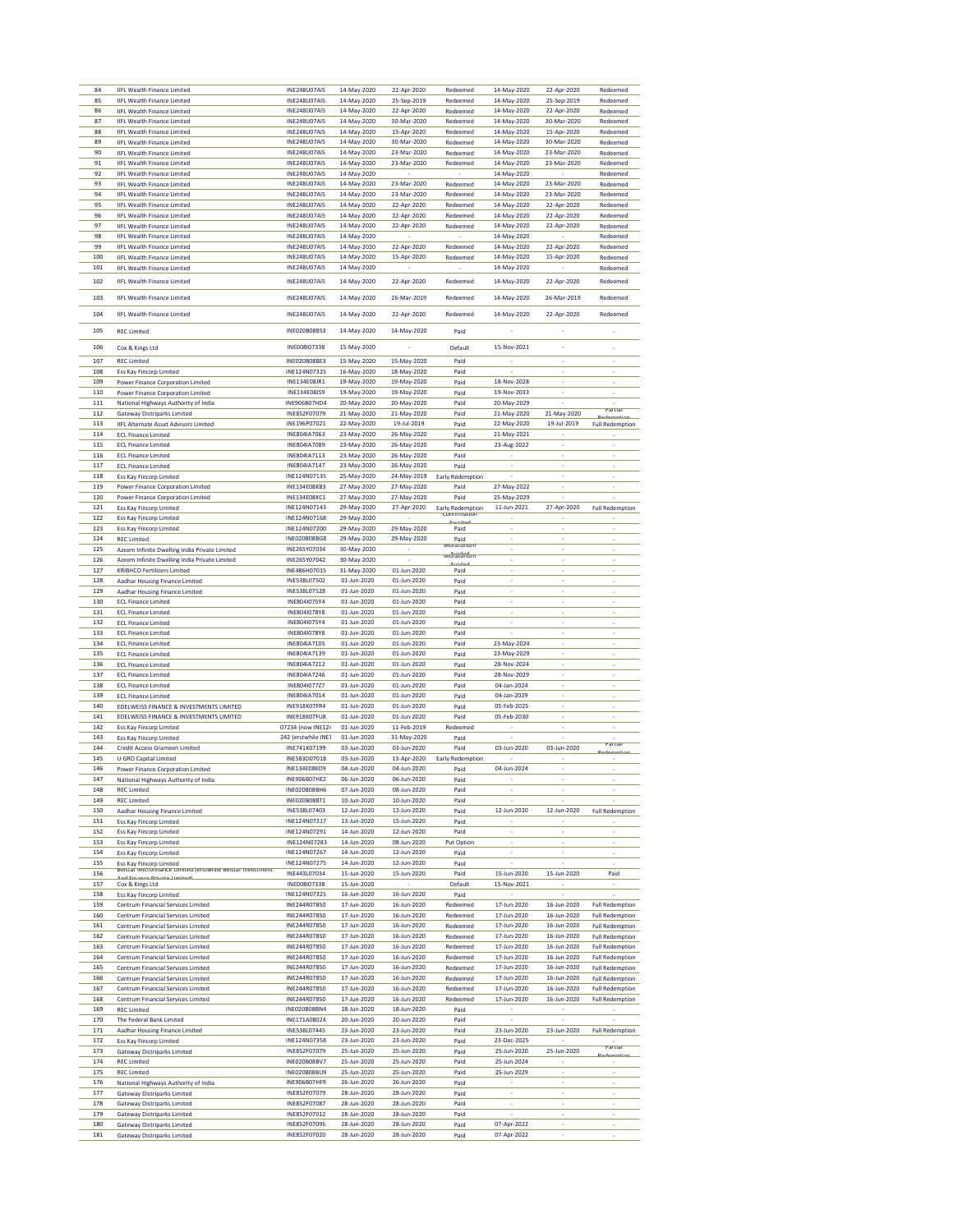| 84         | <b>IIFL Wealth Finance Limited</b>                                                         | INE248U07AI5                 | 14-May-2020                | 22-Apr-2020                | Redeemed                | 14-May-2020                | 22-Apr-2020              | Redeemed                 |
|------------|--------------------------------------------------------------------------------------------|------------------------------|----------------------------|----------------------------|-------------------------|----------------------------|--------------------------|--------------------------|
| 85         | <b>IIFL Wealth Finance Limited</b>                                                         | INE248U07AI5                 | 14-May-2020                | 25-Sep-2019                | Redeemed                | 14-May-2020                | 25-Sep-2019              | Redeemed                 |
| 86         |                                                                                            | <b>INE248U07AI5</b>          | 14-May-2020                |                            |                         |                            |                          |                          |
|            | <b>IIFL Wealth Finance Limited</b>                                                         |                              |                            | 22-Apr-2020                | Redeemed                | 14-May-2020                | 22-Apr-2020              | Redeemed                 |
| 87         | <b>IIFL Wealth Finance Limited</b>                                                         | INE248U07AI5                 | 14-May-2020                | 30-Mar-2020                | Redeemed                | 14-May-2020                | 30-Mar-2020              | Redeemed                 |
| 88         | <b>IIFL Wealth Finance Limited</b>                                                         | INE248U07AI5                 | 14-May-2020                | 15-Apr-2020                | Redeemed                | 14-May-2020                | 15-Apr-2020              | Redeemed                 |
| 89         | <b>IIFL Wealth Finance Limited</b>                                                         | INE248U07AI5                 | 14-May-2020                | 30-Mar-2020                | Redeemed                | 14-May-2020                | 30-Mar-2020              | Redeemed                 |
| 90         | <b>IIFL Wealth Finance Limited</b>                                                         | <b>INE248U07AI5</b>          | 14-May-2020                | 23-Mar-2020                | Redeemed                | 14-May-2020                | 23-Mar-2020              | Redeemed                 |
| 91         | <b>IIFL Wealth Finance Limited</b>                                                         | INE248U07AI5                 | 14-May-2020                | 23-Mar-2020                | Redeemed                | 14-May-2020                | 23-Mar-2020              | Redeemed                 |
| 92         | <b>IIFL Wealth Finance Limited</b>                                                         | INE248U07AI5                 | 14-May-2020                |                            |                         | 14-May-2020                |                          | Redeemed                 |
| 93         | <b>IIFL Wealth Finance Limited</b>                                                         | INE248U07AI5                 | 14-May-2020                | 23-Mar-2020                | Redeemed                | 14-May-2020                | 23-Mar-2020              | Redeemed                 |
| 94         |                                                                                            | <b>INE248U07AI5</b>          | 14-May-2020                | 23-Mar-2020                |                         | 14-May-2020                | 23-Mar-2020              |                          |
|            | <b>IIFL Wealth Finance Limited</b>                                                         |                              |                            |                            | Redeemed                |                            |                          | Redeemed                 |
| 95         | <b>IIFL Wealth Finance Limited</b>                                                         | INE248U07AI5                 | 14-May-2020                | 22-Apr-2020                | Redeemed                | 14-May-2020                | 22-Apr-2020              | Redeemed                 |
| 96         | <b>IIFL Wealth Finance Limited</b>                                                         | INE248U07AI5                 | 14-May-2020                | 22-Apr-2020                | Redeemed                | 14-May-2020                | 22-Apr-2020              | Redeemed                 |
| 97         | <b>IIFL Wealth Finance Limited</b>                                                         | INE248U07AI5                 | 14-May-2020                | 22-Apr-2020                | Redeemed                | 14-May-2020                | 22-Apr-2020              | Redeemed                 |
| 98         | <b>IIFL Wealth Finance Limited</b>                                                         | INE248U07AI5                 | 14-May-2020                |                            |                         | 14-May-2020                |                          | Redeemed                 |
| 99         | <b>IIFL Wealth Finance Limited</b>                                                         | INE248U07AI5                 | 14-May-2020                | 22-Apr-2020                | Redeemed                | 14-May-2020                | 22-Apr-2020              | Redeemed                 |
| 100        | <b>IIFL Wealth Finance Limited</b>                                                         | INE248U07AI5                 | 14-May-2020                | 15-Apr-2020                | Redeemed                | 14-May-2020                | 15-Apr-2020              | Redeemed                 |
|            |                                                                                            |                              |                            |                            |                         |                            |                          |                          |
| 101        | <b>IIFL Wealth Finance Limited</b>                                                         | INE248U07AI5                 | 14-May-2020                |                            |                         | 14-May-2020                |                          | Redeemed                 |
| 102        | <b>IIFL Wealth Finance Limited</b>                                                         | INE248U07AI5                 | 14-May-2020                | 22-Apr-2020                | Redeemed                | 14-May-2020                | 22-Apr-2020              | Redeemed                 |
|            |                                                                                            |                              |                            |                            |                         |                            |                          |                          |
| 103        | <b>IIFL Wealth Finance Limited</b>                                                         | <b>INE248U07AI5</b>          | 14-May-2020                | 26-Mar-2019                | Redeemed                | 14-May-2020                | 26-Mar-2019              | Redeemed                 |
| 104        | <b>IIFL Wealth Finance Limited</b>                                                         | INE248U07AI5                 | 14-May-2020                | 22-Apr-2020                | Redeemed                | 14-May-2020                | 22-Apr-2020              | Redeemed                 |
|            |                                                                                            |                              |                            |                            |                         |                            |                          |                          |
| 105        | <b>REC Limited</b>                                                                         | INE020B08BS3                 | 14-May-2020                | 14-May-2020                | Paid                    |                            |                          |                          |
|            |                                                                                            |                              |                            |                            |                         |                            |                          |                          |
| 106        | Cox & Kings Ltd                                                                            | INE008I07338                 | 15-May-2020                |                            | Default                 | 15-Nov-2021                | ï                        |                          |
| 107        |                                                                                            | INE020B08BE3                 | 15-May-2020                | 15-May-2020                |                         |                            | i.                       |                          |
|            | <b>REC Limited</b>                                                                         |                              |                            |                            | Paid                    |                            |                          |                          |
| 108        | Ess Kay Fincorp Limited                                                                    | INE124N07325                 | 16-May-2020                | 18-May-2020                | Paid                    |                            |                          |                          |
| 109        | Power Finance Corporation Limited                                                          | INE134E08JR1                 | 19-May-2020                | 19-May-2020                | Paid                    | 18-Nov-2028                | ÷                        |                          |
| 110        | Power Finance Corporation Limited                                                          | INE134E08JS9                 | 19-May-2020                | 19-May-2020                | Paid                    | 19-Nov-2033                | L                        |                          |
| 111        | National Highways Authority of India                                                       | INE906B07HD4                 | 20-May-2020                | 20-May-2020                | Paid                    | 20-May-2029                |                          |                          |
| 112        | <b>Gateway Distriparks Limited</b>                                                         | INE852F07079                 | 21-May-2020                | 21-May-2020                | Paid                    | 21-May-2020                | 21-May-2020              | rartial                  |
| 113        | IIFL Alternate Asset Advisors Limited                                                      | INE196P07021                 | 22-May-2020                | 19-Jul-2019                | Paid                    | 22-May-2020                | 19-Jul-2019              | <b>Full Redemption</b>   |
| 114        | <b>ECL Finance Limited</b>                                                                 | INE804IA7063                 | 23-May-2020                | 26-May-2020                | Paid                    | 21-May-2021                |                          |                          |
|            |                                                                                            |                              |                            |                            |                         |                            | ï                        |                          |
| 115        | <b>ECL Finance Limited</b>                                                                 | INE804IA7089                 | 23-May-2020                | 26-May-2020                | Paid                    | 23-Aug-2022                |                          |                          |
| 116        | <b>ECL Finance Limited</b>                                                                 | INE804IA7113                 | 23-May-2020                | 26-May-2020                | Paid                    |                            | ï                        |                          |
| 117        | <b>ECL Finance Limited</b>                                                                 | INE804IA7147                 | 23-May-2020                | 26-May-2020                | Paid                    | ×,                         | ÷                        |                          |
| 118        | Ess Kay Fincorp Limited                                                                    | INE124N07135                 | 25-May-2020                | 24-May-2019                | Early Redemption        |                            | i,                       |                          |
| 119        | Power Finance Corporation Limited                                                          | INE134E08KB3                 | 27-May-2020                | 27-May-2020                | Paid                    | 27-May-2022                |                          |                          |
| 120        | Power Finance Corporation Limited                                                          | INE134E08KC1                 | 27-May-2020                | 27-May-2020                | Paid                    | 25-May-2029                |                          |                          |
| 121        | <b>Ess Kay Fincorp Limited</b>                                                             | INE124N07143                 | 29-May-2020                | 27-Apr-2020                |                         | 11-Jun-2021                | 27-Apr-2020              | <b>Full Redemption</b>   |
| 122        | <b>Ess Kay Fincorp Limited</b>                                                             | INE124N07168                 | 29-May-2020                |                            | Early Redemption        |                            |                          |                          |
|            |                                                                                            |                              |                            |                            |                         |                            | i.                       |                          |
| 123        | Ess Kay Fincorp Limited                                                                    | INE124N07200                 | 29-May-2020                | 29-May-2020                | Paid                    |                            |                          |                          |
| 124        | <b>REC Limited</b>                                                                         | INE020B08BG8                 | 29-May-2020                | 29-May-2020                | Paid<br>woratorium      |                            | i,                       |                          |
| 125        | Azeem Infinite Dwelling India Private Limited                                              | INE265Y07034                 | 30-May-2020                |                            | woratorium              | ٠                          | ÷                        | ٠                        |
| 126        | Azeem Infinite Dwelling India Private Limited                                              | INE265Y07042                 | 30-May-2020                | ÷                          |                         | ÷,                         | ÷,                       | i,                       |
| 127        | <b>KRIBHCO Fertilizers Limited</b>                                                         | INE486H07015                 | 31-May-2020                | 01-Jun-2020                | Paid                    |                            | i.                       |                          |
| 128        | Aadhar Housing Finance Limited                                                             | INE538L07502                 | 01-Jun-2020                | 01-Jun-2020                | Paid                    |                            | ï                        |                          |
| 129        | Aadhar Housing Finance Limited                                                             | INE538L07528                 | 01-Jun-2020                | 01-Jun-2020                | Paid                    | $\hat{\phantom{a}}$        | ٠                        | ٠                        |
| 130        | <b>ECL Finance Limited</b>                                                                 | INE804I075Y4                 | 01-Jun-2020                | 01-Jun-2020                | Paid                    | $\overline{\phantom{a}}$   | $\overline{\phantom{a}}$ | ÷                        |
|            |                                                                                            | INE804I078Y8                 | 01-Jun-2020                | 01-Jun-2020                |                         |                            | L.                       |                          |
|            |                                                                                            |                              |                            |                            |                         |                            |                          |                          |
| 131        | <b>ECL Finance Limited</b>                                                                 |                              |                            |                            | Paid                    |                            |                          |                          |
| 132        | <b>ECL Finance Limited</b>                                                                 | INE804I075Y4                 | 01-Jun-2020                | 01-Jun-2020                | Paid                    | ï                          | ÷,                       |                          |
| 133        | <b>ECL Finance Limited</b>                                                                 | INE804I078Y8                 | 01-Jun-2020                | 01-Jun-2020                | Paid                    |                            | ٠                        |                          |
| 134        | <b>ECL Finance Limited</b>                                                                 | INE804IA7105                 | 01-Jun-2020                | 01-Jun-2020                | Paid                    | 23-May-2024                | ÷                        |                          |
| 135        |                                                                                            |                              |                            |                            |                         |                            | $\overline{a}$           |                          |
|            | <b>ECL Finance Limited</b>                                                                 | INE804IA7139                 | 01-Jun-2020                | 01-Jun-2020                | Paid                    | 23-May-2029                |                          |                          |
| 136        | <b>ECL Finance Limited</b>                                                                 | INE804IA7212                 | 01-Jun-2020                | 01-Jun-2020                | Paid                    | 28-Nov-2024                | ÷                        |                          |
| 137        | <b>ECL Finance Limited</b>                                                                 | INE804IA7246                 | 01-Jun-2020                | 01-Jun-2020                | Paid                    | 28-Nov-2029                |                          |                          |
| 138        | <b>ECL Finance Limited</b>                                                                 | INE804I077Z7                 | 01-Jun-2020                | 01-Jun-2020                | Paid                    | 04-Jan-2024                | ÷                        | $\overline{\phantom{a}}$ |
| 139        | <b>ECL Finance Limited</b>                                                                 | INE804IA7014                 | 01-Jun-2020                | 01-Jun-2020                | Paid                    | 04-Jan-2029                | L                        |                          |
| 140        | EDELWEISS FINANCE & INVESTMENTS LIMITED                                                    | INE918K07FR4                 | 01-Jun-2020                | 01-Jun-2020                | Paid                    | 05-Feb-2025                | ÷                        |                          |
| 141        | EDELWEISS FINANCE & INVESTMENTS LIMITED                                                    | INE918K07FU8                 | 01-Jun-2020                | 01-Jun-2020                | Paid                    | 05-Feb-2030                |                          |                          |
| 142        | <b>Ess Kay Fincorp Limited</b>                                                             | 07234 (now INE124            | 01-Jun-2020                | 11-Feb-2019                | Redeemed                |                            | ÷                        | ×                        |
| 143        |                                                                                            | 242 (erstwhile INE1          | 01-Jun-2020                | 31-May-2020                | Paid                    |                            |                          |                          |
| 144        | Ess Kay Fincorp Limited                                                                    |                              |                            |                            |                         |                            |                          | Partial                  |
|            | Credit Access Grameen Limited                                                              | INE741K07199                 | 03-Jun-2020                | 03-Jun-2020                | Paid                    | 03-Jun-2020                | 03-Jun-2020              |                          |
| 145        | <b>U GRO Capital Limited</b>                                                               | INE583D07018                 | 03-Jun-2020                | 13-Apr-2020                | <b>Early Redemption</b> |                            |                          |                          |
| 146        | Power Finance Corporation Limited                                                          | INE134E08KD9                 | 04-Jun-2020                | 04-Jun-2020                | Paid                    | 04-Jun-2024                | ٠                        | ÷                        |
| 147        | National Highways Authority of Ir                                                          | INF906B07HF2                 | 06-Jun-2020                | 06-Jun-2020                | Paid                    |                            |                          |                          |
| 148        | <b>REC Limited</b>                                                                         | INE020B08BH6                 | 07-Jun-2020                | 08-Jun-2020                | Paid                    |                            |                          |                          |
| 149        | <b>REC Limited</b>                                                                         | INE020B08BT1                 | 10-Jun-2020                | 10-Jun-2020                | Paid                    |                            |                          |                          |
| 150        | Aadhar Housing Finance Limited                                                             | INE538L07403                 | 12-Jun-2020                | 12-Jun-2020                | Paid                    | 12-Jun-2020                | 12-Jun-2020              | <b>Full Redemption</b>   |
| 151        | <b>Ess Kay Fincorp Limited</b>                                                             | INE124N07317                 | 13-Jun-2020                | 15-Jun-2020                | Paid                    |                            |                          |                          |
| 152        | Ess Kay Fincorp Limited                                                                    | INE124N07291                 | 14-Jun-2020                | 12-Jun-2020                | Paid                    |                            | ï                        |                          |
|            |                                                                                            |                              |                            | 08-Jun-2020                |                         |                            | l,                       |                          |
| 153        | <b>Ess Kay Fincorp Limited</b>                                                             | INE124N07283                 | 14-Jun-2020                |                            | Put Option              |                            |                          |                          |
| 154        | Ess Kay Fincorp Limited                                                                    | INE124N07267                 | 14-Jun-2020                | 12-Jun-2020                | Paid                    | ٠                          | ÷                        | ï                        |
| 155        | <b>Ess Kay Fincorp Limited</b>                                                             | INE124N07275                 | 14-Jun-2020                | 12-Jun-2020                | Paid                    | ÷.                         | ×,                       | l,                       |
| 156        | Beistar Microfinance Limited (erstwhile Beistar Investment<br>And Finance Drivate Limitedl | INE443L07034                 | 15-Jun-2020                | 15-Jun-2020                | Paid                    | 15-Jun-2020                | 15-Jun-2020              | Paid                     |
| 157        | Cox & Kings Ltd                                                                            | INE008I07338                 | 15-Jun-2020                |                            | Default                 | 15-Nov-2021                |                          |                          |
| 158        | <b>Ess Kay Fincorp Limited</b>                                                             | INE124N07325                 | 16-Jun-2020                | 16-Jun-2020                | Paid                    |                            |                          |                          |
| 159        | Centrum Financial Services Limited                                                         | INE244R07850                 | 17-Jun-2020                | 16-Jun-2020                | Redeemed                | 17-Jun-2020                | 16-Jun-2020              | <b>Full Redemption</b>   |
| 160        |                                                                                            | INE244R07850                 | 17-Jun-2020                | 16-Jun-2020                |                         | 17-Jun-2020                | 16-Jun-2020              |                          |
|            | Centrum Financial Services Limited                                                         |                              |                            |                            | Redeemed                | 17-Jun-2020                | 16-Jun-2020              | <b>Full Redemption</b>   |
| 161        | Centrum Financial Services Limited                                                         | INE244R07850                 | 17-Jun-2020                | 16-Jun-2020                | Redeemed                |                            |                          | <b>Full Redemption</b>   |
| 162        | Centrum Financial Services Limited                                                         | INE244R07850                 | 17-Jun-2020                | 16-Jun-2020                | Redeemed                | 17-Jun-2020                | 16-Jun-2020              | <b>Full Redemption</b>   |
| 163        | Centrum Financial Services Limited                                                         | INE244R07850                 | 17-Jun-2020                | 16-Jun-2020                | Redeemed                | 17-Jun-2020                | 16-Jun-2020              | <b>Full Redemption</b>   |
| 164        | Centrum Financial Services Limited                                                         | INE244R07850                 | 17-Jun-2020                | 16-Jun-2020                | Redeemed                | 17-Jun-2020                | 16-Jun-2020              | <b>Full Redemption</b>   |
| 165        | Centrum Financial Services Limited                                                         | INE244R07850                 | 17-Jun-2020                | 16-Jun-2020                | Redeemed                | 17-Jun-2020                | 16-Jun-2020              | <b>Full Redemption</b>   |
| 166        | Centrum Financial Services Limited                                                         | INF244R07850                 | 17-Jun-2020                | 16-Jun-2020                | Redeemed                | 17-Jun-2020                | 16-Jun-2020              | <b>Full Redemption</b>   |
| 167        | Centrum Financial Services Limited                                                         | INE244R07850                 | 17-Jun-2020                | 16-Jun-2020                | Redeemed                | 17-Jun-2020                | 16-Jun-2020              | <b>Full Redemption</b>   |
| 168        |                                                                                            | INE244R07850                 | 17-Jun-2020                | 16-Jun-2020                | Redeemed                | 17-Jun-2020                | 16-Jun-2020              |                          |
|            | Centrum Financial Services Limited                                                         |                              |                            |                            |                         |                            |                          | <b>Full Redemption</b>   |
| 169        | <b>REC Limited</b>                                                                         | INE020B08BN4                 | 18-Jun-2020                | 18-Jun-2020                | Paid                    |                            |                          |                          |
| 170        | The Federal Bank Limited                                                                   | INE171A08024                 | 20-Jun-2020                | 20-Jun-2020                | Paid                    |                            |                          |                          |
| 171        | Aadhar Housing Finance Limited                                                             | INE538L07445                 | 23-Jun-2020                | 23-Jun-2020                | Paid                    | 23-Jun-2020                | 23-Jun-2020              | <b>Full Redemption</b>   |
| 172        | Ess Kay Fincorp Limited                                                                    | INE124N07358                 | 23-Jun-2020                | 23-Jun-2020                | Paid                    | 23-Dec-2025                |                          |                          |
| 173        | <b>Gateway Distriparks Limited</b>                                                         | INE852F07079                 | 25-Jun-2020                | 25-Jun-2020                | Paid                    | 25-Jun-2020                | 25-Jun-2020              | Partial                  |
| 174        | <b>REC Limited</b>                                                                         | INE020B08BV7                 | 25-Jun-2020                | 25-Jun-2020                | Paid                    | 25-Jun-2024                |                          |                          |
| 175        | <b>REC Limited</b>                                                                         | <b>INE020B08BU9</b>          | 25-Jun-2020                | 25-Jun-2020                | Paid                    | 25-Jun-2029                | ÷                        |                          |
| 176        | National Highways Authority of India                                                       | INE906B07HF9                 | 26-Jun-2020                | 26-Jun-2020                | Paid                    |                            | ÷,                       | i,                       |
|            |                                                                                            |                              |                            |                            |                         |                            | i.                       |                          |
| 177        | <b>Gateway Distriparks Limited</b>                                                         | INE852F07079                 | 28-Jun-2020                | 28-Jun-2020                | Paid                    |                            |                          |                          |
| 178        | <b>Gateway Distriparks Limited</b>                                                         | INE852F07087                 | 28-Jun-2020                | 28-Jun-2020                | Paid                    |                            |                          |                          |
| 179        | Gateway Distriparks Limited                                                                | INE852F07012                 | 28-Jun-2020                | 28-Jun-2020                | Paid                    |                            | ٠                        | ï                        |
| 180<br>181 | <b>Gateway Distriparks Limited</b>                                                         | INE852F07095<br>INE852F07020 | 28-Jun-2020<br>28-Jun-2020 | 28-Jun-2020<br>28-Jun-2020 | Paid                    | 07-Apr-2022<br>07-Apr-2022 | ÷,<br>L                  | ÷,                       |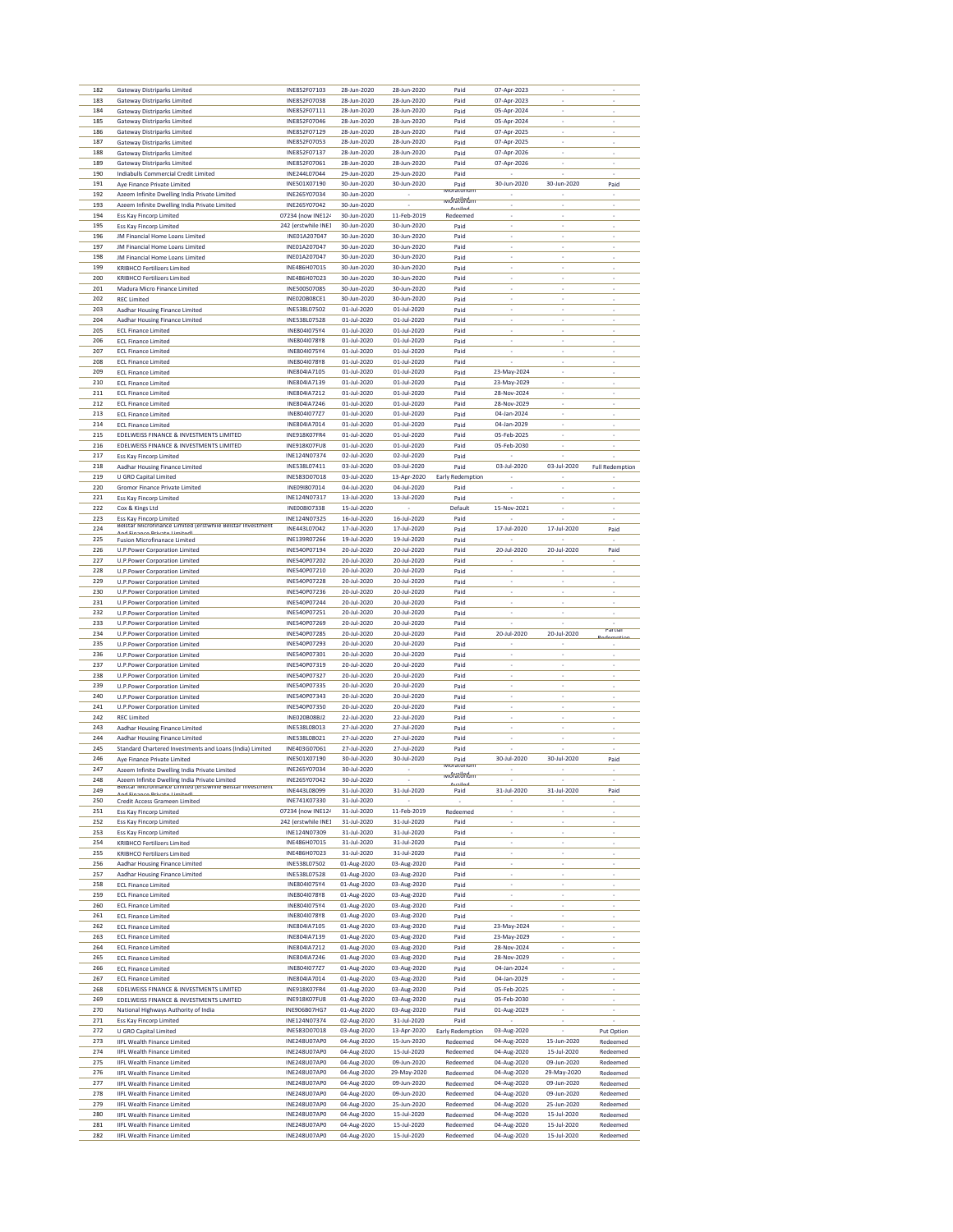| 182 | Gateway Distriparks Limited                                | INE852F07103        | 28-Jun-2020       | 28-Jun-2020 | Paid                        | 07-Apr-2023              |                          |                          |
|-----|------------------------------------------------------------|---------------------|-------------------|-------------|-----------------------------|--------------------------|--------------------------|--------------------------|
|     |                                                            |                     |                   |             |                             |                          |                          |                          |
| 183 | <b>Gateway Distriparks Limited</b>                         | INE852F07038        | 28-Jun-2020       | 28-Jun-2020 | Paid                        | 07-Apr-2023              |                          |                          |
| 184 | <b>Gateway Distriparks Limited</b>                         | INE852F07111        | 28-Jun-2020       | 28-Jun-2020 | Paid                        | 05-Apr-2024              | ×,                       |                          |
| 185 | <b>Gateway Distriparks Limited</b>                         | INE852F07046        | 28-Jun-2020       | 28-Jun-2020 | Paid                        | 05-Apr-2024              | ÷,                       | ÷                        |
| 186 | <b>Gateway Distriparks Limited</b>                         | INE852F07129        | 28-Jun-2020       | 28-Jun-2020 | Paid                        | 07-Apr-2025              |                          |                          |
| 187 | <b>Gateway Distriparks Limited</b>                         | INE852F07053        | 28-Jun-2020       | 28-Jun-2020 | Paid                        | 07-Apr-2025              |                          |                          |
|     |                                                            |                     |                   |             |                             |                          |                          |                          |
| 188 | <b>Gateway Distriparks Limited</b>                         | INE852F07137        | 28-Jun-2020       | 28-Jun-2020 | Paid                        | 07-Apr-2026              | ٠                        | $\overline{\phantom{a}}$ |
| 189 | <b>Gateway Distriparks Limited</b>                         | INE852F07061        | 28-Jun-2020       | 28-Jun-2020 | Paid                        | 07-Apr-2026              | ÷                        | ÷                        |
| 190 | Indiabulls Commercial Credit Limited                       | INE244L07044        | 29-Jun-2020       | 29-Jun-2020 | Paid                        |                          |                          |                          |
|     |                                                            | INE501X07190        |                   |             |                             |                          |                          |                          |
| 191 | Aye Finance Private Limited                                |                     | 30-Jun-2020       | 30-Jun-2020 | Paid<br>Moratoriu           | 30-Jun-2020              | 30-Jun-2020              | Paid                     |
| 192 | Azeem Infinite Dwelling India Private Limited              | INF265Y07034        | 30-Jun-2020       |             | moratorium                  |                          |                          |                          |
| 193 | Azeem Infinite Dwelling India Private Limited              | INE265Y07042        | 30-Jun-2020       |             | ىملئم                       | ÷                        | $\overline{\phantom{a}}$ |                          |
| 194 | Ess Kay Fincorp Limited                                    | 07234 (now INE124   | 30-Jun-2020       | 11-Feb-2019 | Redeemed                    |                          | i,                       |                          |
|     |                                                            |                     |                   |             |                             |                          |                          |                          |
| 195 | Ess Kay Fincorp Limited                                    | 242 (erstwhile INE1 | 30-Jun-2020       | 30-Jun-2020 | Paid                        |                          |                          |                          |
| 196 | JM Financial Home Loans Limited                            | INE01A207047        | 30-Jun-2020       | 30-Jun-2020 | Paid                        |                          |                          |                          |
| 197 | JM Financial Home Loans Limited                            | INE01A207047        | 30-Jun-2020       | 30-Jun-2020 | Paid                        | ×                        | $\overline{\phantom{a}}$ |                          |
| 198 | JM Financial Home Loans Limited                            | INE01A207047        | 30-Jun-2020       | 30-Jun-2020 | Paid                        |                          |                          |                          |
|     |                                                            |                     |                   |             |                             |                          |                          |                          |
| 199 | <b>KRIBHCO Fertilizers Limited</b>                         | INE486H07015        | 30-Jun-2020       | 30-Jun-2020 | Paid                        |                          |                          |                          |
| 200 | <b>KRIBHCO Fertilizers Limited</b>                         | INF486H07023        | 30-Jun-2020       | 30-Jun-2020 | Paid                        |                          |                          |                          |
| 201 | Madura Micro Finance Limited                               | INE500S07085        | 30-Jun-2020       | 30-Jun-2020 | Paid                        | ×                        | ÷                        | $\overline{\phantom{a}}$ |
| 202 | <b>REC Limited</b>                                         | <b>INEO20BO8CE1</b> | 30-Jun-2020       | 30-Jun-2020 | Paid                        |                          | i,                       |                          |
|     |                                                            |                     |                   |             |                             |                          |                          |                          |
| 203 | Aadhar Housing Finance Limited                             | INE538L07502        | 01-Jul-2020       | 01-Jul-2020 | Paid                        | ×,                       | i,                       |                          |
| 204 | Aadhar Housing Finance Limited                             | INE538L07528        | 01-Jul-2020       | 01-Jul-2020 | Paid                        |                          |                          |                          |
| 205 | <b>ECL Finance Limited</b>                                 | INE804I075Y4        | 01-Jul-2020       | 01-Jul-2020 | Paid                        |                          | ٠                        |                          |
| 206 | <b>ECL Finance Limited</b>                                 | INE804I078Y8        | 01-Jul-2020       | 01-Jul-2020 | Paid                        | ÷,                       | ÷                        |                          |
|     |                                                            |                     |                   |             |                             |                          |                          |                          |
| 207 | <b>ECL Finance Limited</b>                                 | INE804I075Y4        | 01-Jul-2020       | 01-Jul-2020 | Paid                        |                          | ÷.                       |                          |
| 208 | <b>ECL Finance Limited</b>                                 | INE804I078Y8        | 01-Jul-2020       | 01-Jul-2020 | Paid                        |                          |                          |                          |
| 209 | <b>ECL Finance Limited</b>                                 | INE804IA7105        | 01-Jul-2020       | 01-Jul-2020 | Paid                        | 23-May-2024              | ٠                        |                          |
| 210 |                                                            | INE804IA7139        | 01-Jul-2020       | 01-Jul-2020 | Paid                        | 23-May-2029              | ÷                        |                          |
|     | <b>ECL Finance Limited</b>                                 |                     |                   |             |                             |                          |                          |                          |
| 211 | <b>ECL Finance Limited</b>                                 | INE804IA7212        | 01-Jul-2020       | 01-Jul-2020 | Paid                        | 28-Nov-2024              |                          |                          |
| 212 | <b>ECL Finance Limited</b>                                 | INE804IA7246        | 01-Jul-2020       | 01-Jul-2020 | Paid                        | 28-Nov-2029              |                          |                          |
| 213 | <b>ECL Finance Limited</b>                                 | INE804I07727        | 01-Jul-2020       | 01-Jul-2020 | Paid                        | 04-Jan-2024              | ×,                       | $\overline{\phantom{a}}$ |
| 214 | <b>ECL Finance Limited</b>                                 | INE804IA7014        | 01-Jul-2020       | 01-Jul-2020 | Paid                        | 04-Jan-2029              | ÷,                       | ÷                        |
|     |                                                            |                     |                   |             |                             |                          |                          |                          |
| 215 | EDELWEISS FINANCE & INVESTMENTS LIMITED                    | INE918K07FR4        | 01-Jul-2020       | 01-Jul-2020 | Paid                        | 05-Feb-2025              |                          |                          |
| 216 | EDELWEISS FINANCE & INVESTMENTS LIMITED                    | INE918K07FU8        | 01-Jul-2020       | 01-Jul-2020 | Paid                        | 05-Feb-2030              | J.                       |                          |
| 217 | <b>Ess Kay Fincorp Limited</b>                             | INE124N07374        | $02 - 111 - 2020$ | 02-Jul-2020 | Paid                        |                          |                          |                          |
| 218 |                                                            | INE538L07411        | 03-Jul-2020       | 03-Jul-2020 |                             | 03-Jul-2020              | 03-Jul-2020              | <b>Full Redemption</b>   |
|     | Aadhar Housing Finance Limited                             |                     |                   |             | Paid                        |                          |                          |                          |
| 219 | <b>U GRO Capital Limited</b>                               | INE583D07018        | 03-Jul-2020       | 13-Apr-2020 | Early Redemption            |                          |                          |                          |
| 220 | <b>Gromor Finance Private Limited</b>                      | INE091807014        | 04-Jul-2020       | 04-Jul-2020 | Paid                        |                          |                          |                          |
| 221 | Ess Kay Fincorp Limited                                    | INE124N07317        | 13-Jul-2020       | 13-Jul-2020 | Paid                        |                          |                          |                          |
|     |                                                            |                     |                   |             |                             |                          |                          |                          |
| 222 | Cox & Kings Ltd                                            | INE008I07338        | 15-Jul-2020       |             | Default                     | 15-Nov-2021              | ×                        |                          |
| 223 | Ess Kay Fincorp Limited                                    | INE124N07325        | 16-Jul-2020       | 16-Jul-2020 | Paid                        |                          |                          |                          |
| 224 | Beistar Microfinance Limited (erstwhile Beistar Investment | INE443L07042        | 17-Jul-2020       | 17-Jul-2020 | Paid                        | 17-Jul-2020              | 17-Jul-2020              | Paid                     |
| 225 | <b>Fusion Microfinanace Limited</b>                        | INE139R07266        | 19-Jul-2020       | 19-Jul-2020 | Paid                        |                          |                          |                          |
|     |                                                            |                     |                   |             |                             |                          |                          |                          |
| 226 | U.P.Power Corporation Limited                              | INE540P07194        | 20-Jul-2020       | 20-Jul-2020 | Paid                        | 20-Jul-2020              | 20-Jul-2020              | Paid                     |
| 227 | U.P.Power Corporation Limited                              | INE540P07202        | 20-Jul-2020       | 20-Jul-2020 | Paid                        |                          |                          |                          |
| 228 | <b>U.P.Power Corporation Limited</b>                       | INE540P07210        | 20-Jul-2020       | 20-Jul-2020 | Paid                        |                          |                          |                          |
| 229 | U.P.Power Corporation Limited                              | INE540P07228        | 20-Jul-2020       | 20-Jul-2020 | Paid                        |                          |                          |                          |
|     |                                                            |                     |                   |             |                             |                          |                          |                          |
| 230 | U.P.Power Corporation Limited                              | INE540P07236        | 20-Jul-2020       | 20-Jul-2020 | Paid                        | $\overline{\phantom{a}}$ | ٠                        |                          |
| 231 | U.P.Power Corporation Limited                              | INE540P07244        | 20-Jul-2020       | 20-Jul-2020 | Paid                        | i,                       | ÷                        |                          |
| 232 | <b>U.P.Power Corporation Limited</b>                       | INE540P07251        | 20-Jul-2020       | 20-Jul-2020 | Paid                        |                          |                          |                          |
| 233 | U.P.Power Corporation Limited                              | INE540P07269        | 20-Jul-2020       | 20-Jul-2020 | Paid                        |                          |                          |                          |
| 234 |                                                            | INE540P07285        | 20-Jul-2020       |             |                             |                          | 20-Jul-2020              | artia                    |
|     | <b>U.P.Power Corporation Limited</b>                       |                     |                   | 20-Jul-2020 | Paid                        | 20-Jul-2020              |                          |                          |
| 235 | <b>U.P.Power Corporation Limited</b>                       | INE540P07293        | 20-Jul-2020       | 20-Jul-2020 | Paid                        |                          |                          |                          |
| 236 | <b>U.P.Power Corporation Limited</b>                       | INE540P07301        | 20-Jul-2020       | 20-Jul-2020 | Paid                        |                          |                          |                          |
| 237 | U.P.Power Corporation Limited                              | INE540P07319        | 20-Jul-2020       | 20-Jul-2020 | Paid                        |                          |                          |                          |
| 238 |                                                            | INE540P07327        | 20-Jul-2020       |             | Paid                        | ٠                        | ٠                        | $\overline{\phantom{a}}$ |
|     | <b>U.P.Power Corporation Limited</b>                       |                     |                   | 20-Jul-2020 |                             |                          |                          |                          |
| 239 | U.P.Power Corporation Limited                              | INE540P07335        | 20-Jul-2020       | 20-Jul-2020 | Paid                        | ÷,                       | ÷                        | ÷                        |
| 240 | <b>U.P.Power Corporation Limited</b>                       | INE540P07343        | 20-Jul-2020       | 20-Jul-2020 | Paid                        |                          | ÷.                       |                          |
| 241 | <b>U.P.Power Corporation Limited</b>                       | INE540P07350        | 20-Jul-2020       | 20-Jul-2020 | Paid                        |                          |                          |                          |
| 242 |                                                            | INE020B08BJ2        | 22-Jul-2020       | 22-Jul-2020 |                             |                          | ٠                        |                          |
|     | <b>REC Limited</b>                                         |                     |                   |             | Paid                        |                          |                          | $\overline{\phantom{a}}$ |
| 243 | Aadhar Housing Finance Limited                             | INE538L08013        | 27-Jul-2020       | 27-Jul-2020 | Paid                        | ×                        | $\overline{\phantom{a}}$ | ÷                        |
| 244 | Aadhar Housing Finance Limited                             | INE538L08021        | 27-Jul-2020       | 27-Jul-2020 | Paid                        |                          | i,                       |                          |
| 245 | Standard Chartered Investments and Loans (India) Limited   | INE403G07061        | 27-Jul-2020       | 27-Jul-2020 | Paid                        |                          |                          |                          |
| 246 |                                                            | INE501X07190        | 30-Jul-2020       |             |                             |                          |                          |                          |
|     | Aye Finance Private Limited                                |                     |                   | 30-Jul-2020 | Paid<br><b>IVIOratorium</b> | 30-Jul-2020              | 30-Jul-2020              | Paid                     |
| 247 | Azeem Infinite Dwelling India Private Limited              | INE265Y07034        | 30-Jul-2020       |             | <b>woratorium</b>           |                          |                          |                          |
| 248 |                                                            | INF265Y07042        | 30-lul-2020       |             |                             |                          |                          |                          |
| 249 | Beistar Microfinance Limited (erstwnife Beistar Investment | INE443L08099        | 31-Jul-2020       | 31-Jul-2020 | Paid                        | 31-Jul-2020              | 31-Jul-2020              | Paid                     |
| 250 |                                                            | INE741K07330        | 31-Jul-2020       |             |                             |                          |                          |                          |
|     | Credit Access Grameen Limited                              |                     |                   |             |                             |                          |                          |                          |
| 251 | Ess Kay Fincorp Limited                                    | 07234 (now INE124   | 31-Jul-2020       | 11-Feb-2019 | Redeemed                    | ×                        | $\overline{\phantom{a}}$ | $\overline{\phantom{a}}$ |
| 252 | Ess Kay Fincorp Limited                                    | 242 (erstwhile INE1 | 31-Jul-2020       | 31-Jul-2020 | Paid                        |                          | i,                       |                          |
| 253 | Ess Kay Fincorp Limited                                    | INE124N07309        | 31-Jul-2020       | 31-Jul-2020 | Paid                        |                          |                          |                          |
| 254 | <b>KRIBHCO Fertilizers Limited</b>                         | INF486H07015        | 31-Jul-2020       | 31-Jul-2020 | Paid                        |                          |                          |                          |
|     |                                                            |                     |                   |             |                             |                          |                          |                          |
| 255 | <b>KRIBHCO Fertilizers Limited</b>                         | INE486H07023        | 31-Jul-2020       | 31-Jul-2020 | Paid                        | ×                        | $\overline{\phantom{a}}$ | $\overline{\phantom{a}}$ |
| 256 | Aadhar Housing Finance Limited                             | INE538L07502        | 01-Aug-2020       | 03-Aug-2020 | Paid                        |                          |                          |                          |
| 257 | Aadhar Housing Finance Limited                             | INE538L07528        | 01-Aug-2020       | 03-Aug-2020 | Paid                        | $\overline{\phantom{a}}$ | i,                       |                          |
| 258 | <b>ECL Finance Limited</b>                                 | INE804I075Y4        | 01-Aug-2020       | 03-Aug-2020 | Paid                        |                          |                          |                          |
|     |                                                            |                     |                   |             |                             |                          |                          |                          |
| 259 | <b>ECL Finance Limited</b>                                 | INE804I078Y8        | 01-Aug-2020       | 03-Aug-2020 | Paid                        | ×                        | ×,                       |                          |
| 260 | <b>ECL Finance Limited</b>                                 | INE804I075Y4        | 01-Aug-2020       | 03-Aug-2020 | Paid                        | ÷,                       | ÷                        |                          |
| 261 | <b>ECL Finance Limited</b>                                 | INE804I078Y8        | 01-Aug-2020       | 03-Aug-2020 | Paid                        |                          |                          |                          |
| 262 | <b>ECL Finance Limited</b>                                 | INE804IA7105        | 01-Aug-2020       | 03-Aug-2020 | Paid                        | 23-May-2024              |                          |                          |
|     |                                                            |                     |                   |             |                             |                          |                          |                          |
| 263 | <b>ECL Finance Limited</b>                                 | INE804IA7139        | 01-Aug-2020       | 03-Aug-2020 | Paid                        | 23-May-2029              | ×,                       |                          |
| 264 | <b>ECL Finance Limited</b>                                 | INE804IA7212        | 01-Aug-2020       | 03-Aug-2020 | Paid                        | 28-Nov-2024              | ÷                        | ÷                        |
| 265 | <b>ECL Finance Limited</b>                                 | INE804IA7246        | 01-Aug-2020       | 03-Aug-2020 | Paid                        | 28-Nov-2029              |                          |                          |
|     |                                                            |                     |                   |             |                             |                          |                          |                          |
| 266 | <b>ECL Finance Limited</b>                                 | INE804I077Z7        | 01-Aug-2020       | 03-Aug-2020 | Paid                        | 04-Jan-2024              |                          |                          |
| 267 | <b>ECL Finance Limited</b>                                 | INE804IA7014        | 01-Aug-2020       | 03-Aug-2020 | Paid                        | 04-Jan-2029              | ×,                       | $\overline{\phantom{a}}$ |
| 268 | EDELWEISS FINANCE & INVESTMENTS LIMITED                    | INE918K07FR4        | 01-Aug-2020       | 03-Aug-2020 | Paid                        | 05-Feb-2025              | $\overline{\phantom{a}}$ | ÷                        |
| 269 | EDELWEISS FINANCE & INVESTMENTS LIMITED                    | INE918K07FU8        | 01-Aug-2020       | 03-Aug-2020 | Paid                        | 05-Feb-2030              | i,                       |                          |
|     |                                                            |                     |                   |             |                             |                          |                          |                          |
| 270 | National Highways Authority of India                       | INE906B07HG7        | 01-Aug-2020       | 03-Aug-2020 | Paid                        | 01-Aug-2029              |                          |                          |
| 271 | Ess Kay Fincorp Limited                                    | INE124N07374        | 02-Aug-2020       | 31-Jul-2020 | Paid                        |                          |                          |                          |
| 272 | U GRO Capital Limited                                      | INE583D07018        | 03-Aug-2020       | 13-Apr-2020 | Early Redemption            | 03-Aug-2020              |                          | Put Option               |
| 273 |                                                            | INE248U07AP0        | 04-Aug-2020       | 15-Jun-2020 |                             | 04-Aug-2020              | 15-Jun-2020              |                          |
|     | <b>IIFL Wealth Finance Limited</b>                         |                     |                   |             | Redeemed                    |                          |                          | Redeemed                 |
| 274 | <b>IIFL Wealth Finance Limited</b>                         | INE248U07AP0        | 04-Aug-2020       | 15-Jul-2020 | Redeemed                    | 04-Aug-2020              | 15-Jul-2020              | Redeemed                 |
| 275 | <b>IIFL Wealth Finance Limited</b>                         | INE248U07AP0        | 04-Aug-2020       | 09-Jun-2020 | Redeemed                    | 04-Aug-2020              | 09-Jun-2020              | Redeemed                 |
| 276 | <b>IIFL Wealth Finance Limited</b>                         | INE248U07AP0        | 04-Aug-2020       | 29-May-2020 | Redeemed                    | 04-Aug-2020              | 29-May-2020              | Redeemed                 |
| 277 |                                                            | INE248U07AP0        |                   | 09-Jun-2020 | Redeemed                    |                          | 09-Jun-2020              |                          |
|     | <b>IIFL Wealth Finance Limited</b>                         |                     | 04-Aug-2020       |             |                             | 04-Aug-2020              |                          | Redeemed                 |
| 278 | <b>IIFL Wealth Finance Limited</b>                         | INE248U07AP0        | 04-Aug-2020       | 09-Jun-2020 | Redeemed                    | 04-Aug-2020              | 09-Jun-2020              | Redeemed                 |
| 279 | <b>IIFL Wealth Finance Limited</b>                         | INE248U07AP0        | 04-Aug-2020       | 25-Jun-2020 | Redeemed                    | 04-Aug-2020              | 25-Jun-2020              | Redeemed                 |
| 280 | <b>IIFL Wealth Finance Limited</b>                         | INE248U07AP0        | 04-Aug-2020       | 15-Jul-2020 | Redeemed                    | 04-Aug-2020              | 15-Jul-2020              | Redeemed                 |
| 281 | <b>IIFL Wealth Finance Limited</b>                         |                     |                   |             |                             |                          |                          |                          |
|     |                                                            | INE248U07AP0        | 04-Aug-2020       | 15-Jul-2020 | Redeemed                    | 04-Aug-2020              | 15-Jul-2020              | Redeemed                 |
| 282 | <b>IIFL Wealth Finance Limited</b>                         | INE248U07AP0        | 04-Aug-2020       | 15-Jul-2020 | Redeemed                    | 04-Aug-2020              | 15-Jul-2020              | Redeemed                 |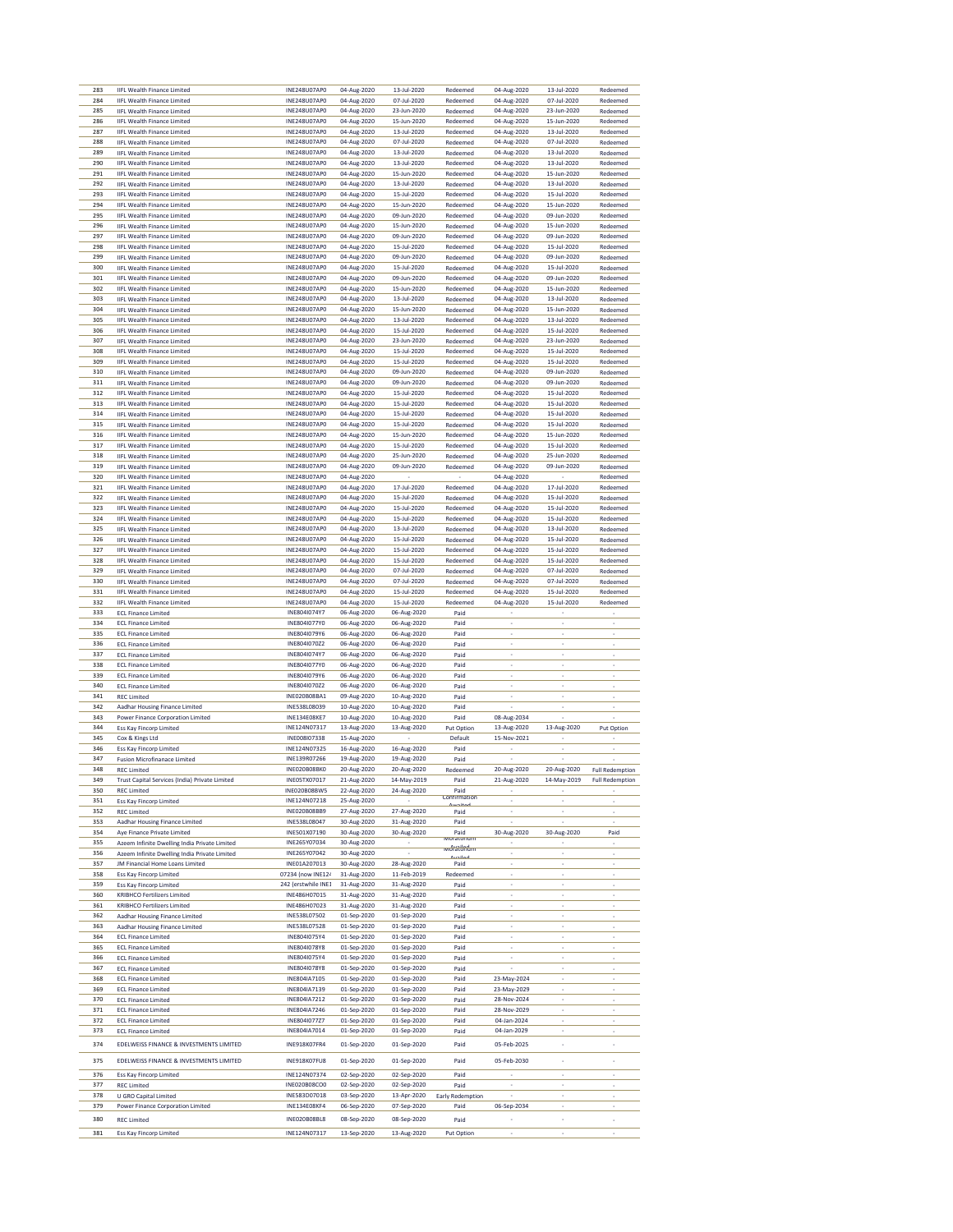|            | <b>IIFL Wealth Finance Limited</b>                                       | INE248U07AP0                 | 04-Aug-2020                | 13-Jul-2020                | Redeemed             | 04-Aug-2020                | 13-Jul-2020                | Redeemed               |
|------------|--------------------------------------------------------------------------|------------------------------|----------------------------|----------------------------|----------------------|----------------------------|----------------------------|------------------------|
| 284        | <b>IIFL Wealth Finance Limited</b>                                       | INE248U07AP0                 | 04-Aug-2020                | 07-Jul-2020                | Redeemed             | 04-Aug-2020                | 07-Jul-2020                | Redeemed               |
| 285        | <b>IIFL Wealth Finance Limited</b>                                       | INE248U07AP0                 | 04-Aug-2020                | 23-Jun-2020                | Redeemed             | 04-Aug-2020                | 23-Jun-2020                | Redeemed               |
| 286        | <b>IIFL Wealth Finance Limited</b>                                       | INE248U07AP0                 | 04-Aug-2020                | 15-Jun-2020                | Redeemed             | 04-Aug-2020                | 15-Jun-2020                | Redeemed               |
| 287        | <b>IIFL Wealth Finance Limited</b>                                       | INE248U07AP0                 | 04-Aug-2020                | 13-Jul-2020                | Redeemed             | 04-Aug-2020                | 13-Jul-2020                | Redeemed               |
| 288        | <b>IIFL Wealth Finance Limited</b>                                       | INE248U07AP0                 | 04-Aug-2020                | 07-Jul-2020                | Redeemed             | 04-Aug-2020                | 07-Jul-2020                | Redeemed               |
| 289        | <b>IIFL Wealth Finance Limited</b>                                       | INE248U07AP0                 | 04-Aug-2020                | 13-Jul-2020                | Redeemed             | 04-Aug-2020                | 13-Jul-2020                | Redeemed<br>Redeemed   |
| 290<br>291 | <b>IIFL Wealth Finance Limited</b><br><b>IIFL Wealth Finance Limited</b> | INE248U07AP0<br>INE248U07AP0 | 04-Aug-2020<br>04-Aug-2020 | 13-Jul-2020<br>15-Jun-2020 | Redeemed<br>Redeemed | 04-Aug-2020<br>04-Aug-2020 | 13-Jul-2020<br>15-Jun-2020 | Redeemed               |
| 292        | <b>IIFL Wealth Finance Limited</b>                                       | INE248U07AP0                 | 04-Aug-2020                | 13-Jul-2020                | Redeemed             | 04-Aug-2020                | 13-Jul-2020                | Redeemed               |
| 293        | <b>IIFL Wealth Finance Limited</b>                                       | INE248U07AP0                 | 04-Aug-2020                | 15-Jul-2020                | Redeemed             | 04-Aug-2020                | 15-Jul-2020                | Redeemed               |
| 294        | <b>IIFL Wealth Finance Limited</b>                                       | INE248U07AP0                 | 04-Aug-2020                | 15-Jun-2020                | Redeemed             | 04-Aug-2020                | 15-Jun-2020                | Redeemed               |
| 295        | <b>IIFL Wealth Finance Limited</b>                                       | INE248U07AP0                 | 04-Aug-2020                | 09-Jun-2020                | Redeemed             | 04-Aug-2020                | 09-Jun-2020                | Redeemed               |
| 296        | <b>IIFL Wealth Finance Limited</b>                                       | INE248U07AP0                 | 04-Aug-2020                | 15-Jun-2020                | Redeemed             | 04-Aug-2020                | 15-Jun-2020                | Redeemed               |
| 297        | <b>IIFL Wealth Finance Limited</b>                                       | INE248U07AP0                 | 04-Aug-2020                | 09-Jun-2020                | Redeemed             | 04-Aug-2020                | 09-Jun-2020                | Redeemed               |
| 298        | <b>IIFL Wealth Finance Limited</b>                                       | INE248U07AP0                 | 04-Aug-2020                | 15-Jul-2020                | Redeemed             | 04-Aug-2020                | 15-Jul-2020                | Redeemed               |
| 299        | <b>IIFL Wealth Finance Limited</b>                                       | INE248U07AP0                 | 04-Aug-2020                | 09-Jun-2020                | Redeemed             | 04-Aug-2020                | 09-Jun-2020                | Redeemed               |
| 300        | <b>IIFL Wealth Finance Limited</b>                                       | INE248U07AP0                 | 04-Aug-2020                | 15-Jul-2020                | Redeemed             | 04-Aug-2020                | 15-Jul-2020                | Redeemed               |
| 301        | <b>IIFL Wealth Finance Limited</b>                                       | INE248U07AP0                 | 04-Aug-2020                | 09-Jun-2020                | Redeemed             | 04-Aug-2020                | 09-Jun-2020                | Redeemed               |
| 302        | <b>IIFL Wealth Finance Limited</b>                                       | INE248U07AP0                 | 04-Aug-2020                | 15-Jun-2020                | Redeemed             | 04-Aug-2020                | 15-Jun-2020                | Redeemed               |
| 303        | <b>IIFL Wealth Finance Limited</b>                                       | INE248U07AP0                 | 04-Aug-2020                | 13-Jul-2020                | Redeemed             | 04-Aug-2020                | 13-Jul-2020                | Redeemed               |
| 304<br>305 | <b>IIFL Wealth Finance Limited</b>                                       | INE248U07AP0<br>INE248U07AP0 | 04-Aug-2020                | 15-Jun-2020<br>13-Jul-2020 | Redeemed             | 04-Aug-2020                | 15-Jun-2020<br>13-Jul-2020 | Redeemed               |
| 306        | <b>IIFL Wealth Finance Limited</b>                                       | INE248U07AP0                 | 04-Aug-2020<br>04-Aug-2020 | 15-Jul-2020                | Redeemed             | 04-Aug-2020<br>04-Aug-2020 | 15-Jul-2020                | Redeemed               |
| 307        | <b>IIFL Wealth Finance Limited</b><br><b>IIFL Wealth Finance Limited</b> | INE248U07AP0                 | 04-Aug-2020                | 23-Jun-2020                | Redeemed<br>Redeemed | 04-Aug-2020                | 23-Jun-2020                | Redeemed<br>Redeemed   |
| 308        | <b>IIFL Wealth Finance Limited</b>                                       | INE248U07AP0                 | 04-Aug-2020                | 15-Jul-2020                | Redeemed             | 04-Aug-2020                | 15-Jul-2020                | Redeemed               |
| 309        | <b>IIFL Wealth Finance Limited</b>                                       | INE248U07AP0                 | 04-Aug-2020                | 15-Jul-2020                | Redeemed             | 04-Aug-2020                | 15-Jul-2020                | Redeemed               |
| 310        | <b>IIFL Wealth Finance Limited</b>                                       | INE248U07AP0                 | 04-Aug-2020                | 09-Jun-2020                | Redeemed             | 04-Aug-2020                | 09-Jun-2020                | Redeemed               |
| 311        | <b>IIFL Wealth Finance Limited</b>                                       | INE248U07AP0                 | 04-Aug-2020                | 09-Jun-2020                | Redeemed             | 04-Aug-2020                | 09-Jun-2020                | Redeemed               |
| 312        | <b>IIFL Wealth Finance Limited</b>                                       | INE248U07AP0                 | 04-Aug-2020                | 15-Jul-2020                | Redeemed             | 04-Aug-2020                | 15-Jul-2020                | Redeemed               |
| 313        | <b>IIFL Wealth Finance Limited</b>                                       | INE248U07AP0                 | 04-Aug-2020                | 15-Jul-2020                | Redeemed             | 04-Aug-2020                | 15-Jul-2020                | Redeemed               |
| 314        | <b>IIFL Wealth Finance Limited</b>                                       | INE248U07AP0                 | 04-Aug-2020                | 15-Jul-2020                | Redeemed             | 04-Aug-2020                | 15-Jul-2020                | Redeemed               |
| 315        | <b>IIFL Wealth Finance Limited</b>                                       | INE248U07AP0                 | 04-Aug-2020                | 15-Jul-2020                | Redeemed             | 04-Aug-2020                | 15-Jul-2020                | Redeemed               |
| 316        | <b>IIFL Wealth Finance Limited</b>                                       | INE248U07AP0                 | 04-Aug-2020                | 15-Jun-2020                | Redeemed             | 04-Aug-2020                | 15-Jun-2020                | Redeemed               |
| 317        | <b>IIFL Wealth Finance Limited</b>                                       | INE248U07AP0                 | 04-Aug-2020                | 15-Jul-2020                | Redeemed             | 04-Aug-2020                | 15-Jul-2020                | Redeemed               |
| 318        | <b>IIFL Wealth Finance Limited</b>                                       | INE248U07AP0                 | 04-Aug-2020                | 25-Jun-2020                | Redeemed             | 04-Aug-2020                | 25-Jun-2020                | Redeemed               |
| 319        | <b>IIFL Wealth Finance Limited</b>                                       | INE248U07AP0<br>INE248U07AP0 | 04-Aug-2020                | 09-Jun-2020                | Redeemed             | 04-Aug-2020                | 09-Jun-2020                | Redeemed               |
| 320<br>321 | <b>IIFL Wealth Finance Limited</b><br><b>IIFL Wealth Finance Limited</b> | INE248U07AP0                 | 04-Aug-2020<br>04-Aug-2020 | 17-Jul-2020                | Redeemed             | 04-Aug-2020<br>04-Aug-2020 | 17-Jul-2020                | Redeemed<br>Redeemed   |
| 322        | <b>IIFL Wealth Finance Limited</b>                                       | INE248U07AP0                 | 04-Aug-2020                | 15-Jul-2020                | Redeemed             | 04-Aug-2020                | 15-Jul-2020                | Redeemed               |
| 323        | <b>IIFL Wealth Finance Limited</b>                                       | INE248U07AP0                 | 04-Aug-2020                | 15-Jul-2020                | Redeemed             | 04-Aug-2020                | 15-Jul-2020                | Redeemed               |
| 324        | <b>IIFL Wealth Finance Limited</b>                                       | INE248U07AP0                 | 04-Aug-2020                | 15-Jul-2020                | Redeemed             | 04-Aug-2020                | 15-Jul-2020                | Redeemed               |
| 325        | <b>IIFL Wealth Finance Limited</b>                                       | INE248U07AP0                 | 04-Aug-2020                | 13-Jul-2020                | Redeemed             | 04-Aug-2020                | 13-Jul-2020                | Redeemed               |
| 326        | <b>IIFL Wealth Finance Limited</b>                                       | INE248U07AP0                 | 04-Aug-2020                | 15-Jul-2020                | Redeemed             | 04-Aug-2020                | 15-Jul-2020                | Redeemed               |
| 327        | <b>IIFL Wealth Finance Limited</b>                                       | INE248U07AP0                 | 04-Aug-2020                | 15-Jul-2020                | Redeemed             | 04-Aug-2020                | 15-Jul-2020                | Redeemed               |
| 328        | <b>IIFL Wealth Finance Limited</b>                                       | INE248U07AP0                 | 04-Aug-2020                | 15-Jul-2020                | Redeemed             | 04-Aug-2020                | 15-Jul-2020                | Redeemed               |
| 329        | <b>IIFL Wealth Finance Limited</b>                                       | INE248U07AP0                 | 04-Aug-2020                | 07-Jul-2020                | Redeemed             | 04-Aug-2020                | 07-Jul-2020                | Redeemed               |
| 330        | <b>IIFL Wealth Finance Limited</b>                                       | INE248U07AP0                 | 04-Aug-2020                | 07-Jul-2020                | Redeemed             | 04-Aug-2020                | 07-Jul-2020                | Redeemed               |
| 331        | <b>IIFL Wealth Finance Limited</b>                                       | INE248U07AP0                 | 04-Aug-2020                | 15-Jul-2020                | Redeemed             | 04-Aug-2020                | 15-Jul-2020                | Redeemed               |
| 332        | <b>IIFL Wealth Finance Limited</b>                                       | INE248U07AP0                 | 04-Aug-2020                | 15-Jul-2020                | Redeemed             | 04-Aug-2020                | 15-Jul-2020                | Redeemed               |
| 333        | <b>ECL Finance Limited</b>                                               | INE804I074Y7                 | 06-Aug-2020                | 06-Aug-2020                | Paid                 |                            |                            |                        |
| 334<br>335 | <b>ECL Finance Limited</b>                                               | INE804I077Y0                 | 06-Aug-2020                | 06-Aug-2020                | Paid                 |                            | ×<br>×                     |                        |
| 336        | <b>ECL Finance Limited</b><br><b>ECL Finance Limited</b>                 | INE804I079Y6<br>INE804I070Z2 | 06-Aug-2020<br>06-Aug-2020 | 06-Aug-2020<br>06-Aug-2020 | Paid<br>Paid         | ×                          | $\overline{\phantom{a}}$   |                        |
|            |                                                                          |                              |                            |                            |                      |                            |                            |                        |
|            |                                                                          |                              |                            |                            |                      |                            |                            |                        |
| 337        | <b>ECL Finance Limited</b>                                               | INE804I074Y7                 | 06-Aug-2020                | 06-Aug-2020                | Paid                 | i,                         | i,                         |                        |
| 338<br>339 | <b>ECL Finance Limited</b>                                               | INE804I077Y0                 | 06-Aug-2020                | 06-Aug-2020                | Paid                 |                            | ×                          |                        |
|            | <b>ECL Finance Limited</b><br><b>ECL Finance Limited</b>                 | INE804I079Y6                 | 06-Aug-2020                | 06-Aug-2020                | Paid                 | $\overline{\phantom{a}}$   | $\overline{\phantom{a}}$   | ×                      |
| 340<br>341 | <b>REC Limited</b>                                                       | INE804I070Z2<br>INE020B08BA1 | 06-Aug-2020<br>09-Aug-2020 | 06-Aug-2020                | Paid<br>Paid         |                            | i,                         |                        |
| 342        | Aadhar Housing Finance Limited                                           | INE538L08039                 | 10-Aug-2020                | 10-Aug-2020<br>10-Aug-2020 | Paid                 |                            | ×                          |                        |
| 343        | Power Finance Corporation Limited                                        | <b>INE134E08KE7</b>          | 10-Aug-2020                | 10-Aug-2020                | Paid                 | 08-Aug-2034                |                            |                        |
| 344        | Ess Kay Fincorp Limited                                                  | INE124N07317                 | 13-Aug-2020                | 13-Aug-2020                | Put Option           | 13-Aug-2020                | 13-Aug-2020                | Put Option             |
| 345        | Cox & Kings Ltd                                                          | INE008I07338                 | 15-Aug-2020                |                            | Default              | 15-Nov-2021                |                            |                        |
| 346        | Ess Kay Fincorp Limited                                                  | INE124N07325                 | 16-Aug-2020                | 16-Aug-2020                | Paid                 |                            |                            |                        |
| 347        | <b>Fusion Microfinanace Limited</b>                                      | INE139R07266                 | 19-Aug-2020                | 19-Aug-2020                | Paid                 |                            |                            |                        |
| 348        | <b>REC Limited</b>                                                       | INE020B08BK0                 | 20-Aug-2020                | 20-Aug-2020                | Redeemed             | 20-Aug-2020                | 20-Aug-2020                | <b>Full Redemption</b> |
| 349        | Services (India) Private Limited                                         | <b>INE05TX07017</b>          | 21-Aug-2020                | 14-May-2019                | Paid                 | 21-Aug-2020                | 14-May-2019                | Full Rede              |
| 350        | <b>REC Limited</b>                                                       | INE020B08BW5                 | 22-Aug-2020                | 24-Aug-2020                | Paid<br>continmation |                            |                            |                        |
| 351<br>352 | Ess Kay Fincorp Limited<br><b>REC Limited</b>                            | INE124N07218<br>INE020B08BB9 | 25-Aug-2020                | 27-Aug-2020                | Paid                 | ×,                         | ×                          | ٠                      |
| 353        | Aadhar Housing Finance Limited                                           | INE538L08047                 | 27-Aug-2020<br>30-Aug-2020 | 31-Aug-2020                | Paid                 | l,                         | i,                         | i,                     |
| 354        | Aye Finance Private Limited                                              | INE501X07190                 | 30-Aug-2020                | 30-Aug-2020                | Paid                 | 30-Aug-2020                | 30-Aug-2020                | Paid                   |
| 355        | Azeem Infinite Dwelling India Private Limited                            | INE265Y07034                 | 30-Aug-2020                |                            | <b>IVIORATORIUM</b>  |                            |                            |                        |
| 356        | Azeem Infinite Dwelling India Private Limited                            | INE265Y07042                 | 30-Aug-2020                |                            | moratorium<br>ملئت   | $\overline{\phantom{a}}$   | $\overline{\phantom{a}}$   | ٠                      |
| 357        | JM Financial Home Loans Limited                                          | INE01A207013                 | 30-Aug-2020                | 28-Aug-2020                | Paid                 | $\overline{\phantom{a}}$   | $\cdot$                    | ÷,                     |
| 358        | <b>Ess Kay Fincorp Limited</b>                                           | 07234 (now INE124            | 31-Aug-2020                | 11-Feb-2019                | Redeemed             | ÷                          | ÷                          |                        |
| 359        | <b>Ess Kay Fincorp Limited</b>                                           | 242 (erstwhile INE1          | 31-Aug-2020                | 31-Aug-2020                | Paid                 |                            | ÷,                         |                        |
| 360        | <b>KRIBHCO Fertilizers Limited</b>                                       | INF486H07015                 | 31-Aug-2020                | 31-Aug-2020                | Paid                 |                            |                            |                        |
| 361        | <b>KRIBHCO Fertilizers Limited</b>                                       | INE486H07023                 | 31-Aug-2020                | 31-Aug-2020                | Paid                 | $\overline{\phantom{a}}$   | ÷                          |                        |
| 362        | Aadhar Housing Finance Limited                                           | INE538L07502                 | 01-Sep-2020                | 01-Sep-2020                | Paid                 |                            | i,                         |                        |
| 363        | Aadhar Housing Finance Limited                                           | INE538L07528                 | 01-Sep-2020                | 01-Sep-2020                | Paid                 |                            | ×<br>٠                     |                        |
| 364<br>365 | <b>ECL Finance Limited</b><br><b>ECL Finance Limited</b>                 | INE804I075Y4<br>INE804I078Y8 | 01-Sep-2020                | 01-Sep-2020                | Paid<br>Paid         | $\overline{\phantom{a}}$   | $\overline{\phantom{a}}$   | ×                      |
| 366        | <b>ECL Finance Limited</b>                                               | INE804I075Y4                 | 01-Sep-2020<br>01-Sep-2020 | 01-Sep-2020<br>01-Sep-2020 | Paid                 |                            | i,                         |                        |
| 367        | <b>ECL Finance Limited</b>                                               | INE804I078Y8                 | 01-Sep-2020                | 01-Sep-2020                | Paid                 |                            | ÷,                         |                        |
| 368        | <b>ECL Finance Limited</b>                                               | INE804IA7105                 | 01-Sep-2020                | 01-Sep-2020                | Paid                 | 23-May-2024                |                            |                        |
| 369        | <b>ECL Finance Limited</b>                                               | INE804IA7139                 | 01-Sep-2020                | 01-Sep-2020                | Paid                 | 23-May-2029                | $\overline{\phantom{a}}$   | ×                      |
| 370        | <b>ECL Finance Limited</b>                                               | INE804IA7212                 | 01-Sep-2020                | 01-Sep-2020                | Paid                 | 28-Nov-2024                |                            |                        |
| 371        | <b>ECL Finance Limited</b>                                               | INE804IA7246                 | 01-Sep-2020                | 01-Sep-2020                | Paid                 | 28-Nov-2029                | i,                         |                        |
| 372        | <b>ECL Finance Limited</b>                                               | INE804I077Z7                 | 01-Sep-2020                | 01-Sep-2020                | Paid                 | 04-Jan-2024                |                            |                        |
| 373        | <b>ECL Finance Limited</b>                                               | INE804IA7014                 | 01-Sep-2020                | 01-Sep-2020                | Paid                 | 04-Jan-2029                | $\overline{\phantom{a}}$   |                        |
| 374        | EDELWEISS FINANCE & INVESTMENTS LIMITED                                  | INE918K07FR4                 | 01-Sep-2020                | 01-Sep-2020                | Paid                 | 05-Feb-2025                | $\overline{\phantom{a}}$   | ×,                     |
| 375        | EDELWEISS FINANCE & INVESTMENTS LIMITED                                  | INE918K07FU8                 | 01-Sep-2020                | 01-Sep-2020                | Paid                 | 05-Feb-2030                | ×,                         | i,                     |
| 376        |                                                                          | INE124N07374                 |                            |                            |                      |                            | i,                         |                        |
| 377        | Ess Kay Fincorp Limited<br><b>REC Limited</b>                            | INE020B08CO0                 | 02-Sep-2020<br>02-Sep-2020 | 02-Sep-2020<br>02-Sep-2020 | Paid<br>Paid         |                            | ×                          |                        |
| 378        | U GRO Capital Limited                                                    | INE583D07018                 | 03-Sep-2020                | 13-Apr-2020                | Early Redemption     |                            |                            |                        |
| 379        | Power Finance Corporation Limited                                        | <b>INE134E08KF4</b>          | 06-Sep-2020                | 07-Sep-2020                | Paid                 | 06-Sep-2034                | $\overline{\phantom{a}}$   | ×                      |
| 380        |                                                                          | <b>INE020B08BL8</b>          |                            |                            | Paid                 |                            | ٠                          | i,                     |
| 381        | <b>REC Limited</b><br>Ess Kay Fincorp Limited                            | INE124N07317                 | 08-Sep-2020<br>13-Sep-2020 | 08-Sep-2020<br>13-Aug-2020 | Put Option           |                            |                            |                        |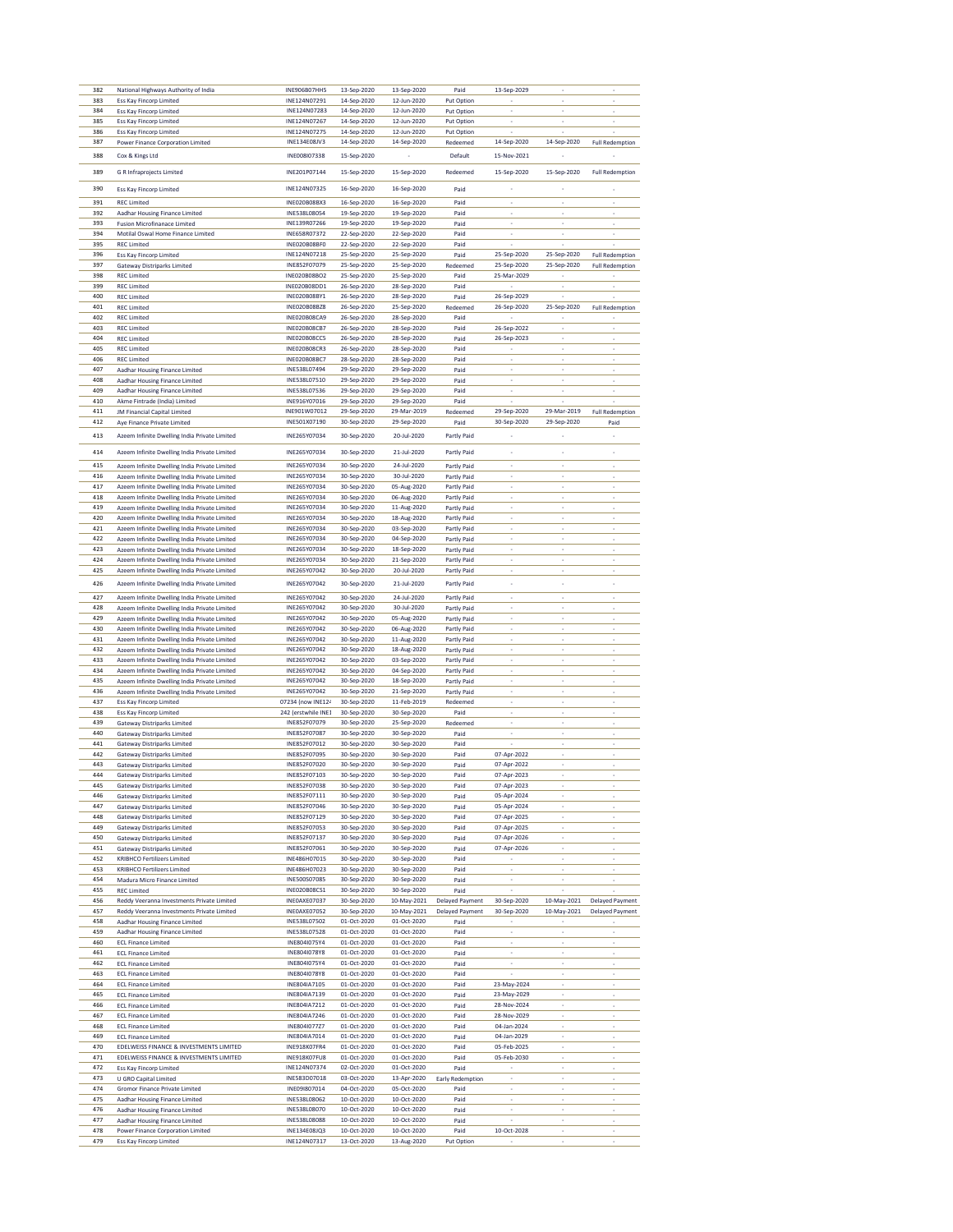| 382 | National Highways Authority of India          | INE906B07HH5        | 13-Sep-2020 | 13-Sep-2020 | Paid                   | 13-Sep-2029              |                          |                          |
|-----|-----------------------------------------------|---------------------|-------------|-------------|------------------------|--------------------------|--------------------------|--------------------------|
| 383 | Ess Kay Fincorp Limited                       | INE124N07291        | 14-Sep-2020 | 12-Jun-2020 | Put Option             |                          |                          |                          |
| 384 | Ess Kay Fincorp Limited                       | INE124N07283        | 14-Sep-2020 | 12-Jun-2020 | Put Option             |                          |                          |                          |
| 385 | <b>Ess Kay Fincorp Limited</b>                | INE124N07267        | 14-Sep-2020 | 12-Jun-2020 | Put Option             |                          |                          |                          |
|     |                                               |                     |             |             |                        |                          |                          |                          |
| 386 | <b>Ess Kay Fincorp Limited</b>                | INE124N07275        | 14-Sep-2020 | 12-Jun-2020 | Put Option             |                          |                          |                          |
| 387 | Power Finance Corporation Limited             | INE134E08JV3        | 14-Sep-2020 | 14-Sep-2020 | Redeemed               | 14-Sep-2020              | 14-Sep-2020              | <b>Full Redemption</b>   |
|     |                                               |                     |             |             |                        |                          |                          |                          |
| 388 | Cox & Kings Ltd                               | INE008I07338        | 15-Sep-2020 |             | Default                | 15-Nov-2021              |                          |                          |
|     |                                               |                     |             |             |                        |                          | 15-Sep-2020              |                          |
| 389 | <b>G R Infraprojects Limited</b>              | INE201P07144        | 15-Sep-2020 | 15-Sep-2020 | Redeemed               | 15-Sep-2020              |                          | <b>Full Redemption</b>   |
|     |                                               |                     |             |             |                        |                          |                          |                          |
| 390 | <b>Ess Kay Fincorp Limited</b>                | INE124N07325        | 16-Sep-2020 | 16-Sep-2020 | Paid                   |                          |                          |                          |
| 391 | <b>REC Limited</b>                            | INE020B08BX3        | 16-Sep-2020 | 16-Sep-2020 | Paid                   | i,                       | i,                       | i,                       |
|     |                                               |                     |             |             |                        |                          |                          |                          |
| 392 | Aadhar Housing Finance Limited                | INE538L08054        | 19-Sep-2020 | 19-Sep-2020 | Paid                   |                          |                          |                          |
| 393 | <b>Fusion Microfinanace Limited</b>           | INE139R07266        | 19-Sep-2020 | 19-Sep-2020 | Paid                   |                          |                          |                          |
| 394 | Motilal Oswal Home Finance Limited            | INE658R07372        | 22-Sep-2020 | 22-Sep-2020 | Paid                   | ï                        | ٠                        | ٠                        |
|     |                                               |                     |             |             |                        |                          |                          |                          |
| 395 | <b>REC Limited</b>                            | INE020B08BF0        | 22-Sep-2020 | 22-Sep-2020 | Paid                   |                          |                          |                          |
| 396 | <b>Ess Kay Fincorp Limited</b>                | INE124N07218        | 25-Sep-2020 | 25-Sep-2020 | Paid                   | 25-Sep-2020              | 25-Sep-2020              | <b>Full Redemption</b>   |
| 397 | <b>Gateway Distriparks Limited</b>            | INE852F07079        | 25-Sep-2020 | 25-Sep-2020 | Redeemed               | 25-Sep-2020              | 25-Sep-2020              | <b>Full Redemption</b>   |
|     | <b>REC Limited</b>                            |                     |             |             |                        |                          |                          |                          |
| 398 |                                               | INE020B08BO2        | 25-Sep-2020 | 25-Sep-2020 | Paid                   | 25-Mar-2029              |                          |                          |
| 399 | <b>REC Limited</b>                            | INE020B08DD1        | 26-Sep-2020 | 28-Sep-2020 | Paid                   |                          | ×                        | i,                       |
| 400 | <b>REC Limited</b>                            | INE020B08BY1        | 26-Sep-2020 | 28-Sep-2020 | Paid                   | 26-Sep-2029              |                          |                          |
| 401 | <b>REC Limited</b>                            | INE020B08BZ8        | 26-Sep-2020 | 25-Sep-2020 | Redeemed               | 26-Sep-2020              | 25-Sep-2020              | <b>Full Redemption</b>   |
|     |                                               |                     |             |             |                        |                          |                          |                          |
| 402 | <b>REC Limited</b>                            | <b>INE020B08CA9</b> | 26-Sep-2020 | 28-Sep-2020 | Paid                   |                          |                          |                          |
| 403 | <b>REC Limited</b>                            | INE020B08CB7        | 26-Sep-2020 | 28-Sep-2020 | Paid                   | 26-Sep-2022              | ×                        | i,                       |
| 404 | <b>REC Limited</b>                            | <b>INE020B08CC5</b> | 26-Sep-2020 | 28-Sep-2020 | Paid                   | 26-Sep-2023              |                          |                          |
|     |                                               |                     |             |             |                        |                          |                          |                          |
| 405 | <b>REC Limited</b>                            | INE020B08CR3        | 26-Sep-2020 | 28-Sep-2020 | Paid                   |                          |                          |                          |
| 406 | <b>REC Limited</b>                            | <b>INE020B08BC7</b> | 28-Sep-2020 | 28-Sep-2020 | Paid                   |                          |                          |                          |
| 407 | Aadhar Housing Finance Limited                | INE538L07494        | 29-Sep-2020 | 29-Sep-2020 | Paid                   | ×                        | ×                        | ×                        |
|     |                                               |                     |             |             |                        |                          |                          |                          |
| 408 | Aadhar Housing Finance Limited                | INE538L07510        | 29-Sep-2020 | 29-Sep-2020 | Paid                   |                          |                          |                          |
| 409 | Aadhar Housing Finance Limited                | INE538L07536        | 29-Sep-2020 | 29-Sep-2020 | Paid                   |                          |                          |                          |
| 410 | Akme Fintrade (India) Limited                 | INE916Y07016        | 29-Sep-2020 | 29-Sep-2020 | Paid                   |                          |                          |                          |
|     |                                               |                     |             |             |                        |                          | 29-Mar-2019              |                          |
| 411 | <b>JM Financial Capital Limited</b>           | INE901W07012        | 29-Sep-2020 | 29-Mar-2019 | Redeemed               | 29-Sep-2020              |                          | <b>Full Redemption</b>   |
| 412 | Aye Finance Private Limited                   | INE501X07190        | 30-Sep-2020 | 29-Sep-2020 | Paid                   | 30-Sep-2020              | 29-Sep-2020              | Paid                     |
|     |                                               |                     |             |             |                        |                          |                          |                          |
| 413 | Azeem Infinite Dwelling India Private Limited | INE265Y07034        | 30-Sep-2020 | 20-Jul-2020 | Partly Paid            |                          |                          |                          |
|     |                                               |                     |             |             |                        |                          |                          |                          |
| 414 | Azeem Infinite Dwelling India Private Limited | INE265Y07034        | 30-Sep-2020 | 21-Jul-2020 | Partly Paid            |                          |                          |                          |
|     |                                               |                     |             |             |                        |                          |                          |                          |
| 415 | Azeem Infinite Dwelling India Private Limited | INE265Y07034        | 30-Sep-2020 | 24-Jul-2020 | Partly Paid            |                          |                          |                          |
| 416 | Azeem Infinite Dwelling India Private Limited | INE265Y07034        | 30-Sep-2020 | 30-Jul-2020 | Partly Paid            |                          |                          |                          |
| 417 | Azeem Infinite Dwelling India Private Limited | INE265Y07034        | 30-Sep-2020 | 05-Aug-2020 | Partly Paid            | ×                        | ×                        |                          |
|     |                                               |                     |             |             |                        |                          |                          |                          |
| 418 | Azeem Infinite Dwelling India Private Limited | INE265Y07034        | 30-Sep-2020 | 06-Aug-2020 | Partly Paid            |                          |                          |                          |
| 419 | Azeem Infinite Dwelling India Private Limited | INE265Y07034        | 30-Sep-2020 | 11-Aug-2020 | Partly Paid            | ï                        |                          |                          |
| 420 | Azeem Infinite Dwelling India Private Limited | INE265Y07034        | 30-Sep-2020 | 18-Aug-2020 | Partly Paid            |                          |                          |                          |
|     |                                               |                     |             |             |                        |                          |                          |                          |
| 421 | Azeem Infinite Dwelling India Private Limited | INE265Y07034        | 30-Sep-2020 | 03-Sep-2020 | Partly Paid            | ×                        | i,                       |                          |
| 422 | Azeem Infinite Dwelling India Private Limited | INE265Y07034        | 30-Sep-2020 | 04-Sep-2020 | Partly Paid            | ï                        |                          |                          |
| 423 | Azeem Infinite Dwelling India Private Limited | INE265Y07034        | 30-Sep-2020 | 18-Sep-2020 | Partly Paid            |                          |                          |                          |
|     |                                               |                     |             |             |                        |                          |                          |                          |
| 424 | Azeem Infinite Dwelling India Private Limited | INE265Y07034        | 30-Sep-2020 | 21-Sep-2020 | Partly Paid            |                          |                          |                          |
| 425 | Azeem Infinite Dwelling India Private Limited | INE265Y07042        | 30-Sep-2020 | 20-Jul-2020 | Partly Paid            | $\overline{\phantom{a}}$ | $\overline{\phantom{a}}$ | $\overline{\phantom{a}}$ |
|     |                                               |                     |             |             |                        |                          |                          |                          |
| 426 | Azeem Infinite Dwelling India Private Limited | INE265Y07042        | 30-Sep-2020 | 21-Jul-2020 | Partly Paid            | i,                       | ×,                       | ×,                       |
| 427 | Azeem Infinite Dwelling India Private Limited | INE265Y07042        | 30-Sep-2020 | 24-Jul-2020 | Partly Paid            | ï                        |                          |                          |
|     |                                               |                     |             |             |                        |                          |                          |                          |
| 428 | Azeem Infinite Dwelling India Private Limited | INE265Y07042        | 30-Sep-2020 | 30-Jul-2020 | Partly Paid            | ×                        | ×                        |                          |
| 429 | Azeem Infinite Dwelling India Private Limited | INE265Y07042        | 30-Sep-2020 | 05-Aug-2020 | Partly Paid            |                          |                          |                          |
| 430 | Azeem Infinite Dwelling India Private Limited | INE265Y07042        | 30-Sep-2020 | 06-Aug-2020 | Partly Paid            |                          |                          |                          |
|     |                                               |                     |             |             |                        |                          |                          |                          |
| 431 | Azeem Infinite Dwelling India Private Limited | INE265Y07042        | 30-Sep-2020 | 11-Aug-2020 | Partly Paid            |                          |                          |                          |
| 432 | Azeem Infinite Dwelling India Private Limited | INE265Y07042        | 30-Sep-2020 | 18-Aug-2020 | Partly Paid            | ×                        | ×                        | ×                        |
| 433 | Azeem Infinite Dwelling India Private Limited | INE265Y07042        | 30-Sep-2020 | 03-Sep-2020 | Partly Paid            | ï                        |                          |                          |
|     |                                               |                     |             |             |                        | J.                       |                          |                          |
| 434 | Azeem Infinite Dwelling India Private Limited | INE265Y07042        | 30-Sep-2020 | 04-Sep-2020 | Partly Paid            |                          | ×,                       |                          |
| 435 | Azeem Infinite Dwelling India Private Limited | INE265Y07042        | 30-Sep-2020 | 18-Sep-2020 | Partly Paid            |                          |                          |                          |
| 436 | Azeem Infinite Dwelling India Private Limited | INE265Y07042        | 30-Sep-2020 | 21-Sep-2020 | Partly Paid            | ٠                        | ٠                        | ×                        |
|     |                                               |                     |             |             |                        | i,                       | i,                       | i,                       |
| 437 | Ess Kay Fincorp Limited                       | 07234 (now INE124   | 30-Sep-2020 | 11-Feb-2019 | Redeemed               |                          |                          |                          |
| 438 | Ess Kay Fincorp Limited                       | 242 (erstwhile INE1 | 30-Sep-2020 | 30-Sep-2020 | Paid                   |                          |                          |                          |
| 439 | Gateway Distriparks Limited                   | INE852F07079        | 30-Sep-2020 | 25-Sep-2020 | Redeemed               |                          |                          |                          |
|     |                                               |                     |             |             |                        |                          |                          |                          |
| 440 | Gateway Distriparks Limited                   | INE852F07087        | 30-Sep-2020 | 30-Sep-2020 | Paid                   | ï                        | ×,                       |                          |
| 441 | Gateway Distriparks Limited                   | INE852F07012        | 30-Sep-2020 | 30-Sep-2020 | Paid                   | L                        |                          |                          |
| 442 | Gateway Distriparks Limited                   | INE852F07095        | 30-Sep-2020 | 30-Sep-2020 | Paid                   | 07-Apr-2022              |                          |                          |
|     |                                               |                     |             |             |                        |                          |                          |                          |
| 443 | <b>Gateway Distriparks Limited</b>            | INE852F07020        | 30-Sep-2020 | 30-Sep-2020 | Paid                   | 07-Apr-2022              |                          |                          |
| 444 | <b>Gateway Distriparks Limited</b>            | INE852F07103        | 30-Sep-2020 | 30-Sep-2020 | Paid                   | 07-Apr-2023              |                          |                          |
| 445 | <b>Gateway Distriparks Limited</b>            | INE852F07038        | 30-Sep-2020 | 30-Sep-2020 | Paid                   | 07-Apr-2023              |                          |                          |
|     |                                               |                     |             |             |                        |                          |                          |                          |
| 446 | <b>Gateway Distriparks Limited</b>            | INE852F07111        | 30-Sep-2020 | 30-Sep-2020 | Paid                   | 05-Apr-2024              | ÷.                       |                          |
| 447 | <b>Gateway Distriparks Limited</b>            | INE852F07046        | 30-Sep-2020 | 30-Sep-2020 | Paid                   | 05-Apr-2024              |                          |                          |
| 448 | Gateway Distriparks Limited                   | INE852F07129        | 30-Sep-2020 | 30-Sep-2020 | Paid                   | 07-Apr-2025              | ٠                        | $\overline{\phantom{a}}$ |
| 449 | <b>Gateway Distriparks Limited</b>            | INE852F07053        | 30-Sep-2020 | 30-Sep-2020 | Paid                   | 07-Apr-2025              | ÷                        |                          |
|     |                                               |                     |             |             |                        |                          |                          |                          |
| 450 | Gateway Distriparks Limited                   | INE852F07137        | 30-Sep-2020 | 30-Sep-2020 | Paid                   | 07-Apr-2026              |                          |                          |
| 451 | <b>Gateway Distriparks Limited</b>            | INE852F07061        | 30-Sep-2020 | 30-Sep-2020 | Paid                   | 07-Apr-2026              |                          |                          |
| 452 | <b>KRIBHCO Fertilizers Limited</b>            | INE486H07015        | 30-Sep-2020 | 30-Sep-2020 | Paid                   |                          |                          |                          |
| 453 |                                               | INE486H07023        |             | 30-Sep-2020 |                        | ×                        | ×                        |                          |
|     | <b>KRIBHCO Fertilizers Limited</b>            |                     | 30-Sep-2020 |             | Paid                   |                          |                          |                          |
| 454 | Madura Micro Finance Limited                  | INE500S07085        | 30-Sep-2020 | 30-Sep-2020 | Paid                   |                          |                          |                          |
| 455 | <b>REC Limited</b>                            | INE020B08CS1        | 30-Sep-2020 | 30-Sep-2020 | Paid                   |                          |                          |                          |
| 456 | Reddy Veeranna Investments Private Limited    | INFOAXFO7037        | 30-Sep-2020 | 10-May-2021 | <b>Delayed Payment</b> | 30-Sep-2020              | 10-May-2021              | <b>Delayed Payment</b>   |
|     |                                               |                     |             |             |                        |                          |                          |                          |
| 457 | Reddy Veeranna Investments Private Limited    | INEOAXE07052        | 30-Sep-2020 | 10-May-2021 | <b>Delayed Payment</b> | 30-Sep-2020              | 10-May-2021              | <b>Delayed Payment</b>   |
| 458 | Aadhar Housing Finance Limited                | INE538L07502        | 01-Oct-2020 | 01-Oct-2020 | Paid                   |                          |                          |                          |
| 459 | Aadhar Housing Finance Limited                | INE538L07528        | 01-Oct-2020 | 01-Oct-2020 | Paid                   |                          |                          |                          |
| 460 |                                               | INE804I075Y4        | 01-Oct-2020 | 01-Oct-2020 | Paid                   |                          |                          |                          |
|     | <b>ECL Finance Limited</b>                    |                     |             |             |                        |                          |                          | ٠                        |
| 461 | <b>ECL Finance Limited</b>                    | INE804I078Y8        | 01-Oct-2020 | 01-Oct-2020 | Paid                   | ٠                        | $\overline{\phantom{a}}$ | ÷                        |
| 462 | <b>ECL Finance Limited</b>                    | INE804I075Y4        | 01-Oct-2020 | 01-Oct-2020 | Paid                   |                          |                          |                          |
| 463 |                                               | INE804I078Y8        |             |             |                        |                          |                          |                          |
|     | <b>ECL Finance Limited</b>                    |                     | 01-Oct-2020 | 01-Oct-2020 | Paid                   |                          |                          |                          |
| 464 | <b>ECL Finance Limited</b>                    | INE804IA7105        | 01-Oct-2020 | 01-Oct-2020 | Paid                   | 23-May-2024              |                          |                          |
| 465 | <b>ECL Finance Limited</b>                    | INE804IA7139        | 01-Oct-2020 | 01-Oct-2020 | Paid                   | 23-May-2029              | ٠                        |                          |
| 466 |                                               | INE804IA7212        | 01-Oct-2020 | 01-Oct-2020 |                        | 28-Nov-2024              | ÷,                       |                          |
|     | <b>ECL Finance Limited</b>                    |                     |             |             | Paid                   |                          |                          |                          |
| 467 | <b>ECL Finance Limited</b>                    | INE804IA7246        | 01-Oct-2020 | 01-Oct-2020 | Paid                   | 28-Nov-2029              |                          |                          |
| 468 | <b>ECL Finance Limited</b>                    | INE804I077Z7        | 01-Oct-2020 | 01-Oct-2020 | Paid                   | 04-Jan-2024              |                          |                          |
|     |                                               |                     |             |             |                        |                          |                          |                          |
| 469 | <b>ECL Finance Limited</b>                    | INE804IA7014        | 01-Oct-2020 | 01-Oct-2020 | Paid                   | 04-Jan-2029              |                          | $\overline{\phantom{a}}$ |
| 470 | EDELWEISS FINANCE & INVESTMENTS LIMITED       | INE918K07FR4        | 01-Oct-2020 | 01-Oct-2020 | Paid                   | 05-Feb-2025              | i,                       | i,                       |
| 471 | EDELWEISS FINANCE & INVESTMENTS LIMITED       | INE918K07FU8        | 01-Oct-2020 | 01-Oct-2020 | Paid                   | 05-Feb-2030              |                          |                          |
| 472 | <b>Ess Kay Fincorp Limited</b>                | INE124N07374        | 02-Oct-2020 | 01-Oct-2020 | Paid                   |                          |                          |                          |
|     |                                               |                     |             |             |                        |                          |                          |                          |
| 473 | U GRO Capital Limited                         | INE583D07018        | 03-Oct-2020 | 13-Apr-2020 | Early Redemption       | ٠                        |                          | ٠                        |
| 474 |                                               |                     |             | 05-Oct-2020 | Paid                   | $\overline{\phantom{a}}$ | $\overline{\phantom{a}}$ | i,                       |
| 475 | Gromor Finance Private Limited                | INE091807014        | 04-Oct-2020 |             |                        |                          |                          |                          |
|     |                                               |                     |             |             |                        | L                        | i,                       |                          |
|     | Aadhar Housing Finance Limited                | INE538L08062        | 10-Oct-2020 | 10-Oct-2020 | Paid                   |                          |                          |                          |
| 476 | Aadhar Housing Finance Limited                | INE538L08070        | 10-Oct-2020 | 10-Oct-2020 | Paid                   |                          |                          |                          |
| 477 | Aadhar Housing Finance Limited                | INE538L08088        | 10-Oct-2020 | 10-Oct-2020 | Paid                   |                          |                          |                          |
| 478 | Power Finance Corporation Limited             | INE134E08JQ3        | 10-Oct-2020 | 10-Oct-2020 | Paid                   | 10-Oct-2028              | ×                        |                          |
| 479 | <b>Ess Kay Fincorp Limited</b>                | INE124N07317        | 13-Oct-2020 | 13-Aug-2020 | Put Option             |                          |                          |                          |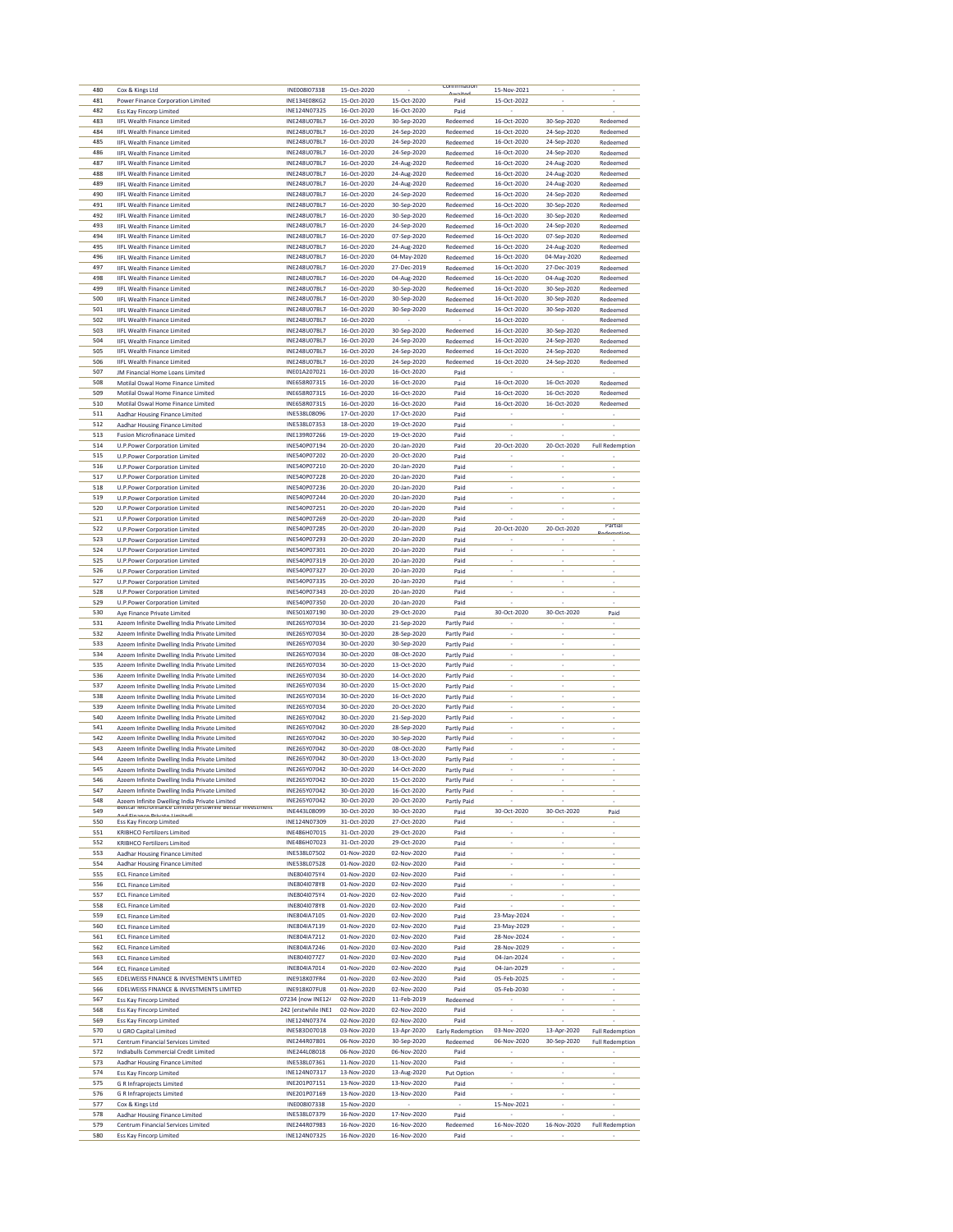| 480        | Cox & Kings Ltd                                                                                | INE008I07338                 | 15-Oct-2020                |                            | commmation                        | 15-Nov-2021                |                            |                          |
|------------|------------------------------------------------------------------------------------------------|------------------------------|----------------------------|----------------------------|-----------------------------------|----------------------------|----------------------------|--------------------------|
| 481        | Power Finance Corporation Limited                                                              | INE134E08KG2                 | 15-Oct-2020                | 15-Oct-2020                | Paid                              | 15-Oct-2022                |                            |                          |
| 482        | <b>Ess Kay Fincorp Limited</b>                                                                 | INE124N07325                 | 16-Oct-2020                | 16-Oct-2020                | Paid                              |                            |                            |                          |
| 483<br>484 | <b>IIFL Wealth Finance Limited</b><br><b>IIFL Wealth Finance Limited</b>                       | INE248U07BL7<br>INE248U07BL7 | 16-Oct-2020<br>16-Oct-2020 | 30-Sep-2020<br>24-Sep-2020 | Redeemed<br>Redeemed              | 16-Oct-2020<br>16-Oct-2020 | 30-Sep-2020<br>24-Sep-2020 | Redeemed<br>Redeemed     |
| 485        | <b>IIFL Wealth Finance Limited</b>                                                             | INE248U07BL7                 | 16-Oct-2020                | 24-Sep-2020                | Redeemed                          | 16-Oct-2020                | 24-Sep-2020                | Redeemed                 |
| 486        | <b>IIFL Wealth Finance Limited</b>                                                             | INE248U07BL7                 | 16-Oct-2020                | 24-Sep-2020                | Redeemed                          | 16-Oct-2020                | 24-Sep-2020                | Redeemed                 |
| 487        | <b>IIFL Wealth Finance Limited</b>                                                             | INE248U07BL7                 | 16-Oct-2020                | 24-Aug-2020                | Redeemed                          | 16-Oct-2020                | 24-Aug-2020                | Redeemed                 |
| 488        | <b>IIFL Wealth Finance Limited</b>                                                             | INE248U07BL7                 | 16-Oct-2020                | 24-Aug-2020                | Redeemed                          | 16-Oct-2020                | 24-Aug-2020                | Redeemed                 |
| 489        | <b>IIFL Wealth Finance Limited</b>                                                             | INE248U07BL7                 | 16-Oct-2020                | 24-Aug-2020                | Redeemed                          | 16-Oct-2020                | 24-Aug-2020                | Redeemed                 |
| 490        | <b>IIFL Wealth Finance Limited</b>                                                             | INE248U07BL7                 | 16-Oct-2020                | 24-Sep-2020                | Redeemed                          | 16-Oct-2020                | 24-Sep-2020                | Redeemed                 |
| 491<br>492 | <b>IIFL Wealth Finance Limited</b><br><b>IIFL Wealth Finance Limited</b>                       | INE248U07BL7<br>INE248U07BL7 | 16-Oct-2020<br>16-Oct-2020 | 30-Sep-2020<br>30-Sep-2020 | Redeemed<br>Redeemed              | 16-Oct-2020<br>16-Oct-2020 | 30-Sep-2020<br>30-Sep-2020 | Redeemed<br>Redeemed     |
| 493        | <b>IIFL Wealth Finance Limited</b>                                                             | INE248U07BL7                 | 16-Oct-2020                | 24-Sep-2020                | Redeemed                          | 16-Oct-2020                | 24-Sep-2020                | Redeemed                 |
| 494        | <b>IIFL Wealth Finance Limited</b>                                                             | INE248U07BL7                 | 16-Oct-2020                | 07-Sep-2020                | Redeemed                          | 16-Oct-2020                | 07-Sep-2020                | Redeemed                 |
| 495        | <b>IIFL Wealth Finance Limited</b>                                                             | INE248U07BL7                 | 16-Oct-2020                | 24-Aug-2020                | Redeemed                          | 16-Oct-2020                | 24-Aug-2020                | Redeemed                 |
| 496        | <b>IIFL Wealth Finance Limited</b>                                                             | INE248U07BL7                 | 16-Oct-2020                | 04-May-2020                | Redeemed                          | 16-Oct-2020                | 04-May-2020                | Redeemed                 |
| 497        | <b>IIFL Wealth Finance Limited</b>                                                             | INE248U07BL7                 | 16-Oct-2020                | 27-Dec-2019                | Redeemed                          | 16-Oct-2020                | 27-Dec-2019                | Redeemed                 |
| 498        | <b>IIFL Wealth Finance Limited</b>                                                             | INE248U07BL7                 | 16-Oct-2020                | 04-Aug-2020                | Redeemed                          | 16-Oct-2020                | 04-Aug-2020                | Redeemed                 |
| 499<br>500 | <b>IIFL Wealth Finance Limited</b>                                                             | INE248U07BL7<br>INE248U07BL7 | 16-Oct-2020                | 30-Sep-2020                | Redeemed<br>Redeemed              | 16-Oct-2020                | 30-Sep-2020<br>30-Sep-2020 | Redeemed<br>Redeemed     |
| 501        | <b>IIFL Wealth Finance Limited</b><br><b>IIFL Wealth Finance Limited</b>                       | INE248U07BL7                 | 16-Oct-2020<br>16-Oct-2020 | 30-Sep-2020<br>30-Sep-2020 | Redeemed                          | 16-Oct-2020<br>16-Oct-2020 | 30-Sep-2020                | Redeemed                 |
| 502        | <b>IIFL Wealth Finance Limited</b>                                                             | INE248U07BL7                 | 16-Oct-2020                |                            |                                   | 16-Oct-2020                |                            | Redeemed                 |
| 503        | <b>IIFL Wealth Finance Limited</b>                                                             | INE248U07BL7                 | 16-Oct-2020                | 30-Sep-2020                | Redeemed                          | 16-Oct-2020                | 30-Sep-2020                | Redeemed                 |
| 504        | <b>IIFL Wealth Finance Limited</b>                                                             | INE248U07BL7                 | 16-Oct-2020                | 24-Sep-2020                | Redeemed                          | 16-Oct-2020                | 24-Sep-2020                | Redeemed                 |
| 505        | <b>IIFL Wealth Finance Limited</b>                                                             | INE248U07BL7                 | 16-Oct-2020                | 24-Sep-2020                | Redeemed                          | 16-Oct-2020                | 24-Sep-2020                | Redeemed                 |
| 506        | <b>IIFL Wealth Finance Limited</b>                                                             | INE248U07BL7                 | 16-Oct-2020                | 24-Sep-2020                | Redeemed                          | 16-Oct-2020                | 24-Sep-2020                | Redeemed                 |
| 507<br>508 | JM Financial Home Loans Limited                                                                | INE01A207021<br>INE658R07315 | 16-Oct-2020<br>16-Oct-2020 | 16-Oct-2020<br>16-Oct-2020 | Paid                              | 16-Oct-2020                | 16-Oct-2020                |                          |
| 509        | Motilal Oswal Home Finance Limited<br>Motilal Oswal Home Finance Limited                       | INE658R07315                 | 16-Oct-2020                | 16-Oct-2020                | Paid<br>Paid                      | 16-Oct-2020                | 16-Oct-2020                | Redeemed<br>Redeemed     |
| 510        | Motilal Oswal Home Finance Limited                                                             | INE658R07315                 | 16-Oct-2020                | 16-Oct-2020                | Paid                              | 16-Oct-2020                | 16-Oct-2020                | Redeemed                 |
| 511        | Aadhar Housing Finance Limited                                                                 | INE538L08096                 | 17-Oct-2020                | 17-Oct-2020                | Paid                              |                            |                            |                          |
| 512        | Aadhar Housing Finance Limited                                                                 | INE538L07353                 | 18-Oct-2020                | 19-Oct-2020                | Paid                              |                            |                            |                          |
| 513        | <b>Fusion Microfinanace Limited</b>                                                            | INE139R07266                 | 19-Oct-2020                | 19-Oct-2020                | Paid                              |                            |                            |                          |
| 514        | U.P.Power Corporation Limited                                                                  | INE540P07194                 | 20-Oct-2020                | 20-Jan-2020                | Paid                              | 20-Oct-2020                | 20-Oct-2020                | <b>Full Redemption</b>   |
| 515<br>516 | U.P.Power Corporation Limited                                                                  | INE540P07202<br>INE540P07210 | 20-Oct-2020<br>20-Oct-2020 | 20-Oct-2020<br>20-Jan-2020 | Paid                              |                            |                            |                          |
| 517        | U.P.Power Corporation Limited<br>U.P.Power Corporation Limited                                 | INE540P07228                 | 20-Oct-2020                | 20-Jan-2020                | Paid<br>Paid                      | ï                          | ×,                         |                          |
| 518        | U.P.Power Corporation Limited                                                                  | INE540P07236                 | 20-Oct-2020                | 20-Jan-2020                | Paid                              | i,                         | ÷                          |                          |
| 519        | U.P.Power Corporation Limited                                                                  | INE540P07244                 | 20-Oct-2020                | 20-Jan-2020                | Paid                              |                            |                            |                          |
| 520        | U.P.Power Corporation Limited                                                                  | INE540P07251                 | 20-Oct-2020                | 20-Jan-2020                | Paid                              |                            |                            |                          |
| 521        | U.P.Power Corporation Limited                                                                  | INE540P07269                 | 20-Oct-2020                | 20-Jan-2020                | Paid                              |                            |                            | Partial                  |
| 522        | U.P.Power Corporation Limited                                                                  | INE540P07285                 | 20-Oct-2020                | 20-Jan-2020                | Paid                              | 20-Oct-2020                | 20-Oct-2020                |                          |
| 523        | U.P.Power Corporation Limited                                                                  | INE540P07293                 | 20-Oct-2020                | 20-Jan-2020                | Paid                              |                            |                            |                          |
| 524<br>525 | U.P.Power Corporation Limited<br>U.P.Power Corporation Limited                                 | INE540P07301<br>INE540P07319 | 20-Oct-2020<br>20-Oct-2020 | 20-Jan-2020<br>20-Jan-2020 | Paid<br>Paid                      | ï                          | ٠                          | ٠                        |
| 526        | U.P.Power Corporation Limited                                                                  | INE540P07327                 | 20-Oct-2020                | 20-Jan-2020                | Paid                              | i,                         | ÷,                         | ÷                        |
| 527        | U.P.Power Corporation Limited                                                                  | INE540P07335                 | 20-Oct-2020                | 20-Jan-2020                | Paid                              |                            | l,                         |                          |
| 528        | U.P.Power Corporation Limited                                                                  | INE540P07343                 | 20-Oct-2020                | 20-Jan-2020                | Paid                              |                            |                            |                          |
| 529        | U.P.Power Corporation Limited                                                                  | INE540P07350                 | 20-Oct-2020                | 20-Jan-2020                | Paid                              |                            |                            |                          |
| 530        | Aye Finance Private Limited                                                                    | INE501X07190                 | 30-Oct-2020                | 29-Oct-2020                | Paid                              | 30-Oct-2020                | 30-Oct-2020                | Paid                     |
| 531        | Azeem Infinite Dwelling India Private Limited                                                  | INE265Y07034                 | 30-Oct-2020                | 21-Sep-2020                | Partly Paid                       |                            | ×                          |                          |
| 532<br>533 | Azeem Infinite Dwelling India Private Limited<br>Azeem Infinite Dwelling India Private Limited | INE265Y07034<br>INE265Y07034 | 30-Oct-2020<br>30-Oct-2020 | 28-Sep-2020<br>30-Sep-2020 | Partly Paid<br>Partly Paid        |                            |                            |                          |
| 534        | Azeem Infinite Dwelling India Private Limited                                                  | INE265Y07034                 | 30-Oct-2020                | 08-Oct-2020                | Partly Paid                       | ×                          | ÷                          |                          |
| 535        | Azeem Infinite Dwelling India Private Limited                                                  | INE265Y07034                 | 30-Oct-2020                | 13-Oct-2020                | Partly Paid                       |                            |                            |                          |
| 536        | Azeem Infinite Dwelling India Private Limited                                                  | INE265Y07034                 | 30-Oct-2020                | 14-Oct-2020                | Partly Paid                       |                            |                            |                          |
| 537        | Azeem Infinite Dwelling India Private Limited                                                  | INE265Y07034                 | 30-Oct-2020                | 15-Oct-2020                | Partly Paid                       |                            |                            |                          |
| 538        | Azeem Infinite Dwelling India Private Limited                                                  | INE265Y07034                 | 30-Oct-2020                | 16-Oct-2020                | Partly Paid                       | ×                          | $\overline{\phantom{a}}$   | $\overline{\phantom{a}}$ |
| 539<br>540 | Azeem Infinite Dwelling India Private Limited                                                  | INE265Y07034<br>INE265Y07042 | 30-Oct-2020<br>30-Oct-2020 | 20-Oct-2020<br>21-Sep-2020 | Partly Paid                       | i.                         | ×,                         |                          |
| 541        | Azeem Infinite Dwelling India Private Limited<br>Azeem Infinite Dwelling India Private Limited | INE265Y07042                 | 30-Oct-2020                | 28-Sep-2020                | Partly Paid<br>Partly Paid        |                            |                            |                          |
| 542        | Azeem Infinite Dwelling India Private Limited                                                  | INE265Y07042                 | 30-Oct-2020                | 30-Sep-2020                | Partly Paid                       | ×,                         | ٠                          |                          |
| 543        | Azeem Infinite Dwelling India Private Limited                                                  | INE265Y07042                 | 30-Oct-2020                | 08-Oct-2020                | Partly Paid                       | i,                         | ÷,                         |                          |
| 544        | Azeem Infinite Dwelling India Private Limited                                                  | INE265Y07042                 | 30-Oct-2020                | 13-Oct-2020                | Partly Paid                       |                            |                            |                          |
| 545        | Azeem Infinite Dwelling India Private Limited                                                  | INE265Y07042                 | 30-Oct-2020                | 14-Oct-2020                | Partly Paid                       |                            |                            |                          |
| 546<br>547 | Azeem Infinite Dwelling India Private Limited                                                  | INE265Y07042                 | 30-Oct-2020                | 15-Oct-2020                | Partly Paid                       |                            |                            |                          |
| 548        | Azeem Infinite Dwelling India Private Limited<br>Azeem Infinite Dwelling India Private Limited | INE265Y07042<br>INE265Y07042 | 30-Oct-2020<br>30-Oct-2020 | 16-Oct-2020<br>20-Oct-2020 | <b>Partly Paid</b><br>Partly Paid |                            |                            |                          |
| 549        | Beistar Microfinance Limited (erstwhile Beistar Investment                                     | INE443L08099                 | 30-Oct-2020                | 30-Oct-2020                | Paid                              | 30-Oct-2020                | 30-Oct-2020                | Paid                     |
| 550        | Ess Kay Fincorp Limited                                                                        | INE124N07309                 | 31-Oct-2020                | 27-Oct-2020                | Paid                              |                            |                            | ×,                       |
| 551        | <b>KRIBHCO Fertilizers Limited</b>                                                             | INE486H07015                 | 31-Oct-2020                | 29-Oct-2020                | Paid                              | i,                         | ÷,                         | ÷                        |
| 552        | <b>KRIBHCO Fertilizers Limited</b>                                                             | INE486H07023                 | 31-Oct-2020                | 29-Oct-2020                | Paid                              |                            | i,                         |                          |
| 553<br>554 | Aadhar Housing Finance Limited                                                                 | INE538L07502<br>INE538L07528 | 01-Nov-2020<br>01-Nov-2020 | 02-Nov-2020<br>02-Nov-2020 | Paid                              |                            |                            |                          |
| 555        | Aadhar Housing Finance Limited<br><b>ECL Finance Limited</b>                                   | INE804I075Y4                 | 01-Nov-2020                | 02-Nov-2020                | Paid<br>Paid                      | $\overline{\phantom{a}}$   | $\overline{\phantom{a}}$   | ٠<br>i,                  |
| 556        | <b>ECL Finance Limited</b>                                                                     | INE804I078Y8                 | 01-Nov-2020                | 02-Nov-2020                | Paid                              |                            |                            |                          |
| 557        | <b>ECL Finance Limited</b>                                                                     | INE804I075Y4                 | 01-Nov-2020                | 02-Nov-2020                | Paid                              |                            |                            |                          |
| 558        | <b>ECL Finance Limited</b>                                                                     | INE804I078Y8                 | 01-Nov-2020                | 02-Nov-2020                | Paid                              |                            |                            |                          |
| 559        | <b>ECL Finance Limited</b>                                                                     | INE804IA7105                 | 01-Nov-2020                | 02-Nov-2020                | Paid                              | 23-May-2024                | ÷                          |                          |
| 560        | <b>ECL Finance Limited</b>                                                                     | INE804IA7139                 | 01-Nov-2020                | 02-Nov-2020                | Paid                              | 23-May-2029                |                            |                          |
| 561<br>562 | <b>ECL Finance Limited</b><br><b>ECL Finance Limited</b>                                       | INE804IA7212<br>INE804IA7246 | 01-Nov-2020<br>01-Nov-2020 | 02-Nov-2020<br>02-Nov-2020 | Paid<br>Paid                      | 28-Nov-2024<br>28-Nov-2029 |                            |                          |
| 563        | <b>ECL Finance Limited</b>                                                                     | INE804I077Z7                 | 01-Nov-2020                | 02-Nov-2020                | Paid                              | 04-Jan-2024                | $\overline{\phantom{a}}$   | $\overline{\phantom{a}}$ |
| 564        | <b>ECL Finance Limited</b>                                                                     | INE804IA7014                 | 01-Nov-2020                | 02-Nov-2020                | Paid                              | 04-Jan-2029                |                            |                          |
| 565        | EDELWEISS FINANCE & INVESTMENTS LIMITED                                                        | INE918K07FR4                 | 01-Nov-2020                | 02-Nov-2020                | Paid                              | 05-Feb-2025                |                            |                          |
| 566        | EDELWEISS FINANCE & INVESTMENTS LIMITED                                                        | INE918K07FU8                 | 01-Nov-2020                | 02-Nov-2020                | Paid                              | 05-Feb-2030                |                            |                          |
| 567        | <b>Ess Kay Fincorp Limited</b>                                                                 | 07234 (now INE124            | 02-Nov-2020                | 11-Feb-2019                | Redeemed                          | ٠                          | ٠                          | ×                        |
| 568        | Ess Kay Fincorp Limited                                                                        | 242 (erstwhile INE1          | 02-Nov-2020                | 02-Nov-2020                | Paid                              |                            |                            |                          |
| 569        |                                                                                                |                              | 02-Nov-2020                | 02-Nov-2020                | Paid<br>Early Redemption          | 03-Nov-2020                | 13-Apr-2020                | <b>Full Redemption</b>   |
|            | Ess Kay Fincorp Limited                                                                        | INE124N07374                 |                            |                            |                                   |                            |                            |                          |
| 570        | U GRO Capital Limited                                                                          | INE583D07018<br>INE244R07801 | 03-Nov-2020                | 13-Apr-2020                |                                   |                            |                            |                          |
| 571<br>572 | Centrum Financial Services Limited<br><b>Indiabulls Commercial Credit Limited</b>              | INE244L08018                 | 06-Nov-2020<br>06-Nov-2020 | 30-Sep-2020<br>06-Nov-2020 | Redeemed<br>Paid                  | 06-Nov-2020                | 30-Sep-2020                | <b>Full Redemption</b>   |
| 573        | Aadhar Housing Finance Limited                                                                 | INE538L07361                 | 11-Nov-2020                | 11-Nov-2020                | Paid                              |                            |                            |                          |
| 574        | <b>Ess Kay Fincorp Limited</b>                                                                 | INE124N07317                 | 13-Nov-2020                | 13-Aug-2020                | Put Option                        |                            |                            |                          |
| 575        | <b>G R Infraprojects Limited</b>                                                               | INE201P07151                 | 13-Nov-2020                | 13-Nov-2020                | Paid                              | i,                         | ×,                         | ×,                       |
| 576        | <b>G R Infraprojects Limited</b>                                                               | INE201P07169                 | 13-Nov-2020                | 13-Nov-2020                | Paid                              | ï                          | i,                         | i,                       |
| 577        | Cox & Kings Ltd                                                                                | INE008I07338                 | 15-Nov-2020                |                            |                                   | 15-Nov-2021                | i,                         |                          |
| 578<br>579 | Aadhar Housing Finance Limited<br>Centrum Financial Services Limited                           | INE538L07379<br>INE244R07983 | 16-Nov-2020<br>16-Nov-2020 | 17-Nov-2020<br>16-Nov-2020 | Paid<br>Redeemed                  | 16-Nov-2020                | 16-Nov-2020                | <b>Full Redemption</b>   |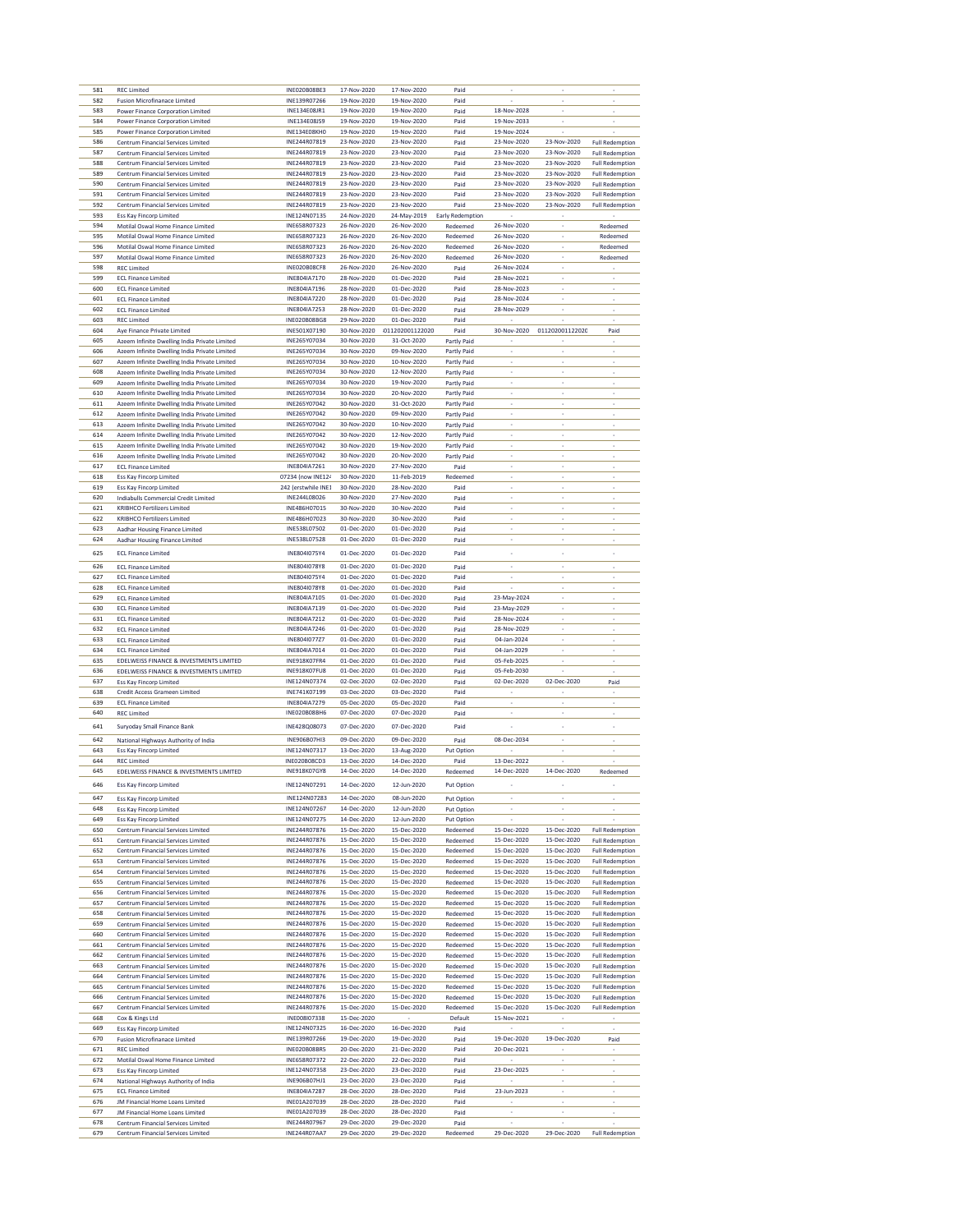| 581        | <b>REC Limited</b>                                                       | INE020B08BE3                 | 17-Nov-2020                | 17-Nov-2020                | Paid                     |                            |                            |                                                  |
|------------|--------------------------------------------------------------------------|------------------------------|----------------------------|----------------------------|--------------------------|----------------------------|----------------------------|--------------------------------------------------|
| 582        | <b>Fusion Microfinanace Limited</b>                                      | INE139R07266                 | 19-Nov-2020                | 19-Nov-2020                | Paid                     |                            | i,                         |                                                  |
| 583        | Power Finance Corporation Limited                                        | INE134E08JR1                 | 19-Nov-2020                | 19-Nov-2020                | Paid                     | 18-Nov-2028                |                            |                                                  |
| 584        | Power Finance Corporation Limited                                        | INE134E08JS9                 | 19-Nov-2020                | 19-Nov-2020                | Paid                     | 19-Nov-2033                | ×,                         | ×                                                |
| 585        | Power Finance Corporation Limited                                        | INF134F08KH0                 | 19-Nov-2020                | 19-Nov-2020                | Paid                     | 19-Nov-2024                |                            |                                                  |
| 586        | Centrum Financial Services Limited                                       | INE244R07819                 | 23-Nov-2020                | 23-Nov-2020                | Paid                     | 23-Nov-2020                | 23-Nov-2020                | <b>Full Redemption</b>                           |
| 587        | Centrum Financial Services Limited                                       | INE244R07819                 | 23-Nov-2020                | 23-Nov-2020                | Paid                     | 23-Nov-2020                | 23-Nov-2020                | <b>Full Redemption</b>                           |
| 588        | Centrum Financial Services Limited                                       | INE244R07819                 | 23-Nov-2020                | 23-Nov-2020                | Paid                     | 23-Nov-2020                | 23-Nov-2020                | <b>Full Redemption</b>                           |
| 589        | Centrum Financial Services Limited                                       | INE244R07819                 | 23-Nov-2020                | 23-Nov-2020                | Paid                     | 23-Nov-2020                | 23-Nov-2020                | <b>Full Redemption</b>                           |
| 590        | Centrum Financial Services Limited                                       | INE244R07819                 | 23-Nov-2020                | 23-Nov-2020                | Paid                     | 23-Nov-2020                | 23-Nov-2020                | <b>Full Redemption</b>                           |
| 591        | Centrum Financial Services Limited                                       | INE244R07819                 | 23-Nov-2020                | 23-Nov-2020                | Paid                     | 23-Nov-2020                | 23-Nov-2020                | <b>Full Redemption</b>                           |
| 592        | Centrum Financial Services Limited                                       | INE244R07819                 | 23-Nov-2020                | 23-Nov-2020                | Paid                     | 23-Nov-2020                | 23-Nov-2020                | <b>Full Redemption</b>                           |
| 593        | <b>Ess Kay Fincorp Limited</b>                                           | INE124N07135                 | 24-Nov-2020                | 24-May-2019                | Early Redemption         |                            |                            |                                                  |
| 594        | Motilal Oswal Home Finance Limited                                       | INE658R07323                 | 26-Nov-2020                | 26-Nov-2020                | Redeemed                 | 26-Nov-2020                |                            | Redeemed                                         |
| 595        | Motilal Oswal Home Finance Limited                                       | INE658R07323                 | 26-Nov-2020                | 26-Nov-2020                | Redeemed                 | 26-Nov-2020                |                            | Redeemed                                         |
| 596        | Motilal Oswal Home Finance Limited                                       | INE658R07323                 | 26-Nov-2020                | 26-Nov-2020                | Redeemed                 | 26-Nov-2020                | $\overline{\phantom{a}}$   | Redeemed                                         |
| 597        | Motilal Oswal Home Finance Limited                                       | INE658R07323                 | 26-Nov-2020                | 26-Nov-2020                | Redeemed                 | 26-Nov-2020                | ÷,                         | Redeemed                                         |
| 598        | <b>REC Limited</b>                                                       | INE020B08CF8                 | 26-Nov-2020                | 26-Nov-2020                | Paid                     | 26-Nov-2024                | i,                         |                                                  |
| 599        | <b>ECL Finance Limited</b>                                               | INE804IA7170                 | 28-Nov-2020                | 01-Dec-2020                | Paid                     | 28-Nov-2021                |                            |                                                  |
| 600        | <b>ECL Finance Limited</b>                                               | INE804IA7196                 | 28-Nov-2020                | 01-Dec-2020                | Paid                     | 28-Nov-2023                | $\overline{\phantom{a}}$   | ٠                                                |
| 601        | <b>ECL Finance Limited</b>                                               | INE804IA7220                 | 28-Nov-2020                | 01-Dec-2020                | Paid                     | 28-Nov-2024                | ÷,                         | ÷,                                               |
| 602        | <b>ECL Finance Limited</b>                                               | INE804IA7253                 | 28-Nov-2020                | 01-Dec-2020                | Paid                     | 28-Nov-2029                | i,                         |                                                  |
| 603        | <b>REC Limited</b>                                                       | INE020B08BG8                 | 29-Nov-2020                | 01-Dec-2020                | Paid                     |                            |                            |                                                  |
| 604        | Aye Finance Private Limited                                              | INE501X07190                 | 30-Nov-2020                | 011202001122020            | Paid                     | 30-Nov-2020                | 011202001122020            | Paid                                             |
| 605        | Azeem Infinite Dwelling India Private Limited                            | INE265Y07034                 | 30-Nov-2020                | 31-Oct-2020                | Partly Paid              |                            |                            |                                                  |
| 606        | Azeem Infinite Dwelling India Private Limited                            | INE265Y07034                 | 30-Nov-2020                | 09-Nov-2020                | Partly Paid              |                            | i,                         |                                                  |
| 607        | Azeem Infinite Dwelling India Private Limited                            | INE265Y07034                 | 30-Nov-2020                | 10-Nov-2020                | Partly Paid              |                            | ÷                          |                                                  |
| 608        | Azeem Infinite Dwelling India Private Limited                            | INE265Y07034                 | 30-Nov-2020                | 12-Nov-2020                | Partly Paid              |                            |                            |                                                  |
| 609        | Azeem Infinite Dwelling India Private Limited                            | INE265Y07034                 | 30-Nov-2020                | 19-Nov-2020                | Partly Paid              | ÷                          | ÷                          |                                                  |
| 610        | Azeem Infinite Dwelling India Private Limited                            | INE265Y07034                 | 30-Nov-2020                | 20-Nov-2020                | Partly Paid              |                            | i,                         |                                                  |
| 611        | Azeem Infinite Dwelling India Private Limited                            | INE265Y07042                 | 30-Nov-2020                | 31-Oct-2020                | Partly Paid              |                            | ×,                         |                                                  |
| 612        | Azeem Infinite Dwelling India Private Limited                            | INE265Y07042                 | 30-Nov-2020                | 09-Nov-2020                | Partly Paid              |                            |                            |                                                  |
| 613        | Azeem Infinite Dwelling India Private Limited                            | INE265Y07042                 | 30-Nov-2020                | 10-Nov-2020                | Partly Paid              | $\overline{\phantom{a}}$   | $\overline{\phantom{a}}$   | $\overline{\phantom{a}}$                         |
| 614        | Azeem Infinite Dwelling India Private Limited                            | INE265Y07042                 | 30-Nov-2020                | 12-Nov-2020                | Partly Paid              |                            | i,                         |                                                  |
| 615        | Azeem Infinite Dwelling India Private Limited                            | INE265Y07042                 | 30-Nov-2020                | 19-Nov-2020                | Partly Paid              | ×,                         | ×,                         |                                                  |
| 616        | Azeem Infinite Dwelling India Private Limited                            | INE265Y07042                 | 30-Nov-2020                | 20-Nov-2020                | Partly Paid              |                            |                            |                                                  |
| 617        | <b>ECL Finance Limited</b>                                               | INE804IA7261                 | 30-Nov-2020                | 27-Nov-2020                |                          | ٠                          | $\overline{\phantom{a}}$   |                                                  |
| 618        | Ess Kay Fincorp Limited                                                  | 07234 (now INE124            | 30-Nov-2020                | 11-Feb-2019                | Paid<br>Redeemed         | ÷,                         | ÷,                         |                                                  |
| 619        | <b>Ess Kay Fincorp Limited</b>                                           | 242 (erstwhile INE1          | 30-Nov-2020                | 28-Nov-2020                | Paid                     |                            | i,                         |                                                  |
| 620        |                                                                          | INF244108026                 | 30-Nov-2020                | 27-Nov-2020                | Paid                     |                            |                            |                                                  |
| 621        | Indiabulls Commercial Credit Limited                                     | INE486H07015                 | 30-Nov-2020                |                            |                          | $\overline{\phantom{a}}$   | $\overline{\phantom{a}}$   |                                                  |
| 622        | <b>KRIBHCO Fertilizers Limited</b><br><b>KRIBHCO Fertilizers Limited</b> | INE486H07023                 | 30-Nov-2020                | 30-Nov-2020<br>30-Nov-2020 | Paid                     | ÷,                         | ÷                          |                                                  |
|            |                                                                          |                              |                            |                            | Paid                     |                            | i,                         |                                                  |
| 623        | Aadhar Housing Finance Limited                                           | INE538L07502                 | 01-Dec-2020                | 01-Dec-2020                | Paid                     |                            |                            |                                                  |
| 624        | Aadhar Housing Finance Limited                                           | INE538L07528                 | 01-Dec-2020                | 01-Dec-2020                | Paid                     |                            |                            |                                                  |
| 625        | <b>ECL Finance Limited</b>                                               | INE804I075Y4                 | 01-Dec-2020                | 01-Dec-2020                | Paid                     |                            | ×                          |                                                  |
| 626        | <b>ECL Finance Limited</b>                                               | INE804I078Y8                 | 01-Dec-2020                | 01-Dec-2020                | Paid                     |                            | ×,                         |                                                  |
| 627        | <b>ECL Finance Limited</b>                                               | INE804I075Y4                 | 01-Dec-2020                | 01-Dec-2020                | Paid                     |                            |                            |                                                  |
| 628        | <b>ECL Finance Limited</b>                                               | INE804I078Y8                 | 01-Dec-2020                | 01-Dec-2020                | Paid                     |                            | $\overline{\phantom{a}}$   |                                                  |
| 629        | <b>ECL Finance Limited</b>                                               | INE804IA7105                 | 01-Dec-2020                | 01-Dec-2020                | Paid                     | 23-May-2024                | ÷,                         |                                                  |
| 630        | <b>ECL Finance Limited</b>                                               | INE804IA7139                 | 01-Dec-2020                | 01-Dec-2020                | Paid                     | 23-May-2029                | ÷.                         |                                                  |
| 631        | <b>ECL Finance Limited</b>                                               | INE804IA7212                 | 01-Dec-2020                | 01-Dec-2020                | Paid                     | 28-Nov-2024                |                            |                                                  |
| 632        | <b>ECL Finance Limited</b>                                               | INE804IA7246                 | 01-Dec-2020                | 01-Dec-2020                | Paid                     | 28-Nov-2029                | $\overline{\phantom{a}}$   | ×                                                |
| 633        | <b>ECL Finance Limited</b>                                               | INE804I077Z7                 | 01-Dec-2020                | 01-Dec-2020                | Paid                     | 04-Jan-2024                | ÷                          | ÷,                                               |
| 634        | <b>ECL Finance Limited</b>                                               | INE804IA7014                 | 01-Dec-2020                | 01-Dec-2020                | Paid                     | 04-Jan-2029                | i,                         |                                                  |
| 635        | EDELWEISS FINANCE & INVESTMENTS LIMITED                                  | INE918K07FR4                 | 01-Dec-2020                | 01-Dec-2020                | Paid                     | 05-Feb-2025                |                            |                                                  |
| 636        | EDELWEISS FINANCE & INVESTMENTS LIMITED                                  | INE918K07FU8                 | 01-Dec-2020                | 01-Dec-2020                | Paid                     | 05-Feb-2030                |                            |                                                  |
| 637        | Ess Kay Fincorp Limited                                                  | INE124N07374                 | 02-Dec-2020                | 02-Dec-2020                | Paid                     | 02-Dec-2020                | 02-Dec-2020                | Paid                                             |
| 638        | Credit Access Grameen Limited                                            | INE741K07199                 | 03-Dec-2020                | 03-Dec-2020                | Paid                     |                            |                            |                                                  |
| 639        | <b>ECL Finance Limited</b>                                               | INE804IA7279                 | 05-Dec-2020                | 05-Dec-2020                | Paid                     |                            | i,                         |                                                  |
| 640        | <b>REC Limited</b>                                                       | INE020B08BH6                 | 07-Dec-2020                | 07-Dec-2020                | Paid                     |                            | ٠                          |                                                  |
|            |                                                                          | INE428Q08073                 |                            | 07-Dec-2020                |                          |                            |                            |                                                  |
| 641        | Suryoday Small Finance Bank                                              |                              | 07-Dec-2020                |                            | Paid                     |                            |                            |                                                  |
| 642        | National Highways Authority of India                                     | INE906B07HI3                 | 09-Dec-2020                | 09-Dec-2020                | Paid                     | 08-Dec-2034                |                            |                                                  |
| 643        | <b>Ess Kay Fincorp Limited</b>                                           | INE124N07317                 | 13-Dec-2020                | 13-Aug-2020                | Put Option               |                            |                            | ×                                                |
| 644        | <b>REC Limited</b>                                                       | INE020B08CD3                 | 13-Dec-2020                | 14-Dec-2020                | Paid                     | 13-Dec-2022                | ×,                         |                                                  |
| 645        | EDELWEISS FINANCE & INVESTMENTS LIMITED                                  | INE918K07GY8                 | 14-Dec-2020                | 14-Dec-2020                | Redeemed                 | 14-Dec-2020                | 14-Dec-2020                | Redeemed                                         |
| 646        | Ess Kay Fincorp Limited                                                  | INE124N07291                 | 14-Dec-2020                | 12-Jun-2020                | <b>Put Option</b>        |                            |                            |                                                  |
| 647        |                                                                          |                              | 14-Dec-2020                |                            |                          | ÷,                         | ÷                          | i,                                               |
| 648        | <b>Ess Kay Fincorp Limited</b>                                           | INE124N07283<br>INE124N07267 |                            | 08-Jun-2020                | Put Option               |                            |                            |                                                  |
| 649        | Ess Kay Fincorp Limited<br><b>Ess Kay Fincorp Limited</b>                | INE124N07275                 | 14-Dec-2020<br>14-Dec-2020 | 12-Jun-2020<br>12-Jun-2020 | Put Option<br>Put Option |                            |                            |                                                  |
| 650        |                                                                          | INE244R07876                 | 15-Dec-2020                | 15-Dec-2020                | Redeemed                 | 15-Dec-2020                | 15-Dec-2020                |                                                  |
| 651        | Centrum Financial Services Limited<br>Centrum Financial Services Limited | INE244R07876                 | 15-Dec-2020                | 15-Dec-2020                | Redeemed                 | 15-Dec-2020                | 15-Dec-2020                | <b>Full Redemption</b><br><b>Full Redemption</b> |
| 652        |                                                                          | INE244R07876                 |                            | 15-Dec-2020                |                          |                            |                            |                                                  |
| 653        | Centrum Financial Services Limited<br>Centrum Financial Services Limited | INE244R07876                 | 15-Dec-2020<br>15-Dec-2020 | 15-Dec-2020                | Redeemed<br>Redeemed     | 15-Dec-2020<br>15-Dec-2020 | 15-Dec-2020<br>15-Dec-2020 | <b>Full Redemption</b><br><b>Full Redemption</b> |
| 654        |                                                                          |                              |                            |                            |                          |                            | 15-Dec-2020                |                                                  |
| 655        |                                                                          |                              |                            |                            |                          |                            |                            | <b>Full Redemption</b>                           |
|            | Centrum Financial Services Limited                                       | INE244R07876                 | 15-Dec-2020                | 15-Dec-2020                | Redeemed                 | 15-Dec-2020                |                            |                                                  |
|            | Centrum Financial Services Limited                                       | INE244R07876                 | 15-Dec-2020                | 15-Dec-2020                | Redeemed                 | 15-Dec-2020                | 15-Dec-2020                | <b>Full Redemption</b>                           |
| 656        | Centrum Financial Services Limited                                       | INE244R07876                 | 15-Dec-2020                | 15-Dec-2020                | Redeemed                 | 15-Dec-2020                | 15-Dec-2020                | <b>Full Redemption</b>                           |
| 657        | Centrum Financial Services Limited                                       | INE244R07876                 | 15-Dec-2020                | 15-Dec-2020                | Redeemed                 | 15-Dec-2020                | 15-Dec-2020                | <b>Full Redemption</b>                           |
| 658        | Centrum Financial Services Limited                                       | INE244R07876                 | 15-Dec-2020                | 15-Dec-2020                | Redeemed                 | 15-Dec-2020                | 15-Dec-2020                | <b>Full Redemption</b>                           |
| 659        | Centrum Financial Services Limited                                       | INE244R07876                 | 15-Dec-2020                | 15-Dec-2020                | Redeemed                 | 15-Dec-2020                | 15-Dec-2020                | <b>Full Redemption</b>                           |
| 660        | Centrum Financial Services Limited                                       | INE244R07876                 | 15-Dec-2020                | 15-Dec-2020                | Redeemed                 | 15-Dec-2020                | 15-Dec-2020                | <b>Full Redemption</b>                           |
| 661        | Centrum Financial Services Limited                                       | INE244R07876                 | 15-Dec-2020                | 15-Dec-2020                | Redeemed                 | 15-Dec-2020                | 15-Dec-2020                | <b>Full Redemption</b>                           |
| 662        | Centrum Financial Services Limited                                       | INF244R07876                 | 15-Dec-2020                | 15-Dec-2020                | Redeemed                 | 15-Dec-2020                | 15-Dec-2020                | <b>Full Redemption</b>                           |
| 663        | Centrum Financial Services Limited                                       | INE244R07876                 | 15-Dec-2020                | 15-Dec-2020                | Redeemed                 | 15-Dec-2020                | 15-Dec-2020                | <b>Full Redemption</b>                           |
| 664        | Centrum Financial Services Limited                                       | INE244R07876                 | 15-Dec-2020                | 15-Dec-2020                | Redeemed                 | 15-Dec-2020                | 15-Dec-2020                | <b>Full Redemption</b>                           |
| 665        | Centrum Financial Services Limited                                       | INE244R07876                 | 15-Dec-2020                | 15-Dec-2020                | Redeemed                 | 15-Dec-2020                | 15-Dec-2020                | <b>Full Redemption</b>                           |
| 666        | Centrum Financial Services Limited                                       | INE244R07876                 | 15-Dec-2020                | 15-Dec-2020                | Redeemed                 | 15-Dec-2020                | 15-Dec-2020                | Full Redemption                                  |
| 667        | Centrum Financial Services Limited                                       | INE244R07876                 | 15-Dec-2020                | 15-Dec-2020                | Redeemed                 | 15-Dec-2020                | 15-Dec-2020                | <b>Full Redemption</b>                           |
| 668        | Cox & Kings Ltd                                                          | INE008I07338                 | 15-Dec-2020                |                            | Default                  | 15-Nov-2021                |                            |                                                  |
| 669        | Ess Kay Fincorp Limited                                                  | INE124N07325                 | 16-Dec-2020                | 16-Dec-2020                | Paid                     |                            |                            |                                                  |
| 670        | <b>Fusion Microfinanace Limited</b>                                      | INE139R07266                 | 19-Dec-2020                | 19-Dec-2020                | Paid                     | 19-Dec-2020                | 19-Dec-2020                | Paid                                             |
| 671        | <b>REC Limited</b>                                                       | INE020B08BR5                 | 20-Dec-2020                | 21-Dec-2020                | Paid                     | 20-Dec-2021                | ٠                          |                                                  |
| 672        | Motilal Oswal Home Finance Limited                                       | INE658R07372                 | 22-Dec-2020                | 22-Dec-2020                | Paid                     |                            | ÷                          | ÷                                                |
| 673        | Ess Kay Fincorp Limited                                                  | INE124N07358                 | 23-Dec-2020                | 23-Dec-2020                | Paid                     | 23-Dec-2025                | i,                         |                                                  |
| 674        | National Highways Authority of India                                     | INE906B07HJ1                 | 23-Dec-2020                | 23-Dec-2020                | Paid                     |                            |                            |                                                  |
| 675        | <b>ECL Finance Limited</b>                                               | INE804IA7287                 | 28-Dec-2020                | 28-Dec-2020                | Paid                     | 23-Jun-2023                | ÷                          | ×                                                |
| 676        | JM Financial Home Loans Limited                                          | INE01A207039                 | 28-Dec-2020                | 28-Dec-2020                | Paid                     |                            | $\overline{\phantom{a}}$   | l,                                               |
| 677        | JM Financial Home Loans Limited                                          | INE01A207039                 | 28-Dec-2020                | 28-Dec-2020                | Paid                     |                            | i,                         |                                                  |
| 678<br>679 | Centrum Financial Services Limited<br>Centrum Financial Services Limited | INE244R07967<br>INE244R07AA7 | 29-Dec-2020<br>29-Dec-2020 | 29-Dec-2020<br>29-Dec-2020 | Paid<br>Redeemed         | 29-Dec-2020                | 29-Dec-2020                | <b>Full Redemption</b>                           |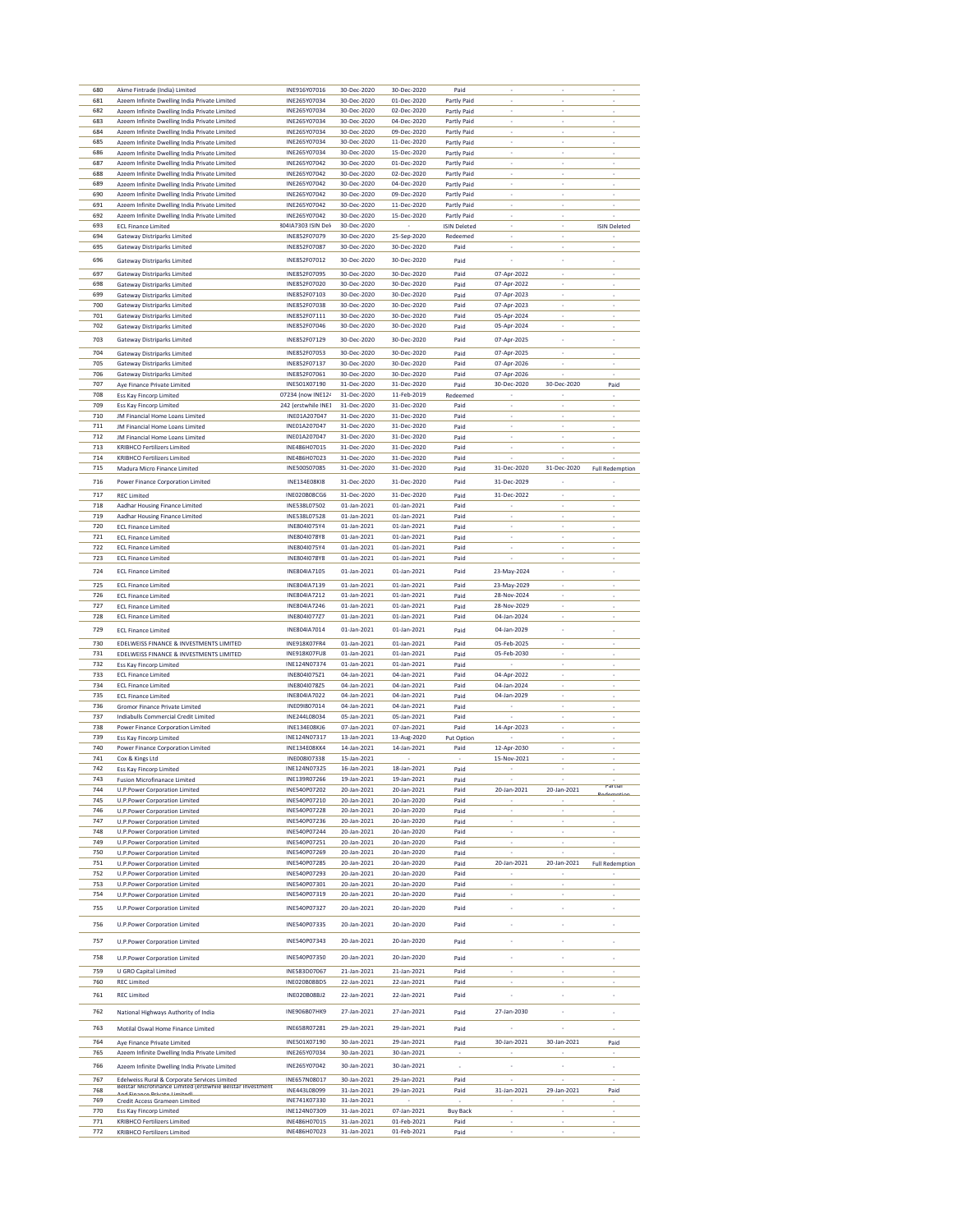| 680        | Akme Fintrade (India) Limited                                            | INE916Y07016                 | 30-Dec-2020                | 30-Dec-2020                | Paid                |                          |                          |                          |
|------------|--------------------------------------------------------------------------|------------------------------|----------------------------|----------------------------|---------------------|--------------------------|--------------------------|--------------------------|
| 681        | Azeem Infinite Dwelling India Private Limited                            | INE265Y07034                 | 30-Dec-2020                | 01-Dec-2020                | Partly Paid         |                          |                          |                          |
| 682        | Azeem Infinite Dwelling India Private Limited                            | INE265Y07034                 | 30-Dec-2020                | 02-Dec-2020                | Partly Paid         |                          |                          |                          |
| 683        | Azeem Infinite Dwelling India Private Limited                            | INE265Y07034                 | 30-Dec-2020                | 04-Dec-2020                | Partly Paid         | ٠                        | ×,                       | ٠                        |
| 684        | Azeem Infinite Dwelling India Private Limited                            | INE265Y07034                 | 30-Dec-2020                | 09-Dec-2020                | Partly Paid         | i,                       | ÷,                       | i,                       |
| 685        |                                                                          |                              |                            |                            |                     |                          |                          |                          |
|            | Azeem Infinite Dwelling India Private Limited                            | INE265Y07034                 | 30-Dec-2020                | 11-Dec-2020                | Partly Paid         |                          |                          |                          |
| 686        | Azeem Infinite Dwelling India Private Limited                            | INE265Y07034                 | 30-Dec-2020                | 15-Dec-2020                | Partly Paid         |                          |                          |                          |
| 687        | Azeem Infinite Dwelling India Private Limited                            | INE265Y07042                 | 30-Dec-2020                | 01-Dec-2020                | Partly Paid         | ٠                        | ×,                       | $\overline{\phantom{a}}$ |
| 688        | Azeem Infinite Dwelling India Private Limited                            | INE265Y07042                 | 30-Dec-2020                | 02-Dec-2020                | Partly Paid         | $\overline{\phantom{a}}$ | $\overline{\phantom{a}}$ | ÷                        |
| 689        | Azeem Infinite Dwelling India Private Limited                            | INE265Y07042                 | 30-Dec-2020                | 04-Dec-2020                | Partly Paid         | i,                       | ×,                       |                          |
| 690        | Azeem Infinite Dwelling India Private Limited                            | INE265Y07042                 | 30-Dec-2020                | 09-Dec-2020                | Partly Paid         |                          |                          |                          |
| 691        | Azeem Infinite Dwelling India Private Limited                            | INE265Y07042                 | 30-Dec-2020                | 11-Dec-2020                | Partly Paid         |                          |                          |                          |
| 692        | Azeem Infinite Dwelling India Private Limited                            | INE265Y07042                 | 30-Dec-2020                | 15-Dec-2020                | Partly Paid         | ×                        | ×,                       |                          |
| 693        | <b>ECL Finance Limited</b>                                               | 3041A7303 ISIN Del           | 30-Dec-2020                |                            | <b>ISIN Deleted</b> |                          |                          | <b>ISIN Deleted</b>      |
| 694        | <b>Gateway Distriparks Limited</b>                                       | INE852F07079                 | 30-Dec-2020                | 25-Sep-2020                | Redeemed            |                          |                          |                          |
| 695        | <b>Gateway Distriparks Limited</b>                                       | INE852F07087                 | 30-Dec-2020                | 30-Dec-2020                | Paid                |                          |                          |                          |
|            |                                                                          |                              | 30-Dec-2020                |                            |                     |                          |                          |                          |
| 696        | <b>Gateway Distriparks Limited</b>                                       | INE852F07012                 |                            | 30-Dec-2020                | Paid                |                          |                          | i,                       |
| 697        | <b>Gateway Distriparks Limited</b>                                       | INE852F07095                 | 30-Dec-2020                | 30-Dec-2020                | Paid                | 07-Apr-2022              |                          |                          |
| 698        | <b>Gateway Distriparks Limited</b>                                       | INE852F07020                 | 30-Dec-2020                | 30-Dec-2020                | Paid                | 07-Apr-2022              |                          |                          |
| 699        | <b>Gateway Distriparks Limited</b>                                       | INE852F07103                 | 30-Dec-2020                | 30-Dec-2020                | Paid                | 07-Apr-2023              | ÷                        |                          |
| 700        | <b>Gateway Distriparks Limited</b>                                       | INE852F07038                 | 30-Dec-2020                | 30-Dec-2020                | Paid                | 07-Apr-2023              |                          |                          |
| 701        | <b>Gateway Distriparks Limited</b>                                       | INE852F07111                 | 30-Dec-2020                | 30-Dec-2020                | Paid                | 05-Apr-2024              |                          |                          |
| 702        | Gateway Distriparks Limited                                              | INE852F07046                 | 30-Dec-2020                | 30-Dec-2020                | Paid                | 05-Apr-2024              |                          |                          |
|            |                                                                          |                              |                            |                            |                     |                          |                          |                          |
| 703        | <b>Gateway Distriparks Limited</b>                                       | INE852F07129                 | 30-Dec-2020                | 30-Dec-2020                | Paid                | 07-Apr-2025              | ×                        |                          |
| 704        | <b>Gateway Distriparks Limited</b>                                       | INE852F07053                 | 30-Dec-2020                | 30-Dec-2020                | Paid                | 07-Apr-2025              |                          |                          |
| 705        | Gateway Distriparks Limited                                              | INE852F07137                 | 30-Dec-2020                | 30-Dec-2020                | Paid                | 07-Apr-2026              |                          |                          |
| 706        | <b>Gateway Distriparks Limited</b>                                       | INE852F07061                 | 30-Dec-2020                | 30-Dec-2020                | Paid                | 07-Apr-2026              | J.                       |                          |
| 707        | Aye Finance Private Limited                                              | INE501X07190                 | 31-Dec-2020                | 31-Dec-2020                | Paid                | 30-Dec-2020              | 30-Dec-2020              | Paid                     |
| 708        | Ess Kay Fincorp Limited                                                  | 07234 (now INE124            | 31-Dec-2020                | 11-Feb-2019                | Redeemed            |                          |                          |                          |
| 709        | Ess Kay Fincorp Limited                                                  | 242 (erstwhile INE1          | 31-Dec-2020                | 31-Dec-2020                | Paid                |                          |                          |                          |
| 710        | JM Financial Home Loans Limited                                          | INE01A207047                 | 31-Dec-2020                | 31-Dec-2020                | Paid                | ×                        | ÷                        | ÷                        |
| 711        | JM Financial Home Loans Limited                                          | INE01A207047                 | 31-Dec-2020                | 31-Dec-2020                | Paid                |                          |                          |                          |
|            |                                                                          |                              |                            |                            |                     |                          |                          |                          |
| 712        | JM Financial Home Loans Limited                                          | INE01A207047<br>INF486H07015 | 31-Dec-2020                | 31-Dec-2020                | Paid                |                          |                          |                          |
| 713        | <b>KRIBHCO Fertilizers Limited</b>                                       |                              | 31-Dec-2020                | 31-Dec-2020                | Paid                |                          |                          |                          |
| 714        | <b>KRIBHCO Fertilizers Limited</b>                                       | INE486H07023                 | 31-Dec-2020                | 31-Dec-2020                | Paid                |                          |                          |                          |
| 715        | Madura Micro Finance Limited                                             | INE500S07085                 | 31-Dec-2020                | 31-Dec-2020                | Paid                | 31-Dec-2020              | 31-Dec-2020              | <b>Full Redemption</b>   |
| 716        | Power Finance Corporation Limited                                        | INE134E08KI8                 | 31-Dec-2020                | 31-Dec-2020                | Paid                | 31-Dec-2029              |                          |                          |
|            |                                                                          |                              |                            |                            |                     |                          |                          |                          |
| 717        | <b>REC Limited</b>                                                       | <b>INE020B08CG6</b>          | 31-Dec-2020                | 31-Dec-2020                | Paid                | 31-Dec-2022              | ×                        |                          |
| 718        | Aadhar Housing Finance Limited                                           | INE538L07502                 | 01-Jan-2021                | 01-Jan-2021                | Paid                |                          |                          | L                        |
| 719        | Aadhar Housing Finance Limited                                           | INE538L07528                 | 01-Jan-2021                | 01-Jan-2021                | Paid                |                          |                          |                          |
| 720        | <b>ECL Finance Limited</b>                                               | INE804I075Y4                 | 01-Jan-2021                | 01-Jan-2021                | Paid                |                          |                          |                          |
| 721        | <b>ECL Finance Limited</b>                                               | INE804I078Y8                 | 01-Jan-2021                | 01-Jan-2021                | Paid                | ×                        | ÷                        | ÷                        |
| 722        | <b>ECL Finance Limited</b>                                               | INE804I075Y4                 | 01-Jan-2021                | 01-Jan-2021                | Paid                |                          |                          |                          |
| 723        | <b>ECL Finance Limited</b>                                               | INE804I078Y8                 | 01-Jan-2021                | 01-Jan-2021                | Paid                |                          | i,                       |                          |
| 724        |                                                                          | INE804IA7105                 | 01-Jan-2021                | 01-Jan-2021                | Paid                | 23-May-2024              | ×,                       | ×,                       |
|            | <b>ECL Finance Limited</b>                                               |                              |                            |                            |                     |                          |                          |                          |
| 725        | <b>ECL Finance Limited</b>                                               | INE804IA7139                 | 01-Jan-2021                | 01-Jan-2021                | Paid                | 23-May-2029              |                          | L                        |
| 726        | <b>ECL Finance Limited</b>                                               | INE804IA7212                 | 01-Jan-2021                | 01-Jan-2021                | Paid                | 28-Nov-2024              |                          |                          |
| 727        | <b>ECL Finance Limited</b>                                               | INE804IA7246                 | 01-Jan-2021                | 01-Jan-2021                | Paid                | 28-Nov-2029              |                          |                          |
| 728        | <b>ECL Finance Limited</b>                                               | INE804I077Z7                 | 01-Jan-2021                | 01-Jan-2021                | Paid                | 04-Jan-2024              | ×                        | ï                        |
|            |                                                                          |                              |                            |                            |                     |                          |                          |                          |
|            |                                                                          |                              |                            |                            |                     |                          |                          |                          |
| 729        | <b>ECL Finance Limited</b>                                               | INE804IA7014                 | 01-Jan-2021                | 01-Jan-2021                | Paid                | 04-Jan-2029              | ×,                       | ×,                       |
| 730        | EDELWEISS FINANCE & INVESTMENTS LIMITED                                  | INE918K07FR4                 | 01-Jan-2021                | 01-Jan-2021                | Paid                | 05-Feb-2025              |                          |                          |
| 731        | EDELWEISS FINANCE & INVESTMENTS LIMITED                                  | INE918K07FU8                 | 01-Jan-2021                | 01-Jan-2021                | Paid                | 05-Feb-2030              | ÷                        |                          |
| 732        |                                                                          | INE124N07374                 | 01-Jan-2021                |                            |                     |                          |                          |                          |
| 733        | Ess Kay Fincorp Limited                                                  |                              |                            | 01-Jan-2021                | Paid<br>Paid        |                          |                          |                          |
| 734        | <b>ECL Finance Limited</b><br><b>ECL Finance Limited</b>                 | INE804I075Z1                 | 04-Jan-2021                | 04-Jan-2021                | Paid                | 04-Apr-2022              |                          |                          |
|            |                                                                          | INE804I078Z5                 | 04-Jan-2021                | 04-Jan-2021                |                     | 04-Jan-2024              |                          |                          |
| 735        | <b>ECL Finance Limited</b>                                               | INE804IA7022                 | 04-Jan-2021                | 04-Jan-2021                | Paid                | 04-Jan-2029              | ÷                        | ÷                        |
| 736        | Gromor Finance Private Limited                                           | INE091807014                 | 04-Jan-2021                | 04-Jan-2021                | Paid                |                          |                          |                          |
| 737        | <b>Indiabulls Commercial Credit Limited</b>                              | INE244L08034                 | 05-Jan-2021                | 05-Jan-2021                | Paid                |                          |                          |                          |
| 738        | Power Finance Corporation Limited                                        | INE134E08KJ6                 | 07-Jan-2021                | 07-Jan-2021                | Paid                | 14-Apr-2023              |                          |                          |
| 739        | Ess Kay Fincorp Limited                                                  | INE124N07317                 | 13-Jan-2021                | 13-Aug-2020                | Put Option          |                          | ٠                        | ï                        |
| 740        | Power Finance Corporation Limited                                        | <b>INE134E08KK4</b>          | 14-Jan-2021                | 14-Jan-2021                | Paid                | 12-Apr-2030              |                          |                          |
| 741        | Cox & Kings Ltd                                                          | INE008I07338                 | 15-Jan-2021                |                            |                     | 15-Nov-2021              |                          |                          |
| 742        | Ess Kay Fincorp Limited                                                  | INE124N07325                 | 16-Jan-2021                | 18-Jan-2021                | Paid                |                          |                          |                          |
| 743        | <b>Fusion Microfinanace Limited</b>                                      | INE139R07266                 | 19-Jan-2021                | 19-Jan-2021                | Paid                |                          |                          |                          |
| 744        | U.P.Power Corporation Limited                                            | INE540P07202                 | 20-Jan-2021                | 20-Jan-2021                | Paid                | 20-Jan-2021              | 20-Jan-2021              | zaroran                  |
| 745        | U.P.Power Corporation Limited                                            | INE540P07210                 | 20-Jan-2021                | 20-Jan-2020                | Paid                |                          |                          |                          |
| 746        | <b>U.P.Power Corporation Limited</b>                                     | INE540P07228                 | 20-Jan-2021                | 20-Jan-2020                | Paid                |                          |                          |                          |
| 747        | U.P.Power Corporation Limited                                            | INE540P07236                 | 20-Jan-2021                | 20-Jan-2020                | Paid                | ×,                       | ×,                       | ٠                        |
| 748        | U.P.Power Corporation Limited                                            | INE540P07244                 | 20-Jan-2021                | 20-Jan-2020                | Paid                | i,                       | i,                       | ÷,                       |
| 749        | <b>U.P.Power Corporation Limited</b>                                     | INE540P07251                 | 20-Jan-2021                | 20-Jan-2020                | Paid                |                          |                          |                          |
| 750        | <b>U.P.Power Corporation Limited</b>                                     | INE540P07269                 | 20-Jan-2021                | 20-Jan-2020                | Paid                |                          |                          |                          |
| 751        | <b>U.P.Power Corporation Limited</b>                                     | INE540P07285                 | 20-Jan-2021                | 20-Jan-2020                |                     | 20-Jan-2021              | 20-Jan-2021              |                          |
| 752        | U.P.Power Corporation Limited                                            | INE540P07293                 | 20-Jan-2021                | 20-Jan-2020                | Paid                |                          | ÷.                       | <b>Full Redemption</b>   |
| 753        |                                                                          |                              |                            |                            | Paid                | i.                       | ×,                       |                          |
|            | U.P.Power Corporation Limited                                            | INE540P07301                 | 20-Jan-2021<br>20-Jan-2021 | 20-Jan-2020                | Paid                |                          |                          |                          |
| 754        | U.P.Power Corporation Limited                                            | INE540P07319                 |                            | 20-Jan-2020                | Paid                |                          |                          |                          |
| 755        | U.P.Power Corporation Limited                                            | INE540P07327                 | 20-Jan-2021                | 20-Jan-2020                | Paid                | ×,                       | ×,                       |                          |
|            |                                                                          |                              |                            |                            |                     |                          | i,                       | ï                        |
| 756        | U.P.Power Corporation Limited                                            | INE540P07335                 | 20-Jan-2021                | 20-Jan-2020                | Paid                | ï                        |                          |                          |
| 757        | U.P.Power Corporation Limited                                            | INE540P07343                 | 20-Jan-2021                | 20-Jan-2020                | Paid                |                          | ×                        |                          |
|            |                                                                          |                              |                            |                            |                     |                          |                          |                          |
| 758        | U.P.Power Corporation Limited                                            | INE540P07350                 | 20-Jan-2021                | 20-Jan-2020                | Paid                | i,                       |                          |                          |
| 759        | U GRO Capital Limited                                                    | INE583D07067                 | 21-Jan-2021                | 21-Jan-2021                | Paid                | i.                       |                          |                          |
| 760        |                                                                          | <b>INE020B08BD5</b>          |                            |                            |                     |                          |                          |                          |
|            | <b>REC Limited</b>                                                       |                              | 22-Jan-2021                | 22-Jan-2021                | Paid                |                          |                          |                          |
| 761        | <b>REC Limited</b>                                                       | INE020B08BJ2                 | 22-Jan-2021                | 22-Jan-2021                | Paid                |                          |                          | i.                       |
|            |                                                                          |                              |                            |                            |                     |                          |                          | ×,                       |
| 762        | National Highways Authority of India                                     | <b>INE906B07HK9</b>          | 27-Jan-2021                | 27-Jan-2021                | Paid                | 27-Jan-2030              | $\overline{\phantom{a}}$ |                          |
| 763        | Motilal Oswal Home Finance Limited                                       | INE658R07281                 | 29-Jan-2021                | 29-Jan-2021                | Paid                |                          | ×                        | ×,                       |
|            |                                                                          |                              |                            |                            |                     |                          |                          |                          |
| 764        | Aye Finance Private Limited                                              | INE501X07190                 | 30-Jan-2021                | 29-Jan-2021                | Paid                | 30-Jan-2021              | 30-Jan-2021              | Paid                     |
| 765        | Azeem Infinite Dwelling India Private Limited                            | INE265Y07034                 | 30-Jan-2021                | 30-Jan-2021                |                     |                          |                          |                          |
| 766        | Azeem Infinite Dwelling India Private Limited                            | INE265Y07042                 | 30-Jan-2021                | 30-Jan-2021                | ٠                   | i,                       | ×,                       | ×,                       |
| 767        | Edelweiss Rural & Corporate Services Limited                             |                              | 30-Jan-2021                |                            | Paid                |                          |                          |                          |
|            | Beistar Microfinance Limited (erstwhile Beistar Investment               | INE657N08017                 |                            | 29-Jan-2021                |                     |                          |                          |                          |
| 768        |                                                                          | INE443L08099                 | 31-Jan-2021                | 29-Jan-2021                | Paid                | 31-Jan-2021              | 29-Jan-2021              | Paid                     |
| 769        | Credit Access Grameen Limited                                            | INE741K07330                 | 31-Jan-2021                |                            |                     |                          |                          |                          |
| 770        | Ess Kay Fincorp Limited                                                  | INE124N07309                 | 31-Jan-2021                | 07-Jan-2021                | <b>Buy Back</b>     | ×,                       | ×,                       | ÷                        |
| 771<br>772 | <b>KRIBHCO Fertilizers Limited</b><br><b>KRIBHCO Fertilizers Limited</b> | INE486H07015<br>INE486H07023 | 31-Jan-2021<br>31-Jan-2021 | 01-Feb-2021<br>01-Feb-2021 | Paid<br>Paid        |                          |                          |                          |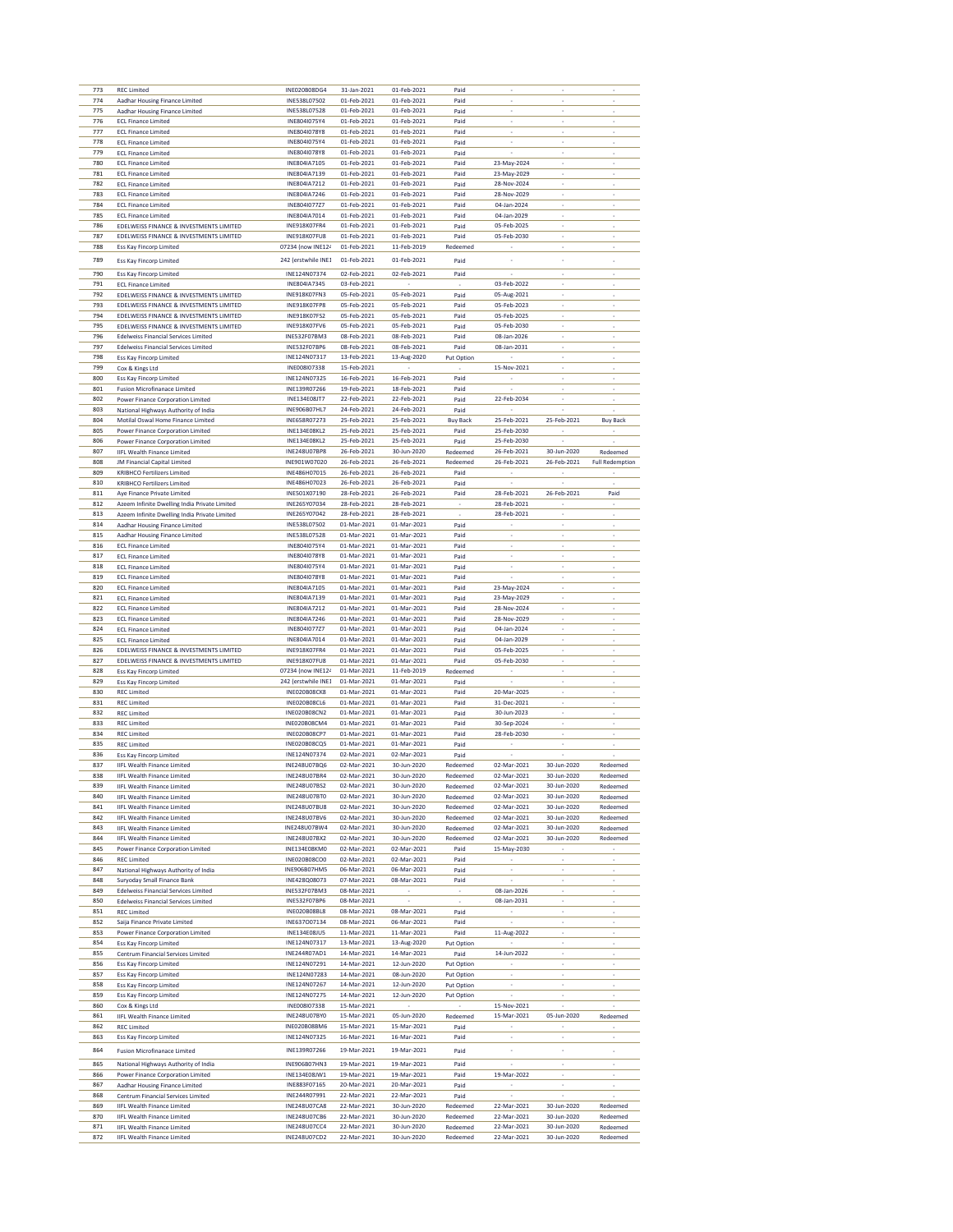| 773        | <b>REC Limited</b>                                                           | INE020B08DG4                               | 31-Jan-2021                | 01-Feb-2021                | Paid                             |                            |                               |                          |
|------------|------------------------------------------------------------------------------|--------------------------------------------|----------------------------|----------------------------|----------------------------------|----------------------------|-------------------------------|--------------------------|
| 774<br>775 | Aadhar Housing Finance Limited<br>Aadhar Housing Finance Limited             | INE538L07502<br>INE538L07528               | 01-Feb-2021<br>01-Feb-2021 | 01-Feb-2021<br>01-Feb-2021 | Paid                             |                            |                               |                          |
| 776        | <b>ECL Finance Limited</b>                                                   | INE804I075Y4                               | 01-Feb-2021                | 01-Feb-2021                | Paid<br>Paid                     |                            |                               |                          |
| 777        | <b>ECL Finance Limited</b>                                                   | INE804I078Y8                               | 01-Feb-2021                | 01-Feb-2021                | Paid                             | ×                          | ÷                             | ï                        |
| 778        | <b>ECL Finance Limited</b>                                                   | INE804I075Y4                               | 01-Feb-2021                | 01-Feb-2021                | Paid                             |                            | i,                            |                          |
| 779        | <b>ECL Finance Limited</b>                                                   | INE804I078Y8                               | 01-Feb-2021                | 01-Feb-2021                | Paid                             |                            |                               |                          |
| 780        | <b>ECL Finance Limited</b>                                                   | INE804IA7105                               | 01-Feb-2021                | 01-Feb-2021                | Paid                             | 23-May-2024                |                               |                          |
| 781<br>782 | <b>ECL Finance Limited</b><br><b>ECL Finance Limited</b>                     | INE804IA7139<br>INE804IA7212               | 01-Feb-2021<br>01-Feb-2021 | 01-Feb-2021<br>01-Feb-2021 | Paid<br>Paid                     | 23-May-2029<br>28-Nov-2024 | $\tilde{\phantom{a}}$         | ×                        |
| 783        | <b>ECL Finance Limited</b>                                                   | INE804IA7246                               | 01-Feb-2021                | 01-Feb-2021                | Paid                             | 28-Nov-2029                | ÷.                            |                          |
| 784        | <b>ECL Finance Limited</b>                                                   | INE804I077Z7                               | 01-Feb-2021                | 01-Feb-2021                | Paid                             | 04-Jan-2024                |                               |                          |
| 785        | <b>ECL Finance Limited</b>                                                   | INE804IA7014                               | 01-Feb-2021                | 01-Feb-2021                | Paid                             | 04-Jan-2029                | ٠                             |                          |
| 786        | EDELWEISS FINANCE & INVESTMENTS LIMITED                                      | INE918K07FR4                               | 01-Feb-2021                | 01-Feb-2021                | Paid                             | 05-Feb-2025                | ÷,                            |                          |
| 787        | EDELWEISS FINANCE & INVESTMENTS LIMITED                                      | INE918K07FU8                               | 01-Feb-2021                | 01-Feb-2021                | Paid                             | 05-Feb-2030                | i,                            |                          |
| 788        | <b>Ess Kay Fincorp Limited</b>                                               | 07234 (now INE124                          | 01-Feb-2021                | 11-Feb-2019                | Redeemed                         |                            |                               |                          |
| 789        | <b>Ess Kay Fincorp Limited</b>                                               | 242 (erstwhile INE1                        | 01-Feb-2021                | 01-Feb-2021                | Paid                             |                            | ×                             |                          |
| 790        | Ess Kay Fincorp Limited                                                      | INE124N07374                               | 02-Feb-2021                | 02-Feb-2021                | Paid                             |                            | ×,                            |                          |
| 791<br>792 | <b>FCL Finance Limited</b><br>EDELWEISS FINANCE & INVESTMENTS LIMITED        | INE804IA7345<br>INE918K07FN3               | 03-Feb-2021<br>05-Feb-2021 | 05-Feb-2021                | Paid                             | 03-Feb-2022<br>05-Aug-2021 | ×,                            |                          |
| 793        | EDELWEISS FINANCE & INVESTMENTS LIMITED                                      | INE918K07FP8                               | 05-Feb-2021                | 05-Feb-2021                | Paid                             | 05-Feb-2023                | ÷,                            | i,                       |
| 794        | EDELWEISS FINANCE & INVESTMENTS LIMITED                                      | INE918K07FS2                               | 05-Feb-2021                | 05-Feb-2021                | Paid                             | 05-Feb-2025                | ÷.                            |                          |
| 795        | EDELWEISS FINANCE & INVESTMENTS LIMITED                                      | INE918K07FV6                               | 05-Feb-2021                | 05-Feb-2021                | Paid                             | 05-Feb-2030                |                               |                          |
| 796        | <b>Edelweiss Financial Services Limited</b>                                  | INE532F07BM3                               | 08-Feb-2021                | 08-Feb-2021                | Paid                             | 08-Jan-2026                | ٠                             | ٠                        |
| 797        | <b>Edelweiss Financial Services Limited</b>                                  | INE532F07BP6                               | 08-Feb-2021                | 08-Feb-2021                | Paid                             | 08-Jan-2031                | ÷,                            | i,                       |
| 798<br>799 | Ess Kay Fincorp Limited<br>Cox & Kings Ltd                                   | INE124N07317<br>INE008I07338               | 13-Feb-2021<br>15-Feb-2021 | 13-Aug-2020                | Put Option                       | 15-Nov-2021                | i,                            |                          |
| 800        | Ess Kay Fincorp Limited                                                      | INE124N07325                               | 16-Feb-2021                | 16-Feb-2021                | Paid                             |                            | ×,                            | ٠                        |
| 801        | <b>Fusion Microfinanace Limited</b>                                          | INE139R07266                               | 19-Feb-2021                | 18-Feb-2021                | Paid                             | ÷.                         | $\overline{\phantom{a}}$      | ÷,                       |
| 802        | Power Finance Corporation Limited                                            | INE134E08JT7                               | 22-Feb-2021                | 22-Feb-2021                | Paid                             | 22-Feb-2034                | i,                            |                          |
| 803        | National Highways Authority of India                                         | INE906B07HL7                               | 24-Feb-2021                | 24-Feb-2021                | Paid                             |                            |                               |                          |
| 804        | Motilal Oswal Home Finance Limited                                           | <b>INF658R07273</b>                        | 25-Feb-2021                | 25-Feb-2021                | <b>Buy Back</b>                  | 25-Feb-2021                | 25-Feb-2021                   | <b>Buy Back</b>          |
| 805<br>806 | Power Finance Corporation Limited<br>Power Finance Corporation Limited       | <b>INE134E08KL2</b><br>INF134F08KL2        | 25-Feb-2021<br>25-Feb-2021 | 25-Feb-2021<br>25-Feb-2021 | Paid<br>Paid                     | 25-Feb-2030<br>25-Feb-2030 |                               |                          |
| 807        | <b>IIFL Wealth Finance Limited</b>                                           | INE248U07BP8                               | 26-Feb-2021                | 30-Jun-2020                | Redeemed                         | 26-Feb-2021                | 30-Jun-2020                   | Redeemed                 |
| 808        | <b>JM Financial Capital Limited</b>                                          | INE901W07020                               | 26-Feb-2021                | 26-Feb-2021                | Redeemed                         | 26-Feb-2021                | 26-Feb-2021                   | <b>Full Redemption</b>   |
| 809        | <b>KRIBHCO Fertilizers Limited</b>                                           | INE486H07015                               | 26-Feb-2021                | 26-Feb-2021                | Paid                             |                            |                               |                          |
| 810        | <b>KRIBHCO Fertilizers Limited</b>                                           | INE486H07023                               | 26-Feb-2021                | 26-Feb-2021                | Paid                             |                            |                               |                          |
| 811<br>812 | Aye Finance Private Limited<br>Azeem Infinite Dwelling India Private Limited | INE501X07190<br>INF265Y07034               | 28-Feb-2021<br>28-Feb-2021 | 26-Feb-2021<br>28-Feb-2021 | Paid<br>$\overline{\phantom{a}}$ | 28-Feb-2021<br>28-Feb-2021 | 26-Feb-2021                   | Paid                     |
| 813        | Azeem Infinite Dwelling India Private Limited                                | INE265Y07042                               | 28-Feb-2021                | 28-Feb-2021                | ×                                | 28-Feb-2021                | ÷                             | ×                        |
| 814        | Aadhar Housing Finance Limited                                               | INE538L07502                               | 01-Mar-2021                | 01-Mar-2021                | Paid                             |                            | i,                            |                          |
| 815        | Aadhar Housing Finance Limited                                               | INE538L07528                               | 01-Mar-2021                | 01-Mar-2021                | Paid                             | i,                         | ×,                            |                          |
| 816        | <b>ECL Finance Limited</b>                                                   | INE804I075Y4                               | 01-Mar-2021                | 01-Mar-2021                | Paid                             |                            |                               |                          |
| 817<br>818 | <b>ECL Finance Limited</b><br><b>ECL Finance Limited</b>                     | INE804I078Y8<br>INE804I075Y4               | 01-Mar-2021<br>01-Mar-2021 | 01-Mar-2021<br>01-Mar-2021 | Paid<br>Paid                     | ٠<br>i,                    | ٠<br>$\overline{\phantom{a}}$ | i,                       |
| 819        | <b>ECL Finance Limited</b>                                                   | INE804I078Y8                               | 01-Mar-2021                | 01-Mar-2021                | Paid                             |                            | ÷.                            |                          |
| 820        | <b>ECL Finance Limited</b>                                                   | INE804IA7105                               | 01-Mar-2021                | 01-Mar-2021                | Paid                             | 23-May-2024                |                               |                          |
| 821        | <b>ECL Finance Limited</b>                                                   | INE804IA7139                               | 01-Mar-2021                | 01-Mar-2021                | Paid                             | 23-May-2029                | ٠                             |                          |
| 822        | <b>ECL Finance Limited</b>                                                   | INE804IA7212                               | 01-Mar-2021                | 01-Mar-2021                | Paid                             | 28-Nov-2024                | ÷,                            | i,                       |
| 823<br>824 | <b>ECL Finance Limited</b><br><b>ECL Finance Limited</b>                     | INE804IA7246<br>INE804I077Z7               | 01-Mar-2021                | 01-Mar-2021                | Paid                             | 28-Nov-2029                | i,                            |                          |
|            |                                                                              |                                            |                            |                            |                                  |                            |                               |                          |
| 825        | <b>ECL Finance Limited</b>                                                   | INE804IA7014                               | 01-Mar-2021<br>01-Mar-2021 | 01-Mar-2021                | Paid<br>Paid                     | 04-Jan-2024                | ×,                            | $\overline{\phantom{a}}$ |
| 826        | EDELWEISS FINANCE & INVESTMENTS LIMITED                                      | INE918K07FR4                               | 01-Mar-2021                | 01-Mar-2021<br>01-Mar-2021 | Paid                             | 04-Jan-2029<br>05-Feb-2025 | ÷,                            | ÷,                       |
| 827        | EDELWEISS FINANCE & INVESTMENTS LIMITED                                      | INE918K07FU8                               | 01-Mar-2021                | 01-Mar-2021                | Paid                             | 05-Feb-2030                | i,                            |                          |
| 828        | <b>Ess Kay Fincorp Limited</b>                                               | 07234 (now INE124                          | 01-Mar-2021                | 11-Feb-2019                | Redeemed                         |                            | i,                            |                          |
| 829        | Ess Kay Fincorp Limited                                                      | 242 (erstwhile INE1                        | 01-Mar-2021                | 01-Mar-2021                | Paid                             |                            | ٠                             | ٠                        |
| 830        | <b>REC Limited</b>                                                           | INE020B08CK8                               | 01-Mar-2021                | 01-Mar-2021                | Paid                             | 20-Mar-2025                | ÷<br>l,                       |                          |
| 831<br>832 | <b>REC Limited</b><br><b>REC Limited</b>                                     | <b>INE020B08CL6</b><br><b>INE020B08CN2</b> | 01-Mar-2021<br>01-Mar-2021 | 01-Mar-2021<br>01-Mar-2021 | Paid<br>Paid                     | 31-Dec-2021<br>30-Jun-2023 |                               |                          |
| 833        | <b>REC Limited</b>                                                           | INE020B08CM4                               | 01-Mar-2021                | 01-Mar-2021                | Paid                             | 30-Sep-2024                |                               |                          |
| 834        | <b>REC Limited</b>                                                           | INE020B08CP7                               | 01-Mar-2021                | 01-Mar-2021                | Paid                             | 28-Feb-2030                | $\overline{\phantom{a}}$      |                          |
| 835        | <b>REC Limited</b>                                                           | INE020B08CQ5                               | 01-Mar-2021                | 01-Mar-2021                | Paid                             |                            |                               |                          |
| 836        | <b>Ess Kay Fincorp Limited</b>                                               | INE124N07374                               | 02-Mar-2021                | 02-Mar-2021                | Paid                             |                            |                               |                          |
| 837        | <b>IIFL Wealth Finance Limited</b><br><b>IIFL Wealth Finance Limited</b>     | <b>INE248U07BO6</b><br>INE248U07BR4        | 02-Mar-2021<br>02-Mar-2021 | 30-Jun-2020                | Redeemed<br>Redeemed             | 02-Mar-2021                | 30-Jun-2020                   | Redeemed<br>Redeemed     |
| 838<br>839 | IIFL Wealth Finance Limited                                                  | INE248U07BS2                               | 02-Mar-2021                | 30-Jun-2020<br>30-Jun-2020 | Redeemed                         | 02-Mar-2021<br>02-Mar-2021 | 30-Jun-2020<br>30-Jun-2020    | Redeemed                 |
| 840        | <b>IIFL Wealth Finance Limited</b>                                           | INE248U07BT0                               | 02-Mar-2021                | 30-Jun-2020                | Redeemed                         | 02-Mar-2021                | 30-Jun-2020                   | Redeemed                 |
| 841        | <b>IIFL Wealth Finance Limited</b>                                           | INE248U07BU8                               | 02-Mar-2021                | 30-Jun-2020                | Redeemed                         | 02-Mar-2021                | 30-Jun-2020                   | Redeemed                 |
| 842        | <b>IIFL Wealth Finance Limited</b>                                           | <b>INE248U07BV6</b>                        | 02-Mar-2021                | 30-Jun-2020                | Redeemed                         | 02-Mar-2021                | 30-Jun-2020                   | Redeemed                 |
| 843<br>844 | <b>IIFL Wealth Finance Limited</b><br><b>IIFL Wealth Finance Limited</b>     | INE248U07BW4<br>INE248U07BX2               | 02-Mar-2021                | 30-Jun-2020                | Redeemed<br>Redeemed             | 02-Mar-2021                | 30-Jun-2020                   | Redeemed<br>Redeemed     |
| 845        | Power Finance Corporation Limited                                            | <b>INE134E08KM0</b>                        | 02-Mar-2021<br>02-Mar-2021 | 30-Jun-2020<br>02-Mar-2021 | Paid                             | 02-Mar-2021<br>15-May-2030 | 30-Jun-2020                   |                          |
| 846        | <b>REC Limited</b>                                                           | <b>INE020B08CO0</b>                        | 02-Mar-2021                | 02-Mar-2021                | Paid                             |                            | ×,                            |                          |
| 847        | National Highways Authority of India                                         | <b>INE906B07HM5</b>                        | 06-Mar-2021                | 06-Mar-2021                | Paid                             | i,                         | ÷,                            | L                        |
| 848        | Suryoday Small Finance Bank                                                  | INE428Q08073                               | 07-Mar-2021                | 08-Mar-2021                | Paid                             |                            |                               |                          |
| 849<br>850 | <b>Edelweiss Financial Services Limited</b>                                  | INE532F07BM3                               | 08-Mar-2021<br>08-Mar-2021 | ×,                         | ٠                                | 08-Jan-2026                | ×,                            | ٠                        |
| 851        | <b>Edelweiss Financial Services Limited</b><br><b>REC Limited</b>            | INE532F07BP6<br>INE020B08BL8               | 08-Mar-2021                | 08-Mar-2021                | Paid                             | 08-Jan-2031                | ÷,                            | ÷,                       |
| 852        | Saija Finance Private Limited                                                | INE637007134                               | 08-Mar-2021                | 06-Mar-2021                | Paid                             |                            |                               |                          |
| 853        | Power Finance Corporation Limited                                            | INE134E08JU5                               | 11-Mar-2021                | 11-Mar-2021                | Paid                             | 11-Aug-2022                |                               |                          |
| 854        | Ess Kay Fincorp Limited                                                      | INE124N07317                               | 13-Mar-2021                | 13-Aug-2020                | Put Option                       |                            |                               | ٠                        |
| 855        | Centrum Financial Services Limited                                           | INE244R07AD1                               | 14-Mar-2021                | 14-Mar-2021                | Paid                             | 14-Jun-2022                | $\overline{\phantom{a}}$      |                          |
| 856<br>857 | Ess Kay Fincorp Limited<br>Ess Kay Fincorp Limited                           | INE124N07291<br>INE124N07283               | 14-Mar-2021<br>14-Mar-2021 | 12-Jun-2020<br>08-Jun-2020 | Put Option<br>Put Option         |                            |                               |                          |
| 858        | Ess Kay Fincorp Limited                                                      | INE124N07267                               | 14-Mar-2021                | 12-Jun-2020                | Put Option                       |                            |                               |                          |
| 859        | Ess Kay Fincorp Limited                                                      | INE124N07275                               | 14-Mar-2021                | 12-Jun-2020                | Put Option                       |                            | ×                             |                          |
| 860        | Cox & Kings Ltd                                                              | INE008I07338                               | 15-Mar-2021                |                            |                                  | 15-Nov-2021                |                               |                          |
| 861        | <b>IIFL Wealth Finance Limited</b>                                           | INE248U07BY0                               | 15-Mar-2021                | 05-Jun-2020                | Redeemed                         | 15-Mar-2021                | 05-Jun-2020                   | Redeemed                 |
| 862<br>863 | <b>REC Limited</b><br>Ess Kay Fincorp Limited                                | <b>INE020B08BM6</b><br>INE124N07325        | 15-Mar-2021<br>16-Mar-2021 | 15-Mar-2021<br>16-Mar-2021 | Paid<br>Paid                     | ×                          | ÷                             | ×                        |
| 864        |                                                                              | INE139R07266                               |                            |                            |                                  | ×,                         | ×,                            | ×                        |
|            | <b>Fusion Microfinanace Limited</b>                                          |                                            | 19-Mar-2021                | 19-Mar-2021                | Paid                             |                            |                               |                          |
| 865<br>866 | National Highways Authority of India<br>Power Finance Corporation Limited    | INE906B07HN3<br>INE134E08JW1               | 19-Mar-2021<br>19-Mar-2021 | 19-Mar-2021<br>19-Mar-2021 | Paid<br>Paid                     | 19-Mar-2022                | ×                             |                          |
| 867        | Aadhar Housing Finance Limited                                               | INE883F07165                               | 20-Mar-2021                | 20-Mar-2021                | Paid                             |                            |                               |                          |
| 868        | Centrum Financial Services Limited                                           | INE244R07991                               | 22-Mar-2021                | 22-Mar-2021                | Paid                             |                            |                               |                          |
| 869        | <b>IIFL Wealth Finance Limited</b>                                           | <b>INE248U07CA8</b>                        | 22-Mar-2021                | 30-Jun-2020                | Redeemed                         | 22-Mar-2021                | 30-Jun-2020                   | Redeemed                 |
| 870<br>871 | <b>IIFL Wealth Finance Limited</b><br><b>IIFL Wealth Finance Limited</b>     | INE248U07CB6<br>INE248U07CC4               | 22-Mar-2021<br>22-Mar-2021 | 30-Jun-2020<br>30-Jun-2020 | Redeemed<br>Redeemed             | 22-Mar-2021<br>22-Mar-2021 | 30-Jun-2020<br>30-Jun-2020    | Redeemed<br>Redeemed     |